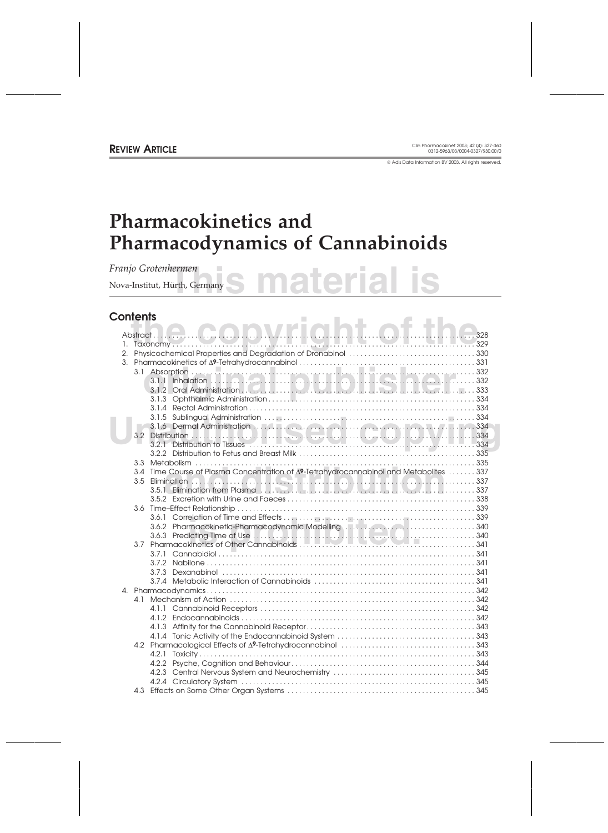Adis Data Information BV 2003. All rights reserved.

# **Pharmacokinetics and Pharmacodynamics of Cannabinoids**

**This material is** *Franjo Grotenhermen* Nova-Institut, Hürth, Germany

# **Contents**

| comenis |     |                                                                                    |  |  |  |  |  |  |  |  |
|---------|-----|------------------------------------------------------------------------------------|--|--|--|--|--|--|--|--|
|         |     |                                                                                    |  |  |  |  |  |  |  |  |
|         |     |                                                                                    |  |  |  |  |  |  |  |  |
| 1.      |     |                                                                                    |  |  |  |  |  |  |  |  |
| 2.      |     |                                                                                    |  |  |  |  |  |  |  |  |
|         |     |                                                                                    |  |  |  |  |  |  |  |  |
|         |     |                                                                                    |  |  |  |  |  |  |  |  |
|         |     |                                                                                    |  |  |  |  |  |  |  |  |
|         |     |                                                                                    |  |  |  |  |  |  |  |  |
|         |     |                                                                                    |  |  |  |  |  |  |  |  |
|         |     |                                                                                    |  |  |  |  |  |  |  |  |
|         |     |                                                                                    |  |  |  |  |  |  |  |  |
|         |     |                                                                                    |  |  |  |  |  |  |  |  |
|         | 3.2 |                                                                                    |  |  |  |  |  |  |  |  |
|         |     |                                                                                    |  |  |  |  |  |  |  |  |
|         |     |                                                                                    |  |  |  |  |  |  |  |  |
|         | 3.3 |                                                                                    |  |  |  |  |  |  |  |  |
|         | 3.4 | Time Course of Plasma Concentration of A9-Tetrahydrocannabinol and Metabolites 337 |  |  |  |  |  |  |  |  |
|         | 3.5 |                                                                                    |  |  |  |  |  |  |  |  |
|         |     |                                                                                    |  |  |  |  |  |  |  |  |
|         |     |                                                                                    |  |  |  |  |  |  |  |  |
|         |     |                                                                                    |  |  |  |  |  |  |  |  |
|         |     |                                                                                    |  |  |  |  |  |  |  |  |
|         |     |                                                                                    |  |  |  |  |  |  |  |  |
|         |     | Pharmacokinetics of Other Cannabinoids<br>1341                                     |  |  |  |  |  |  |  |  |
|         | 3.7 |                                                                                    |  |  |  |  |  |  |  |  |
|         |     |                                                                                    |  |  |  |  |  |  |  |  |
|         |     |                                                                                    |  |  |  |  |  |  |  |  |
|         |     |                                                                                    |  |  |  |  |  |  |  |  |
|         |     |                                                                                    |  |  |  |  |  |  |  |  |
|         |     |                                                                                    |  |  |  |  |  |  |  |  |
|         | 4.1 |                                                                                    |  |  |  |  |  |  |  |  |
|         |     |                                                                                    |  |  |  |  |  |  |  |  |
|         |     |                                                                                    |  |  |  |  |  |  |  |  |
|         |     |                                                                                    |  |  |  |  |  |  |  |  |
|         |     |                                                                                    |  |  |  |  |  |  |  |  |
|         |     |                                                                                    |  |  |  |  |  |  |  |  |
|         |     |                                                                                    |  |  |  |  |  |  |  |  |
|         |     |                                                                                    |  |  |  |  |  |  |  |  |
|         |     |                                                                                    |  |  |  |  |  |  |  |  |
|         |     |                                                                                    |  |  |  |  |  |  |  |  |
|         |     |                                                                                    |  |  |  |  |  |  |  |  |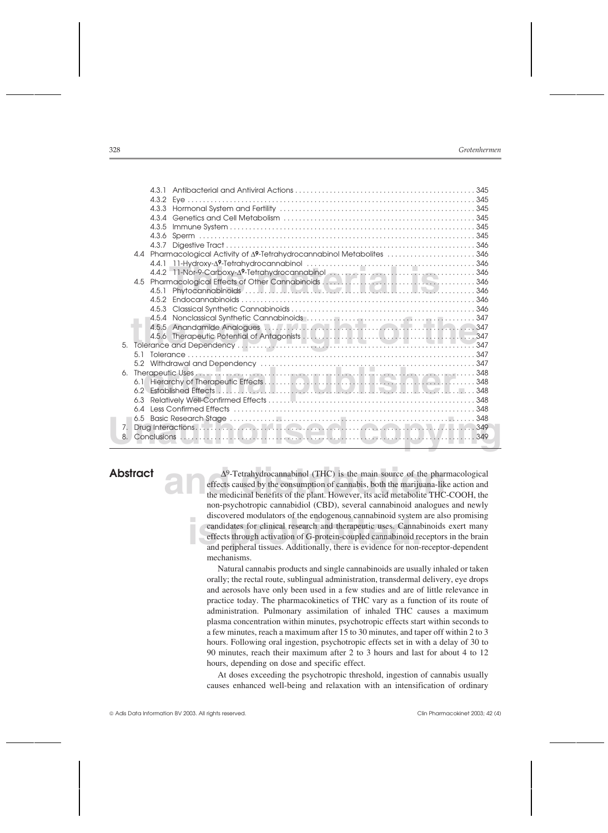|     | 431                                                                                    |  |
|-----|----------------------------------------------------------------------------------------|--|
|     | 4.3.3                                                                                  |  |
|     | 434                                                                                    |  |
|     | 4.3.5                                                                                  |  |
|     |                                                                                        |  |
|     |                                                                                        |  |
|     | 4.4 Pharmacological Activity of A <sup>9</sup> -Tetrahydrocannabinol Metabolites  346  |  |
|     |                                                                                        |  |
|     |                                                                                        |  |
| 4.5 |                                                                                        |  |
|     |                                                                                        |  |
|     |                                                                                        |  |
|     | 4.5.3                                                                                  |  |
|     |                                                                                        |  |
|     | 4.5.5 Anandamide Analogues and Albert Martin Communication of the community of the 347 |  |
|     | 5. Tolerance and Dependency N. Long. Manual Manual Manual Manual Manual Manual 347     |  |
|     |                                                                                        |  |
| 5.1 |                                                                                        |  |
| 6.  |                                                                                        |  |
| 6.1 |                                                                                        |  |
|     |                                                                                        |  |
| 6.3 |                                                                                        |  |
| 6.4 |                                                                                        |  |
|     |                                                                                        |  |
|     |                                                                                        |  |
|     |                                                                                        |  |
|     |                                                                                        |  |

 $\Delta^9$ -Tetrahydrocannabinol (THC) is the main source of the phareffects caused by the consumption of cannabis, both the marijuana-like the medicinal benefits of the plant. However, its acid metabolite THC discovered modulators of the endogenous cannabinoid system are also promising<br>candidates for clinical research and therapeutic uses. Cannabinoids exert many<br>effects through activation of G-protein-coupled cannabinoid recep Abstract <sup>∆9</sup>-Tetrahydrocannabinol (THC) is the main source of the pharmacological effects caused by the consumption of cannabis, both the marijuana-like action and the medicinal benefits of the plant. However, its acid metabolite THC-COOH, the non-psychotropic cannabidiol (CBD), several cannabinoid analogues and newly discovered modulators of the endogenous cannabinoid system are also promising effects through activation of G-protein-coupled cannabinoid receptors in the brain and peripheral tissues. Additionally, there is evidence for non-receptor-dependent mechanisms.

> Natural cannabis products and single cannabinoids are usually inhaled or taken orally; the rectal route, sublingual administration, transdermal delivery, eye drops and aerosols have only been used in a few studies and are of little relevance in practice today. The pharmacokinetics of THC vary as a function of its route of administration. Pulmonary assimilation of inhaled THC causes a maximum plasma concentration within minutes, psychotropic effects start within seconds to a few minutes, reach a maximum after 15 to 30 minutes, and taper off within 2 to 3 hours. Following oral ingestion, psychotropic effects set in with a delay of 30 to 90 minutes, reach their maximum after 2 to 3 hours and last for about 4 to 12 hours, depending on dose and specific effect.

> At doses exceeding the psychotropic threshold, ingestion of cannabis usually causes enhanced well-being and relaxation with an intensification of ordinary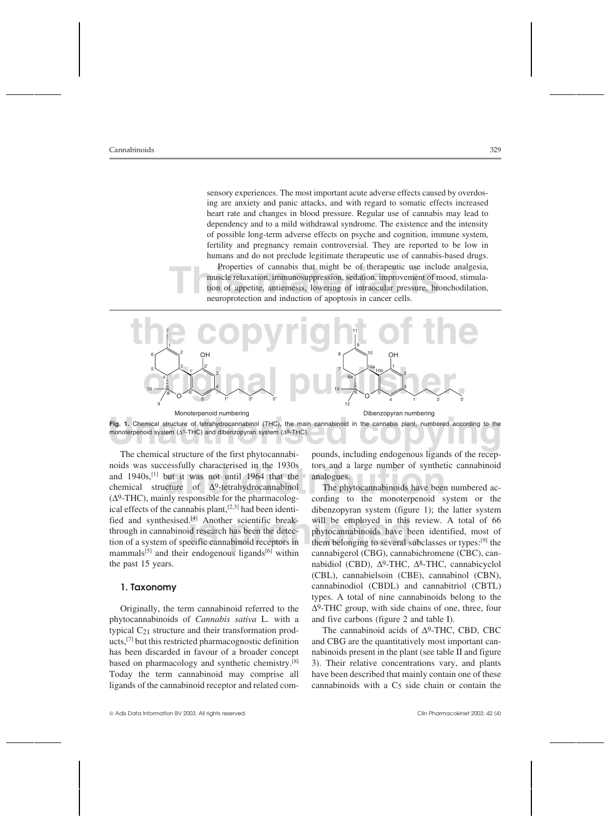### Cannabinoids 329

sensory experiences. The most important acute adverse effects caused by overdosing are anxiety and panic attacks, and with regard to somatic effects increased heart rate and changes in blood pressure. Regular use of cannabis may lead to dependency and to a mild withdrawal syndrome. The existence and the intensity of possible long-term adverse effects on psyche and cognition, immune system, fertility and pregnancy remain controversial. They are reported to be low in humans and do not preclude legitimate therapeutic use of cannabis-based drugs.

**The Properties of cannabis that might be of therapeutic use inclusion**<br>muscle relaxation, immunosuppression, sedation, improvement of m<br>tion of appetite, antiemesis, lowering of intraocular pressure, bro<br>neuroprotection a Properties of cannabis that might be of therapeutic use include analgesia, muscle relaxation, immunosuppression, sedation, improvement of mood, stimulation of appetite, antiemesis, lowering of intraocular pressure, bronchodilation, neuroprotection and induction of apoptosis in cancer cells.



**Fig. 1.** Chemical structure of tetrahydrocannabinol (THC), the main cannabinoid in the cannabis plant, numbered according to the monoterpenoid system (Δ<sup>1</sup>-THC) and dibenzopyran system (Δ<sup>9</sup>-THC). monoterpenoid system (∆1-THC) and dibenzopyran system (∆9-THC).

and 1940s,<sup>[1]</sup> but it was not until 1964 that the analogues.<br>
chemical structure of  $\Delta^9$ -tetrahydrocannabinol The phytocannabinoids have been<br>  $(\Delta^9$ -THC), mainly responsible for the pharmacolog-<br>
cording to the monote noids was successfully characterised in the 1930s tors and a large number of synthetic cannabinoid chemical structure of ∆9-tetrahydrocannabinol The phytocannabinoids have been numbered ac- (∆9-THC), mainly responsible for the pharmacolog- cording to the monoterpenoid system or the tion of a system of specific cannabinoid receptors in mammals<sup>[5]</sup> and their endogenous ligands<sup>[6]</sup> within

phytocannabinoids of *Cannabis sativa* L. with a and five carbons (figure 2 and table I). typical  $C_{21}$  structure and their transformation prod-<br>The cannabinoid acids of  $\Delta^{9}$ -THC, CBD, CBC ligands of the cannabinoid receptor and related com- cannabinoids with a C<sub>5</sub> side chain or contain the

The chemical structure of the first phytocannabi- pounds, including endogenous ligands of the recep-

fied and synthesised.<sup>[4]</sup> Another scientific break-<br>through in cannabinoid research has been the detec-<br>through in cannabinoid research has been the detec-<br>through shave been identified, most of<br>tion of a system of speci ical effects of the cannabis plant,<sup>[2,3]</sup> had been identi- dibenzopyran system (figure 1); the latter system will be employed in this review. A total of 66 phytocannabinoids have been identified, most of the past 15 years. nabidiol (CBD), Δ<sup>9</sup>-THC, Δ<sup>8</sup>-THC, cannabicyclol (CBL), cannabielsoin (CBE), cannabinol (CBN), **1. Taxonomy** cannabinodiol (CBDL) and cannabitriol (CBTL) types. A total of nine cannabinoids belong to the Originally, the term cannabinoid referred to the  $\Delta$ 9-THC group, with side chains of one, three, four

ucts,<sup>[7]</sup> but this restricted pharmacognostic definition and CBG are the quantitatively most important canhas been discarded in favour of a broader concept nabinoids present in the plant (see table II and figure based on pharmacology and synthetic chemistry.<sup>[8]</sup> 3). Their relative concentrations vary, and plants Today the term cannabinoid may comprise all have been described that mainly contain one of these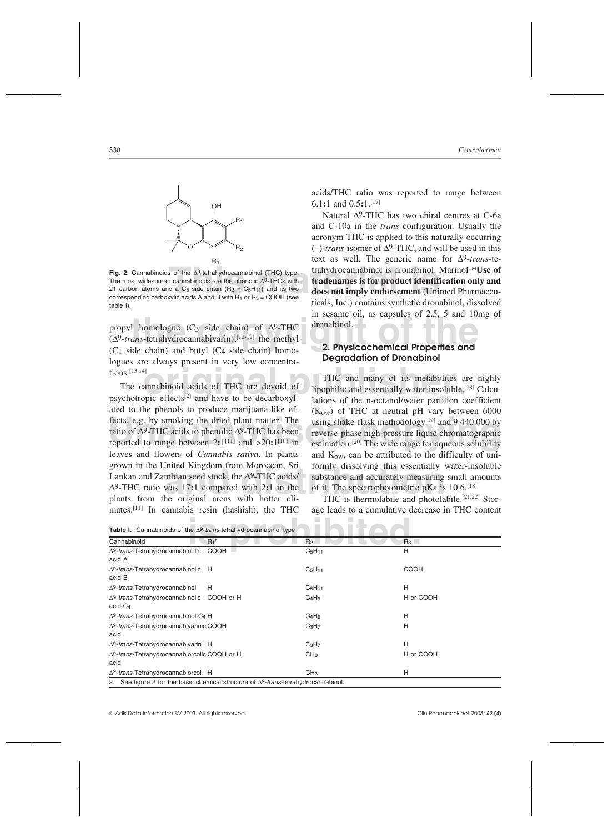

**Fig. 2.** Cannabinoids of the ∆9-tetrahydrocannabinol (THC) type. The most widespread cannabinoids are the phenolic ∆9-THCs with 21 carbon atoms and a  $C_5$  side chain ( $R_2 = C_5H_{11}$ ) and its two corresponding carboxylic acids A and B with  $R_1$  or  $R_3 =$  COOH (see table I).

I homologue  $(C_3$  side chain) of  $\Delta^9$ -THC<br>
ans-tetrahydrocannabivarin);<sup>[10-12]</sup> the methyl<br>
ide chain) and hutyl  $(C_4$  side chain) homo-<br> **2. Physicochemical Properties and** propyl homologue (C<sub>3</sub> side chain) of  $\Delta$ 9-THC dronabinol. (∆9-*trans*-tetrahydrocannabivarin);[10-12] the methyl (C<sub>1</sub> side chain) and butyl (C<sub>4</sub> side chain) homo-<br>
1 side chain) homo-<br> **Degradation of Dronabinol** concentra-<br> **Degradation of Dronabinol** tions.[13,14]

fects, e.g. by smoking the dried plant matter. The using shake-flask methodology<sup>[19]</sup> and 9 440 000 by ratio of  $\Delta^9$ -THC acids to phenolic  $\Delta^9$ -THC has been reported to range between 2**:**1<sup>[11]</sup> and >20**:**1<sup>[16]</sup> in miled Kingdom from Motoccan, Sri Formly dissolving this essentially<br>
mbian seed stock, the  $\Delta^9$ -THC acids/<br>
was 17:1 compared with 2:1 in the of it. The spectrophotometric pKa is<br>
he original areas with hotter cli-<br>
THC ated to the phenols to produce marijuana-like ef-<br>fects, e.g. by smoking the dried plant matter. The using shake-flask methodology<sup>[19]</sup> and 9 440 000 by fects, e.g. by smoking the dried plant matter. The using shake-flask methodology<sup>[19]</sup> and 9 440 000 by ratio of  $\Delta$ 9-THC acids to phenolic  $\Delta$ 9-THC has been reverse-phase high-pressure liquid chromatographic leaves and flowers of *Cannabis sativa*. In plants and  $K_{ow}$ , can be attributed to the difficulty of uni-<br>grown in the United Kingdom from Moroccan, Sri formly dissolving this essentially water-insoluble Lankan and Zambian seed stock, the  $\Delta$ 9-THC acids/ substance and accurately measuring small amounts ∆9-THC ratio was 17**:**1 compared with 2**:**1 in the of it. The spectrophotometric pKa is 10.6.[18] plants from the original areas with hotter cli-<br>mates.<sup>[11]</sup> In cannabis resin (hashish), the THC age leads to a cumulative decrease in THC content

acids/THC ratio was reported to range between 6.1**:**1 and 0.5**:**1.[17]

**The A<sup>9-tetrahydrocannabinol (THC) type.** trahydrocannabinol is dronabinol. If cannabinoids are the phenolic A<sup>9</sup>-THCs with d a C<sub>5</sub> side chain (R<sub>2</sub> = C<sub>5</sub>H<sub>11</sub>) and its two does not imply endorsement (Unit cylic acids </sup> Natural ∆9-THC has two chiral centres at C-6a and C-10a in the *trans* configuration. Usually the acronym THC is applied to this naturally occurring (–)-*trans-*isomer of ∆9-THC, and will be used in this text as well. The generic name for ∆9-*trans*-tetrahydrocannabinol is dronabinol. Marinol<sup>TM</sup>Use of **tradenames is for product identification only and does not imply endorsement** (Unimed Pharmaceuticals, Inc.) contains synthetic dronabinol, dissolved in sesame oil, as capsules of 2.5, 5 and 10mg of

<sup>4]</sup> THC and many of its metabolites a<br>annabinoid acids of THC are devoid of lipophilic and essentially water-insoluble.<sup>[1]</sup><br>ppic effects<sup>[2]</sup> and have to be decarboxyl-lations of the n-octanol/water nartition co THC and many of its metabolites are highly The cannabinoid acids of THC are devoid of lipophilic and essentially water-insoluble.<sup>[18]</sup> Calcupsychotropic effects<sup>[2]</sup> and have to be decarboxyl-<br>ations of the n-octanol/water partition coefficient<br>ated to the phenols to produce marijuana-like ef-<br> $(K_{\text{ow}})$  of THC at neutral pH vary between 6000 reverse-phase high-pressure liquid chromatographic formly dissolving this essentially water-insoluble

age leads to a cumulative decrease in THC content

| Cannabinoid                                                 | $R_1^a$ | R <sub>2</sub>                 | $R_3$       |  |
|-------------------------------------------------------------|---------|--------------------------------|-------------|--|
| ∆ <sup>9</sup> -trans-Tetrahydrocannabinolic<br>acid A      | COOH    | C <sub>5</sub> H <sub>11</sub> | H           |  |
| $\Delta$ 9-trans-Tetrahydrocannabinolic H<br>acid B         |         | C <sub>5</sub> H <sub>11</sub> | <b>COOH</b> |  |
| $\Delta$ 9- <i>trans</i> -Tetrahydrocannabinol              | н       | C <sub>5</sub> H <sub>11</sub> | Н           |  |
| ∆9-trans-Tetrahydrocannabinolic COOH or H<br>$acid-C4$      |         | $C_4H_9$                       | H or COOH   |  |
| $\Delta$ 9-trans-Tetrahydrocannabinol-C <sub>4</sub> H      |         | $C_4H_9$                       | н           |  |
| ∆ <sup>9</sup> -trans-Tetrahydrocannabivarinic COOH<br>acid |         | $C_3H_7$                       | Н           |  |
| $\Delta$ 9-trans-Tetrahydrocannabivarin H                   |         | C <sub>3</sub> H <sub>7</sub>  | н           |  |
| ∆9-trans-Tetrahydrocannabiorcolic COOH or H<br>acid         |         | CH <sub>3</sub>                | H or COOH   |  |
| $\Delta$ 9-trans-Tetrahydrocannabiorcol H                   |         | CH <sub>3</sub>                | н           |  |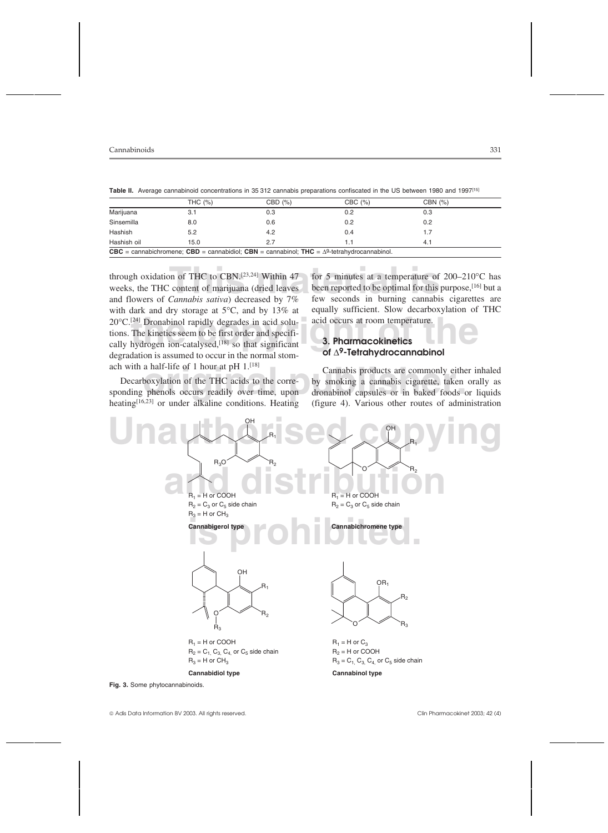| 331 |  |
|-----|--|
|     |  |

**Table II.** Average cannabinoid concentrations in 35 312 cannabis preparations confiscated in the US between 1980 and 1997[15]

|             | THC (%) | CBD(%)                                                                                                                          | CBC(%) | CBN $(%)$ |
|-------------|---------|---------------------------------------------------------------------------------------------------------------------------------|--------|-----------|
| Marijuana   | 3.1     | 0.3                                                                                                                             | 0.2    | 0.3       |
| Sinsemilla  | 8.0     | 0.6                                                                                                                             | 0.2    | 0.2       |
| Hashish     | 5.2     | 4.2                                                                                                                             | 0.4    |           |
| Hashish oil | 15.0    | 2.7                                                                                                                             | I. 1   | 4.1       |
|             |         | <b>CBC</b> = cannabichromene; <b>CBD</b> = cannabidiol; <b>CBN</b> = cannabinol; <b>THC</b> = $\Delta^9$ -tetrahydrocannabinol. |        |           |

In of THC to CBN.<sup>[23,24]</sup> Within 47 for 5 minutes at a temperature of content of marijuana (dried leaves been reported to be optimal for this *Cannabis sativa*) decreased by  $7\%$  few seconds in burning cannabi <sup>[24]</sup> Dronabinol rapidly degrades in acid solu-<br>The kinetics seem to be first order and specifi-<br>hydrogen ion-catalysed,<sup>[18]</sup> so that significant<br>**3. Pharmacokinetics** through oxidation of THC to CBN.<sup>[23,24]</sup> Within 47 for 5 minutes at a temperature of 200–210°C has weeks, the THC content of marijuana (dried leaves been reported to be optimal for this purpose,<sup>[16]</sup> but a and flowers of *Cannabis sativa*) decreased by  $7\%$  few seconds in burning cannabis cigarettes are and flowers of *Cannabis sativa*) decreased by 7% few seconds in burning cannabis cigarettes are with dark and dry storage at 5°C, and by 13% at equally sufficient. Slow decarboxylation of THC with dark and dry storage at 5°C, and by 13% at equally sufficient. Slow decarbox  $20^{\circ}$ C.<sup>[24]</sup> Dronabinol rapidly degrades in acid solu- acid occurs at room temperature.  $20^{\circ}$ C.<sup>[24]</sup> Dronabinol rapidly degrades in acid solutions. The kinetics seem to be first order and specifi-<br>cally hydrogen ion-catalysed,<sup>[18]</sup> so that significant **3. Pharmacokinetics**<br>degradation is assumed to occur in the normal stom-<br>**of**  $\Delta$ **9-Tetrahydrocannabinol** ach with a half-life of 1 hour at pH 1.[18]

a half-life of 1 hour at pH 1.<sup>116</sup> Cannabis products are commonly either<br>boxylation of the THC acids to the corre-<br>phenols occurs readily over time, upon<br>dronabinol capsules or in baked foods Cannabis products are commonly either inhaled Decarboxylation of the THC acids to the corre- by smoking a cannabis cigarette, taken orally as sponding phenols occurs readily over time, upon dronabinol capsules or in baked foods or liquids heating<sup>[16,23]</sup> or under alkaline conditions. Heating (figure 4). Various other routes of administration

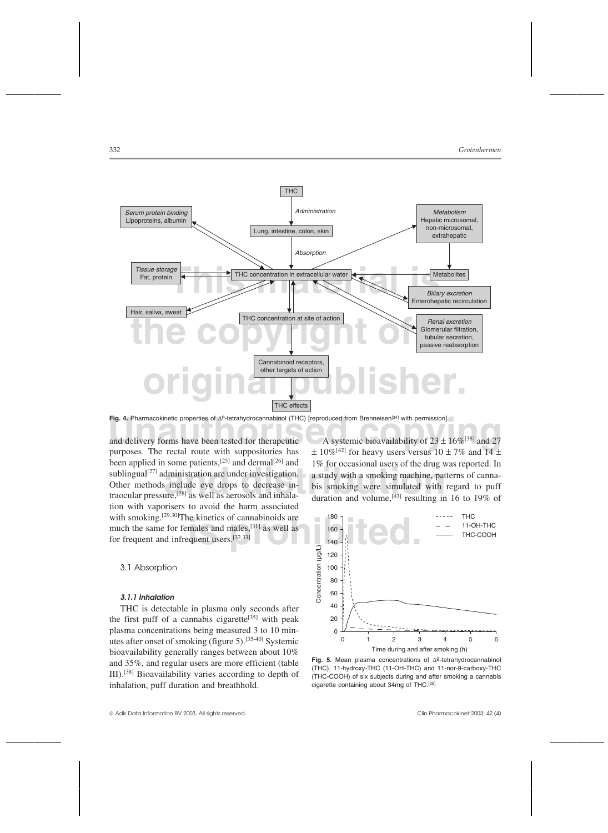

**Fig. 4.** Pharmacokinetic properties of ∆9-tetrahydrocannabinol (THC) [reproduced from Brenneisen<sup>[34]</sup> with permission].<br>and delivery forms have been tested for therapeutic A systemic bioavailability of 23 ± 16%<sup>[38]</sup> an Sublingual<sup>[27]</sup> administration are under investigation.<br>
Other methods include eye drops to decrease interaction and volume,<sup>[43]</sup> resulting in 16 to 19% of<br>
traocular pressure,<sup>[28]</sup> as well as aerosols and inhala-<br>
dura and delivery forms have been tested for therapeutic A systemic bioavailability of  $23 \pm 16\%^{[38]}$  and 27 purposes. The rectal route with suppositories has  $\pm 10\%$ <sup>[42]</sup> for heavy users versus  $10 \pm 7\%$  and  $14 \pm 7\%$ been applied in some patients,<sup>[25]</sup> and dermal<sup>[26]</sup> and  $1\%$  for occasional users of the drug was reported. In Other methods include eye drops to decrease in-<br>traocular pressure,<sup>[28]</sup> as well as aerosols and inhala-<br>duration and volume  $[43]$  resulting in 16 to 19% of tion with vaporisers to avoid the harm associated with smoking.<sup>[29,30]</sup>The kinetics of cannabinoids are much the same for females and males,<sup>[31]</sup> as well as for frequent and infrequent users.[32,33]

3.1 Absorption

# *3.1.1 Inhalation*

THC is detectable in plasma only seconds after the first puff of a cannabis cigarette<sup>[35]</sup> with peak plasma concentrations being measured 3 to 10 minutes after onset of smoking (figure 5).[35-40] Systemic bioavailability generally ranges between about 10% and 35%, and regular users are more efficient (table III).[38] Bioavailability varies according to depth of inhalation, puff duration and breathhold.

duration and volume,<sup>[43]</sup> resulting in 16 to 19% of



**Fig. 5.** Mean plasma concentrations of ∆9-tetrahydrocannabinol (THC), 11-hydroxy-THC (11-OH-THC) and 11-nor-9-carboxy-THC (THC-COOH) of six subjects during and after smoking a cannabis cigarette containing about 34mg of THC.[35]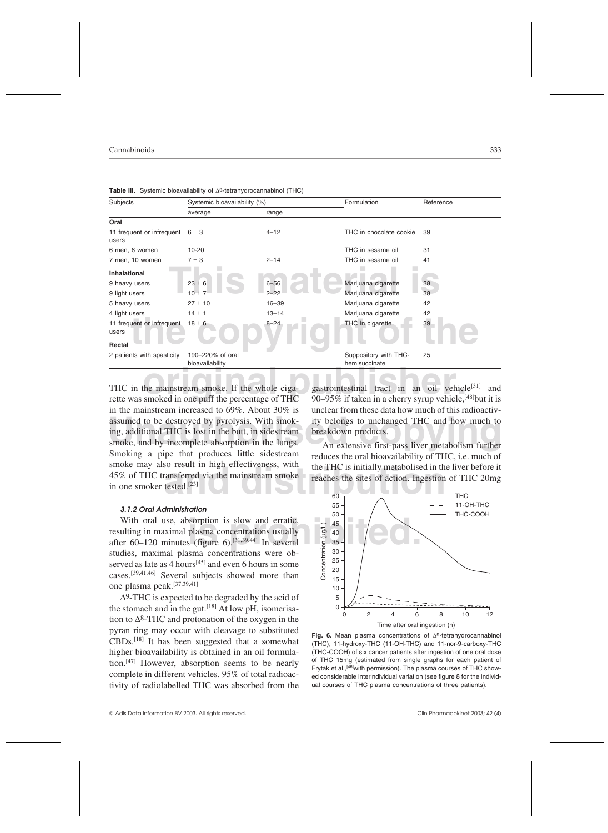|  |  |  |  | Table III. Systemic bioavailability of $\Delta$ 9-tetrahydrocannabinol (THC) |  |
|--|--|--|--|------------------------------------------------------------------------------|--|
|--|--|--|--|------------------------------------------------------------------------------|--|

| Subjects                                                                                              | Systemic bioavailability (%)        |           | Formulation                            | Reference                                                                                          |
|-------------------------------------------------------------------------------------------------------|-------------------------------------|-----------|----------------------------------------|----------------------------------------------------------------------------------------------------|
|                                                                                                       | average                             | range     |                                        |                                                                                                    |
| Oral                                                                                                  |                                     |           |                                        |                                                                                                    |
| 11 frequent or infrequent<br>users                                                                    | $6 \pm 3$                           | $4 - 12$  | THC in chocolate cookie                | 39                                                                                                 |
| 6 men, 6 women                                                                                        | 10-20                               |           | THC in sesame oil                      | 31                                                                                                 |
| 7 men, 10 women                                                                                       | $7 \pm 3$                           | $2 - 14$  | THC in sesame oil                      | 41                                                                                                 |
| Inhalational                                                                                          |                                     |           |                                        |                                                                                                    |
| 9 heavy users                                                                                         | $23 \pm 6$                          | $6 - 56$  | Marijuana cigarette                    | 38                                                                                                 |
| 9 light users                                                                                         | $10 + 7$                            | $2 - 22$  | Marijuana cigarette                    | 38                                                                                                 |
| 5 heavy users                                                                                         | $27 \pm 10$                         | $16 - 39$ | Marijuana cigarette                    | 42                                                                                                 |
| 4 light users                                                                                         | $14 \pm 1$                          | $13 - 14$ | Marijuana cigarette                    | 42                                                                                                 |
| 11 frequent or infrequent<br>users                                                                    | $18 \pm 6$                          | $8 - 24$  | THC in cigarette                       | 39                                                                                                 |
| Rectal                                                                                                |                                     |           |                                        |                                                                                                    |
| 2 patients with spasticity                                                                            | 190-220% of oral<br>bioavailability |           | Suppository with THC-<br>hemisuccinate | 25                                                                                                 |
|                                                                                                       |                                     |           |                                        |                                                                                                    |
| THC in the mainstream smoke. If the whole ciga-<br>rette was smoked in one puff the percentage of THC |                                     |           | gastrointestinal tract in<br>an        | vehicle <sup>[31]</sup><br>oil<br>and<br>90–95% if taken in a cherry syrup vehicle, [48] but it is |

assumed to be destroyed by pyrolysis. With smok-<br>
ing, additional THC is lost in the butt, in sidestream<br>
smoke, and by incomplete absorption in the lungs.<br>
An extensive first-pass liver metabolism further smoke may also result in high effectiveness, with<br>45% of THC transferred via the mainstream smoke<br>in one smoker tested.<sup>[23]</sup>  $\begin{bmatrix}\n60\n\end{bmatrix}$   $\begin{bmatrix}\n100\n\end{bmatrix}$ THC in the mainstream smoke. If the whole ciga- gastrointestinal tract in an oil vehicle<sup>[31]</sup> and ing, additional THC is lost in the butt, in sidestream breakdown products. Smoking a pipe that produces little sidestream reduces the oral bioavailability of THC, i.e. much of smoke may also result in high effectiveness, with the THC is initially metabolised in the liver before it in one smoker tested.[23]

## *3.1.2 Oral Administration*

With oral use, absorption is slow and erratic,<br>
resulting in maximal plasma concentrations usually<br>
after 60–120 minutes (figure 6).<sup>[31,39,44]</sup> In several<br>
atubion contrations in the several candidates and candidates and With oral use, absorption is slow and erratic, resulting in maximal plasma concentrations usually studies, maximal plasma concentrations were observed as late as 4 hours<sup>[45]</sup> and even 6 hours in some cases.[39,41,46] Several subjects showed more than one plasma peak.[37,39,41]

∆9-THC is expected to be degraded by the acid of the stomach and in the gut.<sup>[18]</sup> At low pH, isomerisation to ∆8-THC and protonation of the oxygen in the pyran ring may occur with cleavage to substituted CBDs.[18] It has been suggested that a somewhat higher bioavailability is obtained in an oil formulation.[47] However, absorption seems to be nearly complete in different vehicles. 95% of total radioactivity of radiolabelled THC was absorbed from the

rette was smoked in one puff the percentage of THC 90–95% if taken in a cherry syrup vehicle,<sup>[48]</sup>but it is in the mainstream increased to  $69\%$ . About  $30\%$  is unclear from these data how much of this radioactivassumed to be destroyed by pyrolysis. With smok- ity belongs to unchanged THC and how much to



**Fig. 6.** Mean plasma concentrations of ∆9-tetrahydrocannabinol (THC), 11-hydroxy-THC (11-OH-THC) and 11-nor-9-carboxy-THC (THC-COOH) of six cancer patients after ingestion of one oral dose of THC 15mg (estimated from single graphs for each patient of Frytak et al.,[46]with permission). The plasma courses of THC showed considerable interindividual variation (see figure 8 for the individual courses of THC plasma concentrations of three patients).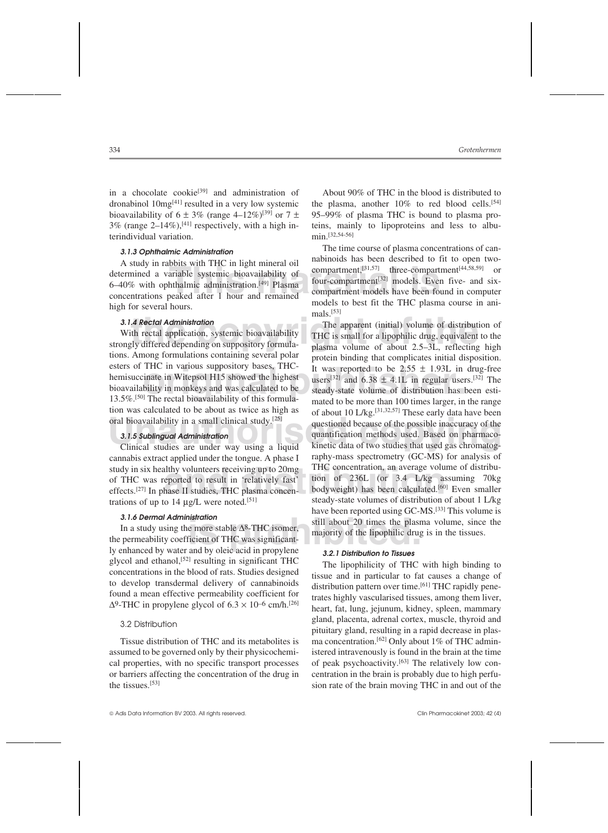bioavailability of  $6 \pm 3\%$  (range 4–12%)<sup>[39]</sup> or  $7 \pm 95$ –99% of plasma THC is bound to plasma pro- $3\%$  (range  $2-14\%$ ),<sup>[41]</sup> respectively, with a high in- teins, mainly to lipoproteins and less to albuterindividual variation. min.<sup>[32,54-56]</sup>

bons with TTC in fight filmetal on<br>ariable systemic bioavailability of<br>this models. Even<br>beaked after 1 hour and remained<br>the compartment models have been four-compartment models have been four-<br>compartment models have bee

esters of THC in various suppository bases, THC-<br>hemisuccinate in Witepsol H15 showed the highest<br>bioavailability in monkeys and was calculated to be<br> $13.5\%$ .<sup>[50]</sup> The rectal bioavailability of this formula-<br> $13.5\%$ .<sup>[</sup> With rectal application, systemic bioavailability THC is small for a lipophilic drug, equivalent to the strongly differed depending on suppository formula-<br> $\frac{1}{2}$  plasma, volume of about 2.5–31, reflecting high tions. Among formulations containing several polar protein binding that complicates initial disposition.<br>esters of THC in various suppository bases, THC-<br> $\frac{1}{1}$  was reported to be 2.55 + 1.93L in drug-free esters of THC in various suppository bases, THC-<br>hemisuccinate in Witepsol H15 showed the highest users<sup>[32]</sup> and 6.38  $\pm$  4.1L in regular users.<sup>[32]</sup> The<br>bioavailability in monkeys and was calculated to be steady-state 13.5%.<sup>[30]</sup> The rectal bioavailability of this formula—<br>tion was calculated to be about as twice as high as<br>of about 10 L/kg.<sup>[31,32,57]</sup> These early data have been

study in six healthy volunteers receiving up to 20mg<br>of THC concentration, an average volume of distribu-<br>of THC was reported to result in 'relatively fast' tion of 236L (or 3.4 L/kg assuming 70kg<br>effects.<sup>[27]</sup> In phase cannabis extract applied under the tongue. A phase I study in six healthy volunteers receiving up to 20mg of THC was reported to result in 'relatively fast' effects.<sup>[27]</sup> In phase II studies, THC plasma concen-

3.1.6 Dermal Administration<br>In a study using the more stable  $\Delta^8$ -THC isomer,<br>the permeability coefficient of THC was significant-<br>Iv enhanced by water and by oleic acid in propylene<br> $\Delta^8$ -THC isomer,<br>and  $\Delta^8$ -THC is ly enhanced by water and by oleic acid in propylene *3.2.1 Distribution to Tissues* glycol and ethanol,<sup>[52]</sup> resulting in significant THC<br>concentrations in the blood of rats. Studies designed<br>to develop transdermal delivery of cannabinoids<br>found a mean effective permeability coefficient for<br> $\Delta^9$ -THC i

in a chocolate cookie<sup>[39]</sup> and administration of About 90% of THC in the blood is distributed to dronabinol  $10mg^{[41]}$  resulted in a very low systemic the plasma, another  $10%$  to red blood cells.<sup>[54]</sup> the plasma, another 10% to red blood cells.<sup>[54]</sup>

3.1.3 Ophthalmic Administration<br>
The time course of plasma concentrations of can-<br>
<sup>1</sup> nabinoids has been described to fit to open two-A study in rabbits with THC in light mineral oil<br>determined a variable systemic bioavailability of<br> $6-40\%$  with ophthalmic administration.<sup>[49]</sup> Plasma<br> $\frac{1}{3}$  Plasma<br>four-compartment<sup>[32]</sup> models. Even five- and sixcompartment models have been found in computer<br>high for several hours.<br>3.1.4 Rectal Administration<br>3.1.4 Rectal Administration

**the computer of the computer of the control of the control of the copyright of the strongly differed depending on suppository formula-<br>strongly differed depending on suppository formula-<br>plasma volume of about 2.5–3L, ref United contains of the possible inaccuracy of the**<br> **United compared contains a** distribution methods used. Based on pharmaco-<br>
Clinical studies are under way using a liquid kinetic data of two studies that used gas chrom **3.1.4 Rectal Administration**<br>With rectal application, systemic bioavailability THC is small for a linophilic drug equivalent to the *3.1.5 Sublingual Administration* quantification methods used. Based on pharmaco-Clinical studies are under way using a liquid kinetic data of two studies that used gas chromatog-<br>numbis extract applied under the tongue. A phase I raphy-mass spectrometry (GC-MS) for analysis of steady-state volumes of distribution of about 1 L/kg have been reported using GC-MS.<sup>[33]</sup> This volume is

heart, fat, lung, jejunum, kidney, spleen, mammary gland, placenta, adrenal cortex, muscle, thyroid and 3.2 Distribution pituitary gland, resulting in a rapid decrease in plas-Tissue distribution of THC and its metabolites is ma concentration.[62] Only about 1% of THC adminassumed to be governed only by their physicochemi- istered intravenously is found in the brain at the time cal properties, with no specific transport processes of peak psychoactivity.<sup>[63]</sup> The relatively low conor barriers affecting the concentration of the drug in centration in the brain is probably due to high perfuthe tissues.<sup>[53]</sup> sion rate of the brain moving THC in and out of the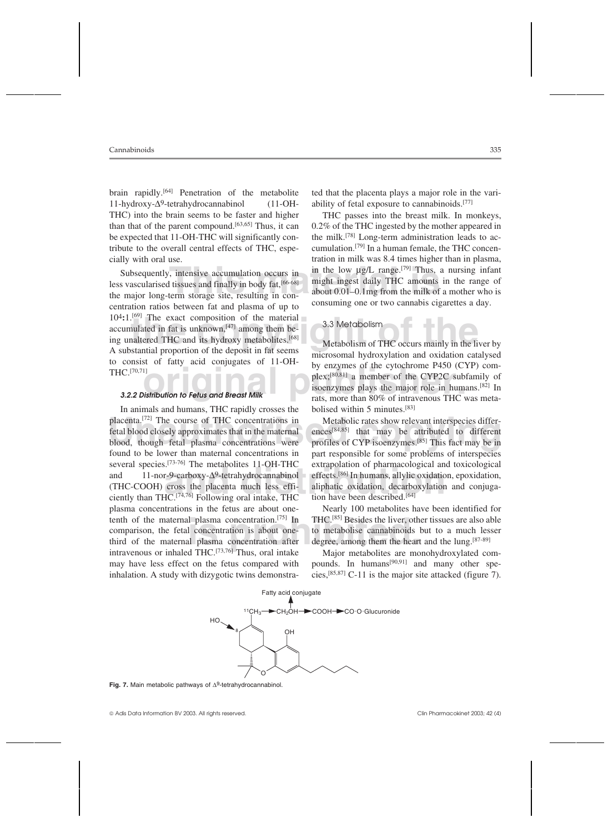### Cannabinoids 335

brain rapidly.<sup>[64]</sup> Penetration of the metabolite ted that the placenta plays a major role in the variability of fetal exposure to cannabinoids.[77] 11-hydroxy-∆9-tetrahydrocannabinol (11-OH-THC) into the brain seems to be faster and higher THC passes into the breast milk. In monkeys, than that of the parent compound.<sup>[63,65]</sup> Thus, it can 0.2% of the THC ingested by the mother appeared in be expected that 11-OH-THC will significantly con-<br>the milk.<sup>[78]</sup> Long-term administration leads to actribute to the overall central effects of THC, espe- cumulation.<sup>[79]</sup> In a human female, the THC concencially with oral use. tration in milk was 8.4 times higher than in plasma,

<sup>[69]</sup> The exact composition of the material<br>
uulated in fat is unknown,<sup>[47]</sup> among them be-<br>
naltered THC and its hydroxy metabolites.<sup>[68]</sup><br>
Metabolism of THC occurs mainly in the li-<br>
stantial proportion of the denosit about 0.01–0.1mg from the milk of a mother who is the major long-term storage site, resulting in con-<br>centration ratios between fat and plasma of up to consuming one or two cannabis cigarettes a day. 104**:**1.<sup>[69]</sup> The exact composition of the material accumulated in fat is unknown,<sup>[47]</sup> among them be-<br>3.3 Metabolism ing unaltered THC and its hydroxy metabolites.<sup>[68]</sup> Ing unaltered THC and its hydroxy metabolites.<sup>1001</sup><br>
A substantial proportion of the deposit in fat seems<br>
to consist of fatty acid conjugates of 11-OH-<br>
THC.<sup>[70,71]</sup><br>
THC.<sup>[70,71]</sup>

placenta.<sup>[72]</sup> The course of THC concentrations in Metabolic rates show relevant interspecies differ-<br>fetal blood closely approximates that in the maternal ences<sup>[84,85]</sup> that may be attributed to different<br>blood, though several species.<sup>[73-76]</sup> The metabolites 11-OH-THC extrapolation of pharmacological and toxicological and 11-nor-9-carboxy- $\Delta$ 9-tetrahydrocannabinol effects.<sup>[86]</sup> In humans, allylic oxidation, epoxidation, (THC-COOH) c tenth of the maternal plasma concentration.<sup>[75]</sup> In THC.<sup>[85]</sup> Besides the liver, other tissues are also a comparison, the fetal concentration is about one-<br>third of the maternal plasma concentration after degree, among t In animals and humans, THC rapidly crosses the bolised within 5 minutes.<sup>[83]</sup> fetal blood closely approximates that in the maternal blood, though fetal plasma concentrations were several species.<sup>[73-76]</sup> The metabolites 11-OH-THC and 11-nor-9-carboxy-∆9-tetrahydrocannabinol effects.[86] In humans, allylic oxidation, epoxidation, ciently than THC.<sup>[74,76]</sup> Following oral intake, THC plasma concentrations in the fetus are about one-<br>tearly 100 metabolites have been identified for<br>tenth of the maternal plasma concentration.<sup>[75]</sup> In THC.<sup>[85]</sup> Besides the liver, other tissues are also able tenth of the maternal plasma concentration.<sup>[75]</sup> In comparison, the fetal concentration is about one- to metabolise cannabinoids but to a much lesser intravenous or inhaled THC.[73,76] Thus, oral intake Major metabolites are monohydroxylated commay have less effect on the fetus compared with pounds. In humans<sup>[90,91]</sup> and many other spe-

Subsequently, intensive accumulation occurs in  $\frac{1}{2}$  in the low  $\mu g/L$  range.<sup>[79]</sup> Thus, a nursing infant<br>less vascularised tissues and finally in body fat,<sup>[66-68]</sup> might ingest daily THC amounts in the range of<br>the

by enzymes of the cytochrome P450 (C)<br>plex;<sup>[80,81]</sup> a member of the CYP2C sub-<br>isoenzymes plays the major role in human<br>rats, more than 80% of intravenous THC v plex;[80,81] a member of the CYP2C subfamily of isoenzymes plays the major role in humans.[82] In *3.2.2 Distribution to Fetus and Breast Milk* rats, more than 80% of intravenous THC was meta-

> Metabolic rates show relevant interspecies differpart responsible for some problems of interspecies aliphatic oxidation, decarboxylation and conjuga-

inhalation. A study with dizygotic twins demonstra- cies,<sup>[85,87]</sup> C-11 is the major site attacked (figure 7).



**Fig. 7.** Main metabolic pathways of ∆9-tetrahydrocannabinol.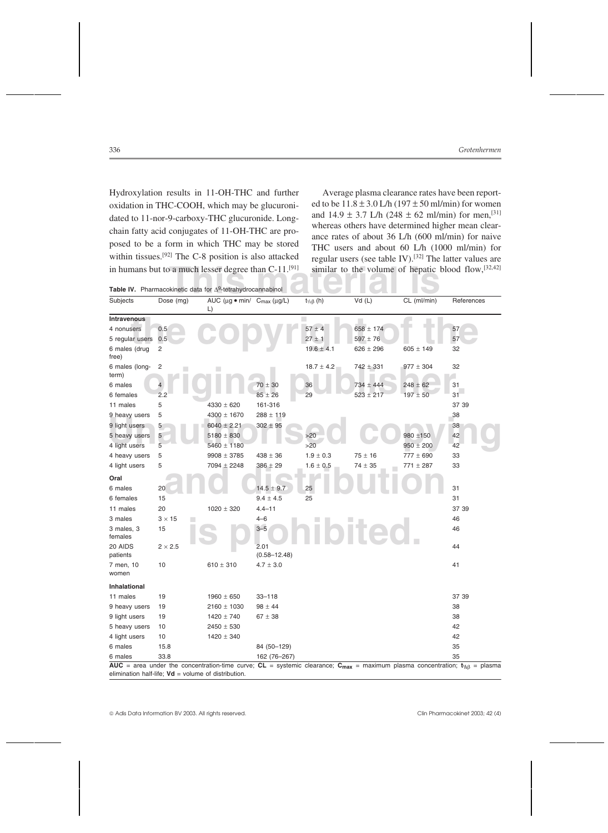Hydroxylation results in 11-OH-THC and further Average plasma clearance rates have been reportoxidation in THC-COOH, which may be glucuroni- ed to be  $11.8 \pm 3.0$  L/h ( $197 \pm 50$  ml/min) for women dated to 11-nor-9-carboxy-THC glucuronide. Long-<br>chain fatty acid conjugates of 11-OH-THC are pro-<br>posed to be a form in which THC may be stored<br>whereas others have determined higher mean clear-<br>mosed to be a form in whic in humans but to a much lesser degree than C-11.<sup>[91]</sup>

 $\alpha$  a much lesser degree than C-11.<sup>[91]</sup> similar to the volume of hepatic blood flow,<sup>[32,42]</sup> and 14.9  $\pm$  3.7 L/h (248  $\pm$  62 ml/min) for men,<sup>[31]</sup> regular users (see table IV).<sup>[32]</sup> The latter values are

| Subjects                | Dose (mg)      | AUC ( $\mu$ g • min/ C <sub>max</sub> ( $\mu$ g/L)<br>L)                                                                                              |                          | $t_{\frac{1}{2}\beta}$ (h) | Vd(L)         | CL (ml/min)   | References |
|-------------------------|----------------|-------------------------------------------------------------------------------------------------------------------------------------------------------|--------------------------|----------------------------|---------------|---------------|------------|
| Intravenous             |                |                                                                                                                                                       |                          |                            |               |               |            |
| 4 nonusers              | 0.5            |                                                                                                                                                       |                          | $57 \pm 4$                 | $658 \pm 174$ |               | 57         |
| 5 regular users         | 0.5            |                                                                                                                                                       |                          | $27 + 1$                   | $597 \pm 76$  |               | 57         |
| 6 males (drug<br>free)  | $\overline{c}$ |                                                                                                                                                       |                          | $19.6 \pm 4.1$             | $626 \pm 296$ | $605 \pm 149$ | 32         |
| 6 males (long-<br>term) | 2              |                                                                                                                                                       |                          | $18.7 \pm 4.2$             | $742 \pm 331$ | $977 \pm 304$ | 32         |
| 6 males                 |                |                                                                                                                                                       | $70 \pm 30$              | 36                         | $734 \pm 444$ | $248 \pm 62$  | 31         |
| 6 females               | 2.2            |                                                                                                                                                       | $85 \pm 26$              | 29                         | $523 \pm 217$ | $197 \pm 50$  | 31         |
| 11 males                | 5              | $4330 \pm 620$                                                                                                                                        | 161-316                  |                            |               |               | 37 39      |
| 9 heavy users           | 5              | $4300 \pm 1670$                                                                                                                                       | $288 \pm 119$            |                            |               |               | 38         |
| 9 light users           | 5              | $6040 \pm 2.21$                                                                                                                                       | $302 \pm 95$             |                            |               |               | 38         |
| 5 heavy users           | 5              | $5180 \pm 830$                                                                                                                                        |                          | >20                        |               | 980 ±150      | 42         |
| 4 light users           | 5              | $5460 \pm 1180$                                                                                                                                       |                          | >20                        |               | $950 \pm 200$ | 42         |
| 4 heavy users           | 5              | $9908 \pm 3785$                                                                                                                                       | $438 \pm 36$             | $1.9 \pm 0.3$              | $75 \pm 16$   | $777 \pm 690$ | 33         |
| 4 light users           | 5              | 7094 ± 2248                                                                                                                                           | $386 \pm 29$             | $1.6 \pm 0.5$              | $74 \pm 35$   | $771 \pm 287$ | 33         |
| Oral                    |                |                                                                                                                                                       |                          |                            |               |               |            |
| 6 males                 | 20             |                                                                                                                                                       | $14.5 \pm 9.7$           | 25                         |               |               | 31         |
| 6 females               | 15             |                                                                                                                                                       | $9.4 \pm 4.5$            | 25                         |               |               | 31         |
| 11 males                | 20             | $1020 \pm 320$                                                                                                                                        | $4.4 - 11$               |                            |               |               | 37 39      |
| 3 males                 | $3 \times 15$  |                                                                                                                                                       | $4 - 6$                  |                            |               |               | 46         |
| 3 males, 3<br>females   | 15             |                                                                                                                                                       | $3 - 5$                  |                            | ited          |               | 46         |
| 20 AIDS<br>patients     | $2 \times 2.5$ |                                                                                                                                                       | 2.01<br>$(0.58 - 12.48)$ |                            |               |               | 44         |
| 7 men, 10<br>women      | 10             | $610 \pm 310$                                                                                                                                         | $4.7 \pm 3.0$            |                            |               |               | 41         |
| Inhalational            |                |                                                                                                                                                       |                          |                            |               |               |            |
| 11 males                | 19             | $1960 \pm 650$                                                                                                                                        | $33 - 118$               |                            |               |               | 37 39      |
| 9 heavy users           | 19             | $2160 \pm 1030$                                                                                                                                       | $98 \pm 44$              |                            |               |               | 38         |
| 9 light users           | 19             | $1420 \pm 740$                                                                                                                                        | $67 \pm 38$              |                            |               |               | 38         |
| 5 heavy users           | 10             | $2450 \pm 530$                                                                                                                                        |                          |                            |               |               | 42         |
| 4 light users           | 10             | $1420 \pm 340$                                                                                                                                        |                          |                            |               |               | 42         |
| 6 males                 | 15.8           |                                                                                                                                                       | 84 (50-129)              |                            |               |               | 35         |
| 6 males                 | 33.8           |                                                                                                                                                       | 162 (76-267)             |                            |               |               | 35         |
|                         |                | AUC = area under the concentration-time curve; CL = systemic clearance; C <sub>max</sub> = maximum plasma concentration; $t_{\gamma_2\beta}$ = plasma |                          |                            |               |               |            |
|                         |                | elimination half-life; $Vd =$ volume of distribution.                                                                                                 |                          |                            |               |               |            |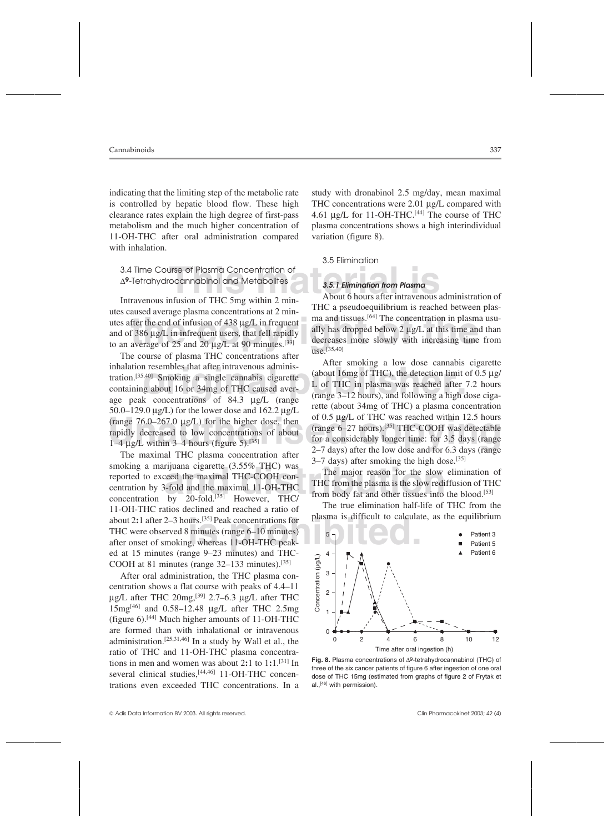### Cannabinoids 337

is controlled by hepatic blood flow. These high THC concentrations were 2.01 µg/L compared with clearance rates explain the high degree of first-pass 4.61 µg/L for 11-OH-THC.<sup>[44]</sup> The course of THC metabolism and the much higher concentration of plasma concentrations shows a high interindividual 11-OH-THC after oral administration compared variation (figure 8). with inhalation.

# **The Course of Plasma Concentration of<br>Δ<sup>9</sup>-Tetrahydrocannabinol and Metabolites<br>Intravenous infusion of THC 5mg within 2 min. About 6 hours after intravenous and** <sup>∆</sup>**9**-Tetrahydrocannabinol and Metabolites *3.5.1 Elimination from Plasma*

inhalation resembles that after intravenous administration.<sup>[35,40]</sup> Smoking a single cannabis cigarette tration.<sup>[35,40]</sup> Smoking a single cannabis cigarette containing about 16 or 34mg of THC caused average peak concentr inhalation resembles that after intravenous administration.<sup>[35,40]</sup> Smoking a single cannabis cigarette containing about 16 or 34mg of THC caused aver-<br>containing about 16 or 34mg of THC caused aver-<br>gage peak concentrations of 84.3  $\mu g/L$  (range 3–12 hours), and followi

smoking a marijuana cigarette  $(3.55\% \text{ THC})$  was<br>reported to exceed the maximal THC-COOH concentration by 3-fold and the maximal 11-OH-THC<br>concentration by 20-fold.<sup>[35]</sup> However, THC/<br>However, THC/<br>The true elimination urs.<sup>[35]</sup> Peak concentrations for<br>
iminutes (range 6–10 minutes)<br>
g, whereas 11-OH-THC peak-The maximal THC plasma concentration after centration by 3-fold and the maximal 11-OH-THC 11-OH-THC ratios declined and reached a ratio of the true elimination half-life of THC from the 11-OH-THC ratios declined and reached a ratio of plasma is difficult to calculate, as the equilibrium about 2:1 after 2–3 hours.<sup>[35]</sup> Peak concentrations for THC were observed 8 minutes (range 6–10 minutes) after onset of smoking, whereas 11-OH-THC peaked at 15 minutes (range 9–23 minutes) and THC-COOH at 81 minutes (range 32–133 minutes).[35]

After oral administration, the THC plasma concentration shows a flat course with peaks of 4.4–11 µg/L after THC 20mg,[39] 2.7–6.3 µg/L after THC 15mg[46] and 0.58–12.48 µg/L after THC 2.5mg (figure 6).[44] Much higher amounts of 11-OH-THC are formed than with inhalational or intravenous administration.[25,31,46] In a study by Wall et al., the ratio of THC and 11-OH-THC plasma concentrations in men and women was about 2**:**1 to 1**:**1.[31] In several clinical studies, <a>[44,46]</a> 11-OH-THC concentrations even exceeded THC concentrations. In a

indicating that the limiting step of the metabolic rate study with dronabinol 2.5 mg/day, mean maximal

3.5 Elimination

THC a pseudoequinorium is reached between plas-<br>the content is a series after the end of infusion of 438  $\mu$ g/L in frequent<br>and of 386  $\mu$ g/L in infrequent users, that fell rapidly<br>to an average of 25 and 20  $\mu$ g/L at Intravenous infusion of THC 5mg within 2 min-<br>
utes caused average plasma concentrations at 2 min-<br>
utes after the end of infusion of 438 µg/L in frequent<br>
and dissues.<sup>[64]</sup> The concentration in plasma usu-<br>
and of 386 µ use.[35,40]

The state of the tensor of the tensor of the tensor of 0.5  $\mu$ g/L of THC was reached within 12.5 hours<br>
rapidly decreased to low concentrations of about  $1-4 \mu$ g/L within 3-4 hours (figure 5).<sup>[35]</sup><br>
THC-COOH was detecta



**Fig. 8.** Plasma concentrations of ∆9-tetrahydrocannabinol (THC) of three of the six cancer patients of figure 6 after ingestion of one oral dose of THC 15mg (estimated from graphs of figure 2 of Frytak et al.,[46] with permission).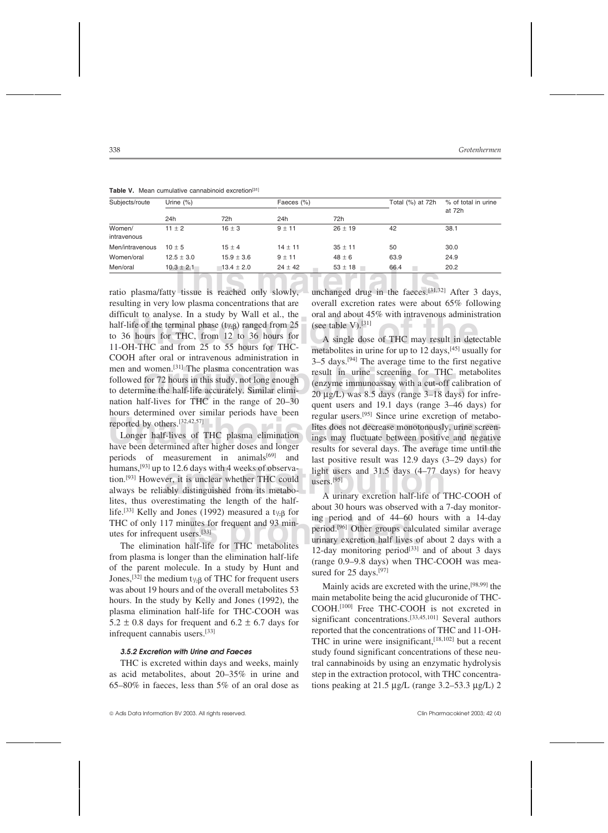| <b>Table V.</b> Mean cumulative cannabinoid excretion <sup>[31]</sup> |  |  |
|-----------------------------------------------------------------------|--|--|
|                                                                       |  |  |

| Subjects/route        | Urine $(\%)$   |                | Faeces (%)  |             | Total (%) at 72h | % of total in urine |  |
|-----------------------|----------------|----------------|-------------|-------------|------------------|---------------------|--|
|                       | 24h            | 72h            | 24h         | 72h         |                  | at 72h              |  |
| Women/<br>intravenous | $11 + 2$       | $16 + 3$       | $9 + 11$    | $26 \pm 19$ | 42               | 38.1                |  |
| Men/intravenous       | $10 + 5$       | $15 + 4$       | $14 + 11$   | $35 \pm 11$ | 50               | 30.0                |  |
| Women/oral            | $12.5 \pm 3.0$ | $15.9 \pm 3.6$ | $9 + 11$    | $48 \pm 6$  | 63.9             | 24.9                |  |
| Men/oral              | $10.3 \pm 2.1$ | $13.4 \pm 2.0$ | $24 \pm 42$ | $53 \pm 18$ | 66.4             | 20.2                |  |

difficult to analyse. In a study by Wall et al., the coral and about 45% with intravenous administration half-life of the terminal phase  $(t_{\beta\beta})$  ranged from 25 (see table V).<sup>[31]</sup><br>to 36 hours for THC, from 12 to 36 hou men and women.<sup>[31]</sup> The plasma concentration was<br>followed for 72 hours in this study, not long enough<br>to determine the half-life accurately. Similar elimi-<br>nation half-lives for THC in the range of 20–30<br>quant users and 1 resulting in very low plasma concentrations that are overall excretion rates were about 65% following half-life of the terminal phase (t<sub>1/2</sub> $\beta$ ) ranged from 25 (see table V).<sup>[31]</sup> to 36 hours for THC, from 12 to 36 hours for<br>
11-OH-THC and from 25 to 55 hours for THC<br>
11-OH-THC and from 25 to 55 hours for THC<br>
COOH after oral or intravenous administration in<br>
men and women.<sup>[31]</sup> The plasma concent reported by others.[32,42,57]

to 12.6 days with 4 weeks of observa-<br>
ver, it is unclear whether THC could<br>
ably distinguished from its metabo-<br>  $\frac{1}{2}$  ably distinguished from its metabo-<br>  $\frac{1}{2}$  ably distinguished from its metabo-<br>  $\frac{1}{2}$  abl have been determined after higher doses and longer results for several days. The average time until the periods of measurement in animals<sup>[69]</sup> and last positive result was 12.9 days (3–29 days) for humans,<sup>[93]</sup> up to 12.6 days with 4 weeks of observa-<br>tight users and 31.5 days (4–77 days) for heavy<br>tion.<sup>[93]</sup> However, it is unclear whether THC could<br>users.<sup>[95]</sup> tion.<sup>[93]</sup> However, it is unclear whether THC could  $\frac{1}{2}$  users.<sup>[95]</sup> always be reliably distinguished from its metabo-<br>lites, thus overestimating the length of the half-<br>life.<sup>[33]</sup> Kelly and Jones (1992) measured a t<sub>/2</sub>β for<br>life.<sup>[33]</sup> Kelly and Jones (1992) measured a t<sub>/2</sub>β for<br>light

Jones,<sup>[32]</sup> the medium t<sub>1/2</sub> $\beta$  of THC for frequent users was about 19 hours and of the overall metabolites 53 Mainly acids are excreted with the urine,<sup>[98,99]</sup> the hours In the study by Kelly and Jones (1992) the main metabolite being the acid glucuronide of THC-

oral and about 45% with intravenous administration

regular users.<sup>133</sup> Since urine excretion of metapo-<br>
Longer half-lives of THC plasma elimination<br>
have been determined after higher doses and longer<br>
Longer and Higher doses and longer<br>
results for several days. The avera lites does not decrease monotonously, urine screen-Longer half-lives of THC plasma elimination ings may fluctuate between positive and negative last positive result was 12.9 days (3–29 days) for

life.<sup>[33]</sup> Kelly and Jones (1992) measured a t<sub>/2β</sub> for infrequent and 93 min-<br>THC of only 117 minutes for frequent and 93 min-<br>tes for infrequent users.<sup>[33]</sup><br>The elimination half-life for THC metabolites<br>12-day monitor The elimination half-life for THC metabolites<br>from plasma is longer than the elimination half-life<br>of the parent molecule. In a study by Hunt and<br>of the parent molecule. In a study by Hunt and<br>frame 0.9–9.8 days) when THC-

hours. In the study by Kelly and Jones (1992), the<br>plasma elimination half-life for THC-COOH was<br>5.2 ± 0.8 days for frequent and 6.2 ± 6.7 days for<br>infrequent cannabis users.<sup>[33]</sup><br>infrequent cannabis users.<sup>[33]</sup> THC in urine were insignificant,  $[18,102]$  but a recent *3.5.2 Excretion with Urine and Faeces* study found significant concentrations of these neu-THC is excreted within days and weeks, mainly tral cannabinoids by using an enzymatic hydrolysis as acid metabolites, about 20–35% in urine and step in the extraction protocol, with THC concentra-65–80% in faeces, less than 5% of an oral dose as tions peaking at 21.5  $\mu g/L$  (range 3.2–53.3  $\mu g/L$ ) 2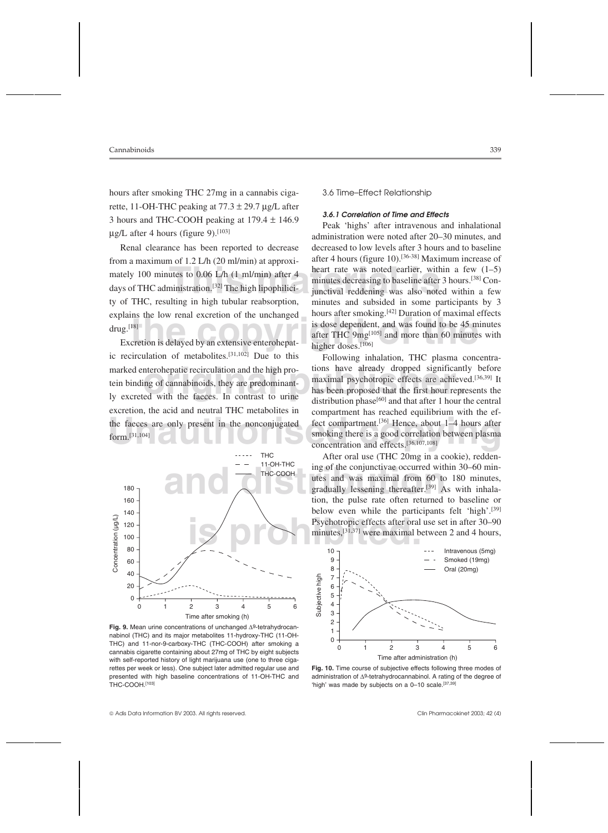### Cannabinoids 339

hours after smoking THC 27mg in a cannabis ciga-<br>3.6 Time–Effect Relationship rette, 11-OH-THC peaking at  $77.3 \pm 29.7$  ug/L after <sup>1</sup> 3.6.1 Correlation of Time and Effects<br>
<sup>3.6.1</sup> Correlation of Time and Effects<br>
Peak 'highs' after intravenous and inhalational  $\mu$ g/L after 4 hours (figure 9).<sup>[103]</sup>

mately 100 minutes to 0.06 L/h (1 ml/min) after 4 heart rate was noted earlier, within a few  $(1-5)$ <br>days of THC administration.<sup>[32]</sup> The high lipophilici-<br>tives decreasing to baseline after 3 hours.<sup>[38]</sup> Con-<br>ty of THC from a maximum of 1.2 L/h (20 ml/min) at approxi-<br>after 4 hours (figure 10).<sup>[36-38]</sup> Maximum increase of mately 100 minutes to 0.06 L/h (1 ml/min) after 4 explains the low renal excretion of the unchanged hours after smoking.<sup>[42]</sup> Duration of maximal effects  $\frac{1}{2}$  drug.<sup>[18]</sup>  $\frac{1}{2}$  drug.<sup>[18]</sup>  $\frac{1}{2}$  is dose dependent, and was found to be 45 minutes

marked enterohepatic recirculation and the high pro-<br>tein binding of cannabinoids, they are predominant-<br>ly excreted with the faeces. In contrast to urine distribution phase<sup>[60]</sup> and that after 1 hour the central Excretion is delayed by an extensive enterohepat-<br>higher doses.<sup>[106]</sup> ic recirculation of metabolites.<sup>[31,102]</sup> Due to this Following inhalation, THC plasma concentramarked enterohepatic recirculation and the high proand binary of calindarionals, and procedurated that the first hour represents the<br>excretion, the acid and neutral THC metabolites in<br>compartment has reached equilibrium with the efthe faeces are only present in the nonconjugated fect compartment.<sup>[36]</sup> Hence, about  $1-4$  hours after



**Fig. 9.** Mean urine concentrations of unchanged ∆9-tetrahydrocannabinol (THC) and its major metabolites 11-hydroxy-THC (11-OH-THC) and 11-nor-9-carboxy-THC (THC-COOH) after smoking a cannabis cigarette containing about 27mg of THC by eight subjects with self-reported history of light marijuana use (one to three cigarettes per week or less). One subject later admitted regular use and presented with high baseline concentrations of 11-OH-THC and THC-COOH.[103]

THC 9mg<sup>[106]</sup> and more than 60 minutes<br>cretion is delayed by an extensive enterohepat-<br>enterohepating.<sup>18]</sup> higher doses.<sup>[106]</sup> administration were noted after 20–30 minutes, and Renal clearance has been reported to decrease decreased to low levels after 3 hours and to baseline junctival reddening was also noted within a few minutes and subsided in some participants by 3 after THC  $9mg^{[105]}$  and more than 60 minutes with

the facces are only present in the nonconjugated fect compartment.<sup>[36]</sup> Hence, about 1–4 hours after form.<sup>[31,104]</sup> form.<sup>[31,104]</sup> concentration and effects.<sup>[36,107,108]</sup> compartment has reached equilibrium with the efform.<sup>[31,104]</sup>  $\bigcirc$  smoking there is a good correlation between plasma concentration and effects.[36,107,108]

After oral use (THC  $20$ mg in a cookie), reddening of the conjunctivae occurred within 30–60 minutes and was maximal from 60 to 180 minutes, gradually lessening thereafter.<sup>[39]</sup> As with inhalation, the pulse rate often returned to baseline or below even while the participants felt 'high'.[39] minutes,  $[31,37]$  were maximal between 2 and 4 hours,



**Fig. 10.** Time course of subjective effects following three modes of administration of ∆9-tetrahydrocannabinol. A rating of the degree of 'high' was made by subjects on a 0-10 scale.[37,3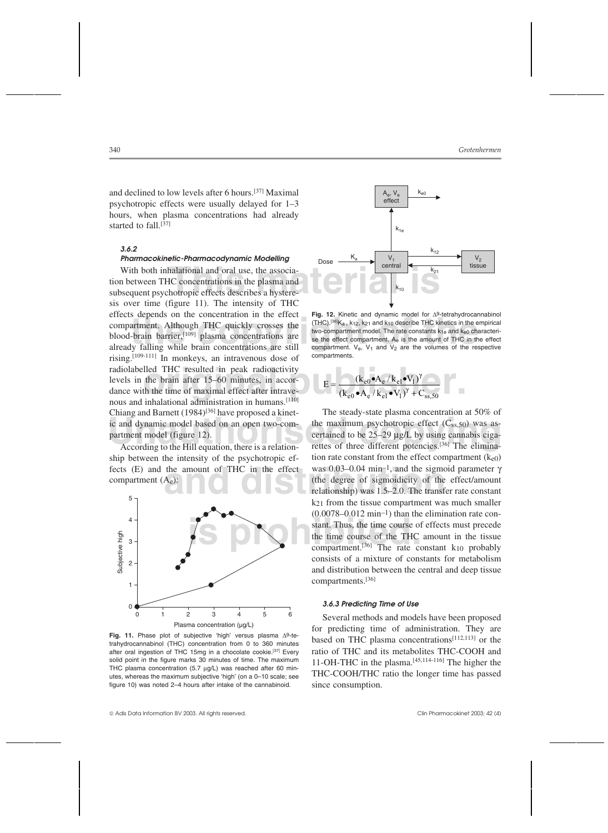and declined to low levels after 6 hours.[37] Maximal psychotropic effects were usually delayed for 1–3 hours, when plasma concentrations had already started to fall.<sup>[37]</sup>

# *3.6.2*

# *Pharmacokinetic-Pharmacodynamic Modelling*

With both inhalational and oral use, the association between THC concentrations in the plasma and subsequent psychotropic effects describes a hystere**the content and the content and the content and the content and the comparison of the comparison of**  $HIC$  **quickly crosses the**  $\frac{1}{2}$ **. Next and k<sub>10</sub> and k<sub>10</sub> details in the set of CHC kinetics in the set of CHC in the** radiolabelled THC resulted in peak radioactivity<br>levels in the brain after 15–60 minutes, in accor-<br>dance with the time of maximal effect after intrave-<br>nous and inhalational edministration in humans [100] With both inhalational and oral use, the association between THC concentrations in the plasma and sis over time (figure 11). The intensity of THC effects depends on the concentration in the effect compartment. Although THC quickly crosses the blood-brain barrier,<sup>[109]</sup> plasma concentrations are already falling while brain concentrations are still rising.<sup>[109-111]</sup> In monkeys, an intravenous dose of radiolabelled THC resulted in peak radioactivity levels in the brain after 15–60 minutes, in accornous and inhalational administration in humans.<sup>[110]</sup> Chiang and Barnett (1984)<sup>[36]</sup> have proposed a kinet-<br>The steady-state plasma concentration at 50% of ic and dynamic model based on an open two-com- the maximum psychotropic effect  $(C_{ss,50})$  was aspartment model (figure 12).  $\blacksquare$  certained to be 25–29  $\mu g/L$  by using cannabis ciga-

ship between the intensity of the psychotropic ef- tion rate constant from the effect compartment  $(k_{00})$ fects (E) and the amount of THC in the effect was 0.03–0.04 min<sup>-1</sup>, and the sigmoid parameter  $\gamma$ 



**Fig. 11.** Phase plot of subjective 'high' versus plasma ∆9-tetrahydrocannabinol (THC) concentration from 0 to 360 minutes after oral ingestion of THC 15mg in a chocolate cookie.[37] Every solid point in the figure marks 30 minutes of time. The maximum THC plasma concentration (5.7 µg/L) was reached after 60 minutes, whereas the maximum subjective 'high' (on a 0–10 scale; see figure 10) was noted 2–4 hours after intake of the cannabinoid.



**Fig. 12.** Kinetic and dynamic model for ∆9-tetrahydrocannabinol  $(THC).^{[36]}K_a$ ,  $k_{12}$ ,  $k_{21}$  and  $k_{10}$  describe THC kinetics in the empirical two-compartment model. The rate constants k1e and ke0 characterise the effect compartment. Ae is the amount of THC in the effect compartment.  $V_e$ ,  $V_1$  and  $V_2$  are the volumes of the respective compartments.

$$
E = \frac{(k_{e0} \cdot A_e / k_{e1} \cdot V_1)^{\gamma}}{(k_{e0} \cdot A_e / k_{e1} \cdot V_1)^{\gamma} + C_{ss,50}}
$$

Example the maximum psychotropic effect  $(C_{ss, 50})$  was as-<br>partment model (figure 12).<br>According to the Hill equation, there is a relation-<br>extens of three different potencies.<sup>[36]</sup> The eliminathe amount of THC in the effect was  $0.03-0.04$  min<sup>-1</sup>, and the sigmoidely of the degree of sigmoidicity of the relationship) was 1.5-2.0. The transf According to the Hill equation, there is a relation-<br>rettes of three different potencies.<sup>[36]</sup> The eliminacompartment  $(A<sub>e</sub>)$ : (the degree of sigmoidicity of the effect/amount relationship) was 1.5–2.0. The transfer rate constant k21 from the tissue compartment was much smaller  $(0.0078-0.012 \text{ min}^{-1})$  than the elimination rate constant. Thus, the time course of effects must precede the time course of the THC amount in the tissue compartment.<sup>[36]</sup> The rate constant  $k_{10}$  probably consists of a mixture of constants for metabolism and distribution between the central and deep tissue compartments.[36]

## *3.6.3 Predicting Time of Use*

Several methods and models have been proposed for predicting time of administration. They are based on THC plasma concentrations<sup>[112,113]</sup> or the ratio of THC and its metabolites THC-COOH and 11-OH-THC in the plasma.[45,114-116] The higher the THC-COOH/THC ratio the longer time has passed since consumption.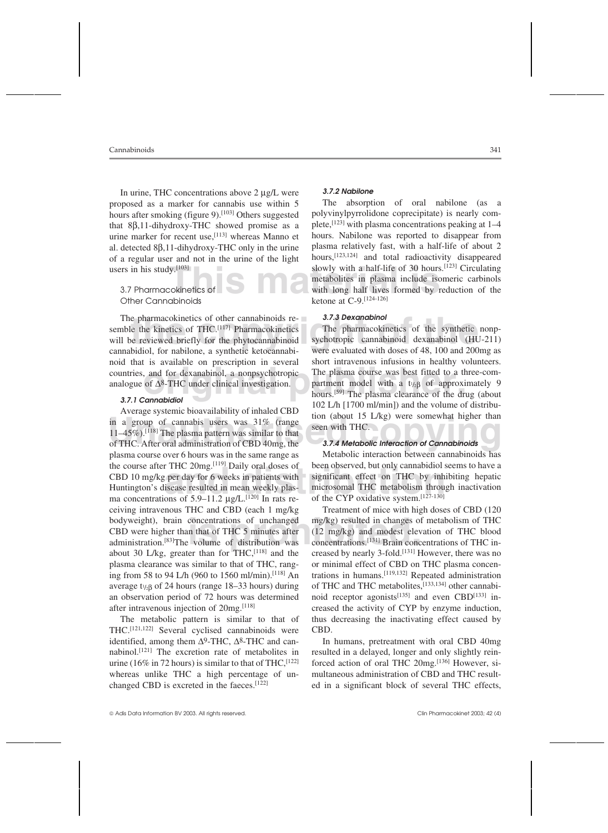### Cannabinoids 341

In urine, THC concentrations above 2 µg/L were **3.7.2 Nabilone**<br>obosed as a marker for cannabis use within 5 The absorption of oral nabilone (as a proposed as a marker for cannabis use within 5 The absorption of oral nabilone (as a hours after smoking (figure 9).<sup>[103]</sup> Others suggested polyvinylpyrrolidone coprecipitate) is nearly comhours after smoking (figure 9).<sup>[103]</sup> Others suggested that 8β,11-dihydroxy-THC showed promise as a plete,<sup>[123]</sup> with plasma concentrations peaking at 1–4 urine marker for recent use.<sup>[113]</sup> whereas Manno et hours. Nabilone was reported to disappear from urine marker for recent use,<sup>[113]</sup> whereas Manno et hours. Nabilone was reported to disappear from al. detected 8B.11-dihydroxy-THC only in the urine plasma relatively fast, with a half-life of about 2 al. detected  $8\beta$ ,11-dihydroxy-THC only in the urine of a regular user and not in the urine of the light hours,<sup>[123,124]</sup> and total radioactivity disappeared users in his study.<sup>[103]</sup>  $S$  slowly with a half-life of 30 hours.<sup>[123]</sup> Circulating

# Other Cannabinoids ketone at C-9.<sup>[124-126]</sup>

e pharmacokinetics of other cannabinoids re-<br> **the component of THC.**<sup>[117]</sup> Pharmacokinetics<br> **the pharmacokinetics** of the synthetic<br> **the pharmacokinetics** of the synthetic<br> **the pharmacokinetics** of the synthetic<br>
sych The pharmacokinetics of other cannabinoids re-<br>
The pharmacokinetics of the synthetic nonp-<br>
The pharmacokinetics of the synthetic nonpsemble the kinetics of THC.<sup>[117]</sup> Pharmacokinetics The pharmacokinetics of the synthetic nonpwill be reviewed briefly for the phytocannabinoid sychotropic cannabinoid dexanabinol (HU-211) cannabidiol, for nabilone, a synthetic ketocannabi- were evaluated with doses of 48, 100 and 200mg as cannabidiol, for nabilone, a synthetic ketocannabinoid that is available on prescription in several short intravenous infusions in healthy volunteers. countries, and for dexanabinol, a nonpsychotropic The plasma course was best fitted to a three-com-<br>analogue of  $\Delta^8$ -THC under clinical investigation. partment model with a t<sub>/2</sub>β of approximately 9

in a group of cannabis users was 31% (range tion (about 15 L/kg) were somewhat higher than<br>11–45%).<sup>[118]</sup> The plasma pattern was similar to that of THC.<br>of THC. After oral administration of CBD 40mg, the **3.7.4 Metabolic** the course after THC 20mg.<sup>[119]</sup> Daily oral doses of been observed, but only cannabidiol seems to have a CBD 10 mg/kg per day for 6 weeks in patients with significant effect on THC by inhibiting hepatic Huntington's dise **is bodyweight), brain concentrations of unchanged mg/kg) resulted in changes of metabolism of THC CBD were higher than that of THC 5 minutes after (12 mg/kg) and modest elevation of THC blood administration.<sup>[83]</sup>The volu** plasma course over 6 hours was in the same range as Metabolic interaction between cannabinoids has CBD 10 mg/kg per day for  $6$  weeks in patients with ma concentrations of 5.9–11.2  $\mu$ g/L.<sup>[120]</sup> In rats receiving intravenous THC and CBD (each 1 mg/kg Treatment of mice with high doses of CBD (120) bodyweight), brain concentrations of unchanged mg/kg) resulted in changes of metabolism of THC CBD were higher than that of THC 5 minutes after (12 mg/kg) and modest elevation of THC blood about 30 L/kg, greater than for THC,<sup>[118]</sup> and the creased by nearly 3-fold.<sup>[131]</sup> However, there was no plasma clearance was similar to that of THC, rang- or minimal effect of CBD on THC plasma concening from 58 to 94 L/h (960 to 1560 ml/min).<sup>[118]</sup> An trations in humans.<sup>[119,132]</sup> Repeated administration average  $t_{1/2}$  of 24 hours (range 18–33 hours) during an observation period of 72 hours was determined after intravenous injection of 20mg.[118] creased the activity of CYP by enzyme induction,

THC.<sup>[121,122]</sup> Several cyclised cannabinoids were CBD. identified, among them ∆9-THC, ∆8-THC and can- In humans, pretreatment with oral CBD 40mg nabinol.<sup>[121]</sup> The excretion rate of metabolites in resulted in a delayed, longer and only slightly reinurine (16% in 72 hours) is similar to that of THC,<sup>[122]</sup> forced action of oral THC 20mg.<sup>[136]</sup> However, siwhereas unlike THC a high percentage of un- multaneous administration of CBD and THC resultchanged CBD is excreted in the faeces.<sup>[122]</sup> ed in a significant block of several THC effects,

**The SUME SUME SUME SUME SUME SUMMAN SUMMAN SUMMAN SUMMAN SUMMAN SUMMAN SUMMAN SUMMAN SUMMAN SUMMAN SUMMAN SUMMAN SUMMAN SUMMAN SUMMAN SUMMAN SUMMAN SUMMAN SUMMAN SUMMAN SUMMAN SUMMAN SUMMAN SUMMAN SUMMAN SUMMAN SUMMAN SUM** metabolites in plasma include isomeric carbinols 3.7 Pharmacokinetics of with long half lives formed by reduction of the

and for dexanabinol, a nonpsychotropic The plasma course was best fitted to a the original of  $\Delta^8$ -THC under clinical investigation. Partment model with a t<sub>/2</sub><sup>8</sup> of approximate of the drug connection of the drug conne analogue of ∆8-THC under clinical investigation. <br>partment model with a t<sub>1/2β</sub> of approximately 9 3.7.1 Cannabidiol<br>Average systemic bioavailability of inhaled CBD<br>in a group of cannabis users was  $31\%$  (range<br>11–45%).<sup>[118]</sup> The plasma pattern was similar to that<br>11–45%).<sup>[118]</sup> The plasma pattern was similar to tha

been observed, but only cannabidiol seems to have a microsomal THC metabolism through inactivation

of THC and THC metabolites,<sup>[133,134]</sup> other cannabi-<br>noid receptor agonists<sup>[135]</sup> and even CBD<sup>[133]</sup> in-The metabolic pattern is similar to that of thus decreasing the inactivating effect caused by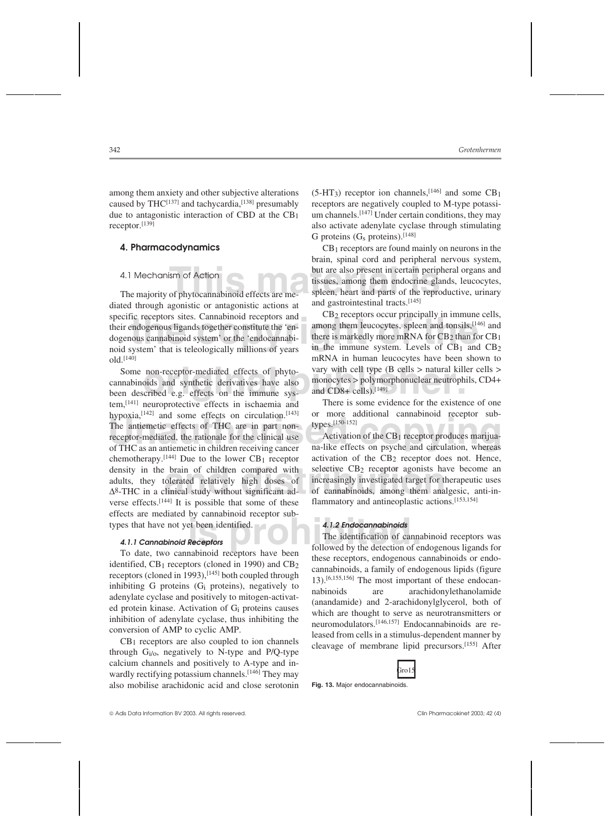caused by THC<sup>[137]</sup> and tachycardia,<sup>[138]</sup> presumably due to antagonistic interaction of CBD at the CB<sub>1</sub> um channels.<sup>[147]</sup> Under certain conditions, they may also activate adenylate cyclase through stimulating  $\frac{1}{2}$ 

specific receptors sites. Cannabinoid receptors and  $CB_2$  receptors occur principally in immune cells,<br>their endogenous ligands together constitute the 'en-<br>dogenous cannabinoid system' or the 'endocannabi-<br>noid system' t diated through agonistic or antagonistic actions at specific receptors sites. Cannabinoid receptors and dogenous cannabinoid system' or the 'endocannabinoid system' that is teleologically millions of years old.<sup> $[140]$ </sup>

Some non-receptor-mediated effects of phyto-vary with cell type (B cells > natural kill<br>cannabinoids and synthetic derivatives have also<br>been described e.g. effects on the immune sys-<br>mad CD8+ cells).<sup>[149]</sup><br>There is some The antiemetic effects of THC are in part non-<br>receptor-mediated, the rationale for the clinical use<br>of THC as an antiemetic in children receiving cancer<br>of THC as an antiemetic in children receiving cancer<br>ma-like effects **density in the brain of children compared with** selective CB<sub>2</sub> receptor agonists have become an adults, they tolerated relatively high doses of increasingly investigated target for therapeutic uses  $Δ^8$ -THC in a clinic cannabinoids and synthetic derivatives have also monocytes > polymorphonuclear described e.g. effects on the immune system and CD8+ cells).<sup>[149]</sup> tem,<sup>[141]</sup> neuroprotective effects in ischaemia and There is some evidence for the existence of one hypoxia.<sup>[142]</sup> and some effects on circulation.<sup>[143]</sup> or more additional cannabinoid receptor subhypoxia,<sup>[142]</sup> and some effects on circulation.<sup>[143]</sup> or more additional relation receptor of THC are in part non-The antiemetic effects of THC are in part non-<br>receptor-mediated, the rationale for the clinical use  $\overline{A}$  Activation of the CB<sub>1</sub> receptor produces marijuareceptor-mediated, the rationale for the clinical use  $\Box$  Activation of the CB1 receptor produces marijuaof THC as an antiemetic in children receiving cancer na-like effects on psyche and circulation, whereas chemotherapy.  $[144]$  Due to the lower CB<sub>1</sub> receptor activation of the CB<sub>2</sub> receptor does not. Hence, density in the brain of children compared with selective  $CB_2$  receptor agonists have become an adults, they tolerated relatively high doses of increasingly investigated target for the rapeutic uses adults, they tolerated relatively high doses of verse effects.<sup>[144]</sup> It is possible that some of these flammatory and antineoplastic actions.<sup>[153,154]</sup> effects are mediated by cannabinoid receptor subtypes that have not yet been identified.

through  $G_i$ <sub>l</sub><sub>0</sub>, negatively to N-type and P/Q-type calcium channels and positively to A-type and inwardly rectifying potassium channels.<sup>[146]</sup> They may also mobilise arachidonic acid and close serotonin

among them anxiety and other subjective alterations (5-HT<sub>3</sub>) receptor ion channels,<sup>[146]</sup> and some CB<sub>1</sub> caused by THC<sup>[137]</sup> and tachycardia,<sup>[138]</sup> presumably receptors are negatively coupled to M-type potassialso activate adenylate cyclase through stimulating G proteins (G<sub>s</sub> proteins).<sup>[148]</sup>

4.1 Mechanism of Action but are also present in certain peripheral organs and tissues, among them endocrine glands, leucocytes, spleen, heart and parts of the reproductive, urinary **4. Pharmacodynamics** CB<sub>1</sub> receptors are found mainly on neurons in the brain, spinal cord and peripheral nervous system, The majority of phytocannabinoid effects are me-<br>spleen, heart and parts of the reproductive, urinary<br>ted through agonistic or antagonistic actions at and gastrointestinal tracts.<sup>[145]</sup>

among them leucocytes, spleen and tonsils,<sup>[146]</sup> and mRNA in human leucocytes have been shown to vary with cell type (B cells  $>$  natural killer cells  $>$ Some non-receptor-mediated effects of phyto-<br>numeric (B cells > natural killer cells ><br>numerinoids and synthetic derivatives have also monocytes > polymorphonuclear neutrophils, CD4+

**4.1.2 Endocannabinoids**<br>**4.1.1 Cannabinoid Receptors**<br>**4.1.1 Cannabinoid Receptors**<br>**4.1.2 Endocannabinoid receptors**<br>**4.1.2 Endocannabinoid receptors**<br>**4.1.2 Endocannabinoid receptors**<br>**4.1.2 Endocannabinoid receptors**<br> **4.1.1 Cannabinoid Receptors**<br>
To date, two cannabinoid receptors<br>
To date, two cannabinoid receptors have been<br>
identified, CB<sub>1</sub> receptors (cloned in 1990) and CB<sub>2</sub><br>
receptors, endogenous cannabinoids or endo-<br>
cannabi



**Fig. 13.** Major endocannabinoids.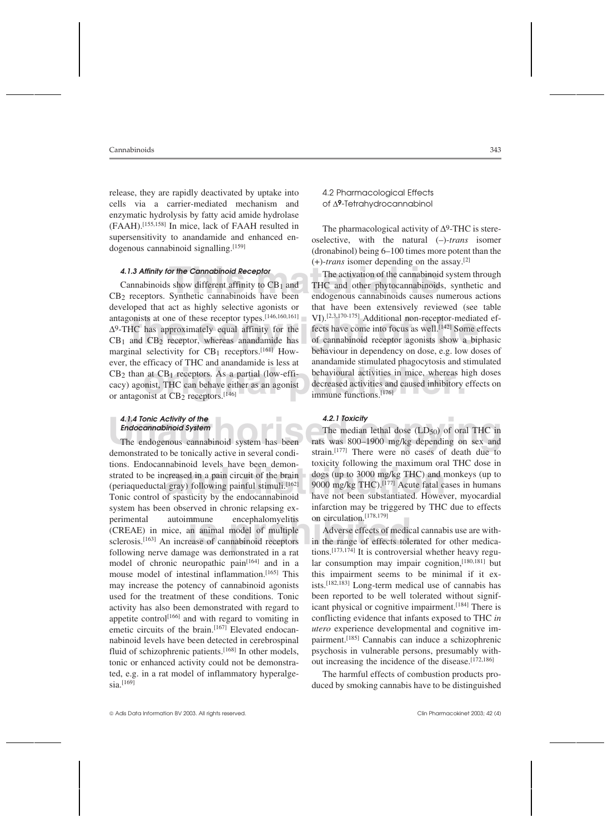### Cannabinoids 343

release, they are rapidly deactivated by uptake into 4.2 Pharmacological Effects cells via a carrier-mediated mechanism and of ∆**9**-Tetrahydrocannabinol enzymatic hydrolysis by fatty acid amide hydrolase (FAAH).<sup>[155,158]</sup> In mice, lack of FAAH resulted in The pharmacological activity of  $\Delta^9$ -THC is stere-<br>supersensitivity to anandamide and enhanced en-<br>oselective with the natural (-)-*trans* isomer

antagonists at one of these receptor types.<sup>[146,160,161]</sup> VI).<sup>[2,3,170-175]</sup> Additional non-receptor-mediated ef- $\Delta$ <sup>9</sup>-THC has approximately equal affinity for the fects have come into focus as well.<sup>[142]</sup> Some effec ever, the efficacy of THC and anandamide is less at anandamide stimulated phagocytosis and stimulated  $CB_2$  than at  $CB_1$  receptors. As a partial (low-effi-<br>cacy) agonist, THC can behave either as an agonist<br>or antagonist  $CB<sub>2</sub>$  receptors. Synthetic cannabinoids have been developed that act as highly selective agonists or antagonists at one of these receptor types. [146,160,161] ∆9-THC has approximately equal affinity for the marginal selectivity for CB<sub>1</sub> receptors.<sup>[161]</sup> How- $CB<sub>2</sub>$  than at  $CB<sub>1</sub>$  receptors. As a partial (low-efficacy) agonist, THC can behave either as an agonist or antagonist at CB<sub>2</sub> receptors.<sup>[146]</sup>

# *4.1.4 Tonic Activity of the 4.2.1 Toxicity*

distribution texts have been defined to the brain distribution of the brain distribution of the brain distribution of spasticity by the endocannabinoid have not been substantiated. However, the endocannabinoid have not bee perimental autoimmune encephalomyelitis on circulation.<sup>[178,179]</sup><br>(CREAE) in mice, an animal model of multiple Adverse effects of medical cannabis use are with-<br>sclerosis.<sup>[163]</sup> An increase of cannabinoid receptors in th demonstrated to be tonically active in several condi-<br>strain.<sup>[177]</sup> There were no cases of death due to tions. Endocannabinoid levels have been demon- toxicity following the maximum oral THC dose in strated to be increased in a pain circuit of the brain dogs (up to 3000 mg/kg THC) and monkeys (up to (periaqueductal gray) following painful stimuli.<sup>[162]</sup> 9000 mg/kg THC).<sup>[177]</sup> Acute fatal cases in humans Tonic control of spasticity by the endocannabinoid have not been substantiated. However, myocardial system has been observed in chronic relapsing ex-<br>infarction may be triggered by THC due to effects system has been observed in chronic relapsing experimental autoimmune encephalomyelitis on circulation.<sup>[178,179]</sup> (CREAE) in mice, an animal model of multiple model of chronic neuropathic pain<sup>[164]</sup> and in a lar consumption may impair cognition,<sup>[180,181]</sup> but mouse model of intestinal inflammation.  $[165]$  This this impairment seems to be minimal if it ex-<br>may increase the potency of cannabinoid agonists ists.  $[182, 183]$  Long-term medical use of cannabis has may increase the potency of cannabinoid agonists used for the treatment of these conditions. Tonic been reported to be well tolerated without signifactivity has also been demonstrated with regard to icant physical or cognitive impairment.<sup>[184]</sup> There is appetite control<sup>[166]</sup> and with regard to vomiting in conflicting evidence that infants exposed to THC *in* emetic circuits of the brain.<sup>[167]</sup> Elevated endocan-<br>nabinoid levels have been detected in cerebrospinal pairment.<sup>[185]</sup> Cannabis can induce a schizophrenic nabinoid levels have been detected in cerebrospinal fluid of schizophrenic patients.<sup>[168]</sup> In other models, tonic or enhanced activity could not be demonstra- out increasing the incidence of the disease.<sup>[172,186]</sup> ted, e.g. in a rat model of inflammatory hyperalge-<br>sia.<sup>[169]</sup> duced by smoking cannabis have to be distinguished

supersensitivity to anandamide and enhanced en-<br>dogenous cannabinoid signalling.<sup>[159]</sup> (dronabinol) being 6–100 times more potent than the (dronabinol) being  $6-100$  times more potent than the (+)-*trans* isomer depending on the assay.[2]

**4.1.3 Affinity for the Cannabinoid Receptor**<br>Cannabinoids show different affinity to CB<sub>1</sub> and<br>THC and other phytocannabinoids, synthetic and<br>22 receptors. Synthetic cannabinoids have been endogenous cannabinoids causes n The activation of the cannabinoid system through THC and other phytocannabinoids, synthetic and of cannabinoid receptor agonists show a biphasic anandamide stimulated phagocytosis and stimulated

**U.1.4 Tonic Activity of the**<br> **Endocannabinoid System has been** rats was 800–1900 mg/kg depending on sex and<br>
The median lethal dose (LD<sub>50</sub>) of oral THC in<br>
The median lethal dose (LD<sub>50</sub>) of oral THC in<br>
rats was 800–19 **Endocannabinoid System** The median lethal dose (LD<sub>50</sub>) of oral THC in

> in the range of effects tolerated for other medications.<sup>[173,174]</sup> It is controversial whether heavy regupsychosis in vulnerable persons, presumably with-

> duced by smoking cannabis have to be distinguished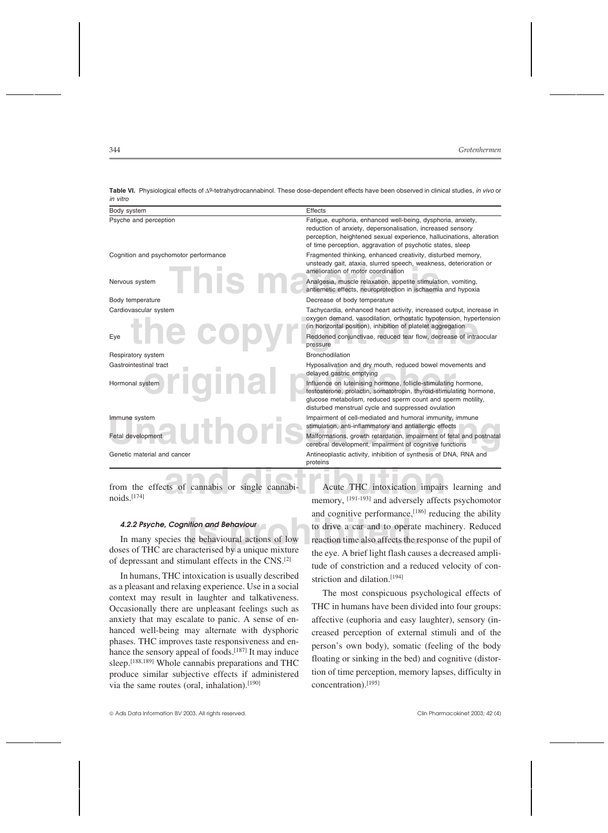**Table VI.** Physiological effects of ∆9-tetrahydrocannabinol. These dose-dependent effects have been observed in clinical studies, *in vivo* or *in vitro*

| Body system                           | <b>Effects</b>                                                                                                                                                                                                                                                  |
|---------------------------------------|-----------------------------------------------------------------------------------------------------------------------------------------------------------------------------------------------------------------------------------------------------------------|
| Psyche and perception                 | Fatique, euphoria, enhanced well-being, dysphoria, anxiety,<br>reduction of anxiety, depersonalisation, increased sensory<br>perception, heightened sexual experience, hallucinations, alteration<br>of time perception, aggravation of psychotic states, sleep |
| Cognition and psychomotor performance | Fragmented thinking, enhanced creativity, disturbed memory,<br>unsteady gait, ataxia, slurred speech, weakness, deterioration or<br>amelioration of motor coordination                                                                                          |
| Nervous system                        | Analgesia, muscle relaxation, appetite stimulation, vomiting,<br>antiemetic effects, neuroprotection in ischaemia and hypoxia                                                                                                                                   |
| Body temperature                      | Decrease of body temperature                                                                                                                                                                                                                                    |
| Cardiovascular system                 | Tachycardia, enhanced heart activity, increased output, increase in<br>oxygen demand, vasodilation, orthostatic hypotension, hypertension<br>(in horizontal position), inhibition of platelet aggregation                                                       |
| 2 CO<br>Eye                           | Reddened conjunctivae, reduced tear flow, decrease of intraocular<br>pressure                                                                                                                                                                                   |
| Respiratory system                    | Bronchodilation                                                                                                                                                                                                                                                 |
| Gastrointestinal tract                | Hyposalivation and dry mouth, reduced bowel movements and<br>delayed gastric emptying                                                                                                                                                                           |
| Hormonal system                       | Influence on luteinising hormone, follicle-stimulating hormone,<br>testosterone, prolactin, somatotropin, thyroid-stimulating hormone,<br>glucose metabolism, reduced sperm count and sperm motility,<br>disturbed menstrual cycle and suppressed ovulation     |
| Immune system                         | Impairment of cell-mediated and humoral immunity, immune<br>stimulation, anti-inflammatory and antiallergic effects                                                                                                                                             |
| UTK<br>Fetal development              | Malformations, growth retardation, impairment of fetal and postnatal<br>cerebral development, impairment of cognitive functions                                                                                                                                 |
| Genetic material and cancer           | Antineoplastic activity, inhibition of synthesis of DNA, RNA and<br>proteins                                                                                                                                                                                    |

tts of cannabis or single cannabi-<br> **and Acute THC** intoxication impairs<br>
memory [191-193] and adversely affect from the effects of cannabis or single cannabi- Acute THC intoxication impairs learning and noids.[174]

In humans, THC intoxication is usually described striction and dilation.<sup>[194]</sup> as a pleasant and relaxing experience. Use in a social as a preasant and relating experience. Use in a social The most conspicuous psychological effects of context may result in laughter and talkativeness.<br>Occasionally there are unpleasant feelings such as THC in humans have b Occasionally there are unpleasant feelings such as produce similar subjective effects if administered tion of time perception via the same routes (oral, inhalation).<sup>[196]</sup> concentration).<sup>[195]</sup> via the same routes (oral, inhalation).<sup>[190]</sup>

**4.2.2 Psyche, Cognition and Behaviour** to drive a car and to operate machinery. Reduced<br>
In many species the behavioural actions of low<br>
the sum A brief light flash square a degree a degree of the pupil of memory, [191-193] and adversely affects psychomotor and cognitive performance,<sup>[186]</sup> reducing the ability In many species the behavioural actions of low reaction time also affects the response of the pupil of doses of THC are characterised by a unique mixture doses of THC are characterised by a unique mixture the eye. A brief light flash causes a decreased ampli- of depressant and stimulant effects in the CNS.<sup>[2]</sup> tude of constriction and a reduced velocity of con-

anxiety that may escalate to panic. A sense of en- affective (euphoria and easy laughter), sensory (inhanced well-being may alternate with dysphoric creased perception of external stimuli and of the phases. THC improves taste responsiveness and enphases. THC improves taste responsiveness and en-<br>hance the sensory appeal of foods.<sup>[187]</sup> It may induce<br>sleep.<sup>[188,189]</sup> Whole cannabis preparations and THC<br>produce similar subjective effects if administered tion of tim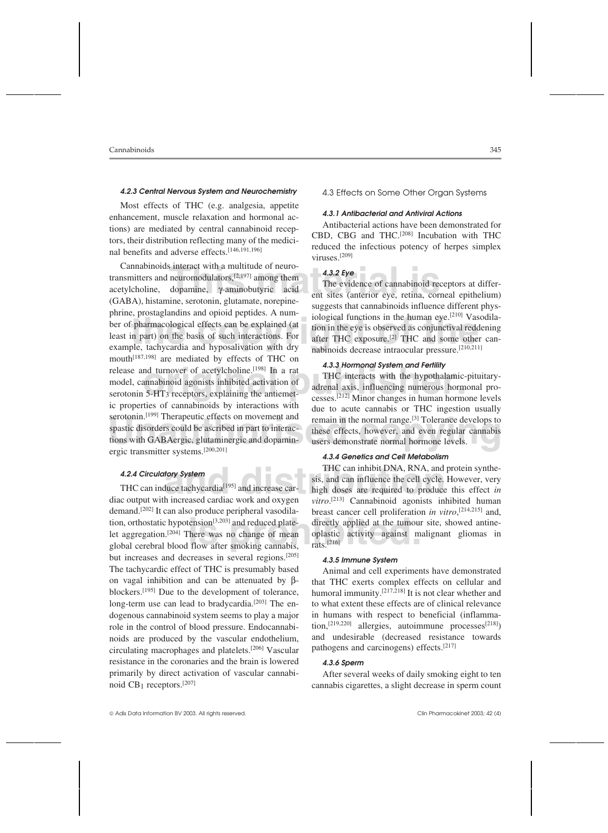# *4.2.3 Central Nervous System and Neurochemistry* 4.3 Effects on Some Other Organ Systems

Most effects of THC (e.g. analgesia, appetite enhancement, muscle relaxation and hormonal ac-<br>tions) are mediated by central cannohinoid recen<br>Antibacterial actions have been demonstrated for

transmitters and neuromodulators,<sup>[2,197]</sup> among them<br>acetylcholine, dopamine,  $\gamma$ -aminobutyric acid<br>(GABA), histamine, serotonin, glutamate, norepine-<br>comparison of the evidence of cannabinoid receptors at differ-<br>actylc phrine, prostaglandins and opioid peptides. A num-<br>ber of pharmacological effects can be explained (at  $\frac{1}{100}$  iological functions in the human eye.<sup>[210]</sup> Vasodila-<br>least in part) on the basis of such interactions. F France and turnover of acetylcholine.<sup>[198]</sup> In a rat model, cannabinoid agonists inhibited activation of acetylcholine.<sup>[198]</sup> In a rat model, cannabinoid agonists inhibited activation of acertic interacts with the hypoth serotonin.<sup>[199]</sup> Therapeutic effects on movement and<br>spastic disorders could be ascribed in part to interaction in the normal range.<sup>[3]</sup> Tolerance develops to<br>tions with GABAergic, glutaminergic and dopamin-<br>users demons Cannabinoids interact with a multitude of neuro-(GABA), histamine, serotonin, glutamate, norepineexample, tachycardia and hyposalivation with dry nabinoids decrease intraocular pressure.<sup>[210,211]</sup> mouth<sup>[187,198]</sup> are mediated by effects of THC on mouth<sup>[187,198]</sup> are mediated by effects of THC on<br>release and turnover of acetylcholine.<sup>[198]</sup> In a rat<br>model, cannabinoid agonists inhibited activation of<br>serotonin 5-HT<sub>3</sub> receptors, explaining the antiemet-<br>ic proper tions with GABAergic, glutaminergic and dopaminergic transmitter systems.[200,201]

tion, orthostatic hypotension<sup>[3,203]</sup> and reduced plate-<br>let aggregation.<sup>[204]</sup> There was no change of mean oplastic activity against malignant gliomas in<br>global cerebral blood flow after smoking cannabis rats.<sup>[216]</sup> diac output with increased cardiac work and oxygen demand.<sup>[202]</sup> It can also produce peripheral vasodilademand.[202] It can also produce peripheral vasodila- breast cancer cell proliferation *in vitro*, [214,215] and, let aggregation.<sup>[204]</sup> There was no change of mean global cerebral blood flow after smoking cannabis, but increases and decreases in several regions.<sup>[205]</sup> **4.3.5 Immune System**<br>The tachycardic effect of THC is presumably based Animal and cell exp The tachycardic effect of THC is presumably based Animal and cell experiments have demonstrated<br>on vagal inhibition and can be attenuated by  $\beta$ - that THC exerts complex effects on cellular and on vagal inhibition and can be attenuated by β- that THC exerts complex effects on cellular and blockers.<sup>[195]</sup> Due to the development of tolerance, humoral immunity.<sup>[217,218]</sup> It is not clear whether and long-term use can lead to bradycardia.<sup>[203]</sup> The en- to what extent these effects are of clinical relevance dogenous cannabinoid system seems to play a major in humans with respect to beneficial (inflammarole in the control of blood pressure. Endocannabi-<br>noids are produced by the vascular endothelium and undesirable (decreased resistance towards noids are produced by the vascular endothelium, and undesirable (decreased resistance inculating macrophages and platelets  $[206]$  Vascular pathogens and carcinogens) effects.  $[217]$ circulating macrophages and platelets.<sup>[206]</sup> Vascular resistance in the coronaries and the brain is lowered *4.3.6 Sperm* primarily by direct activation of vascular cannabi- After several weeks of daily smoking eight to ten

tions) are mediated by central cannabinoid receptors, their distribution reflecting many of the medici-<br>nal benefits and adverse effects.<sup>[146,191,196]</sup> reduced the infectious potency of herpes simplex viruses.[209]

after THC exposure.<sup>[2]</sup> THC and some other can-

these effects, however, and even regular cannabis

## *4.3.4 Genetics and Cell Metabolism*

**and distribution**<br>THC can induce tachycardia<sup>[195]</sup> and increase car-<br>c output with increased cardiac work and oxygen *vitro*<sup>[213]</sup> Cannabinoid agonists inhibited human THC can induce tachycardia[195] and increase car- high doses are required to produce this effect *in*  $vitro.$ <sup>[213]</sup> Cannabinoid agonists inhibited human directly applied at the tumour site, showed antine-

humoral immunity.<sup>[217,218]</sup> It is not clear whether and

noid CB<sub>1</sub> receptors.<sup>[207]</sup> cannabis cigarettes, a slight decrease in sperm count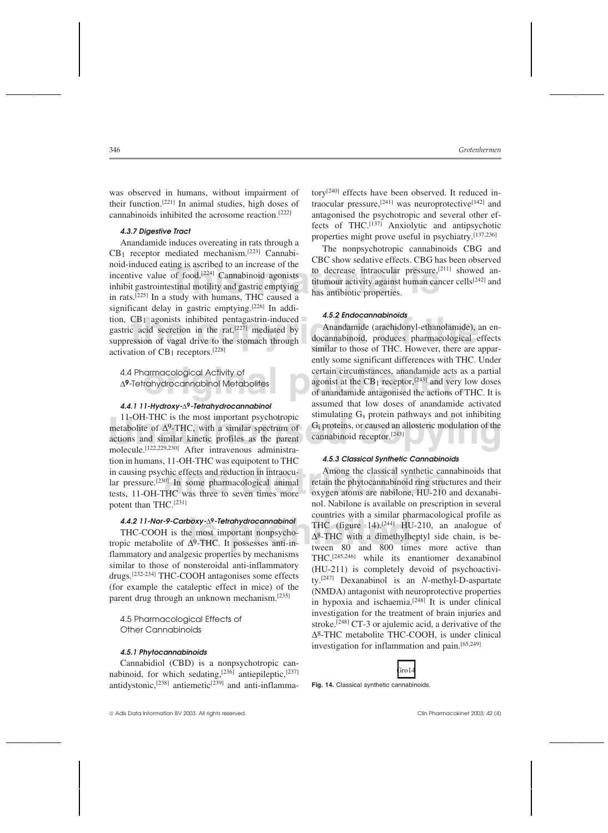cannabinoids inhibited the acrosome reaction.<sup>[222]</sup> antagonised the psychotropic and several other ef-

noid-induced eating is ascribed to an increase of the<br>incentive value of food,<sup>[224]</sup> Cannabinoid agonists<br>intraocular pressure,<sup>[211]</sup> showed an-<br>inhibit gastrointestinal motility and gastric emptying<br>in rats.<sup>[225]</sup> In tion, CB<sub>1</sub> agonists inhibited pentagastrin-induced<br>gastric acid secretion in the rat,<sup>[227]</sup> mediated by<br>suppression of vagal drive to the stomach through docannabinoid, produces pharmacological effects<br>activation of CB<sub></sub> Anandamide induces overeating in rats through a<br>
CB<sub>1</sub> receptor mediated mechanism.<sup>[223]</sup> Cannabi-<br>
moid-induced eating is ascribed to an increase of the<br>
incentive value of food.<sup>[224]</sup> Cannabinoid agonists<br>
inhibit gas significant delay in gastric emptying.[226] In addi-

11-OH-THC is the most important psychotropic<br>
metabolite of  $\Delta^9$ -THC, with a similar spectrum of  $G_i$  proteins, or caused an allosteric modulation of the<br>
actions and similar kinetic profiles as the parent cannabinoid r thic effects and reduction in intraocu-<br>
<sup>01</sup> In some pharmacological animal<br>
<sup>1</sup> THC was three to seven times more<br>
<sup>2</sup> oxygen atoms are nabilone, HU-210 metabolite of  $\Delta^9$ -THC, with a similar spectrum of Gi proteins, or caused an a<br>actions and similar kinetic profiles as the parent cannabinoid receptor.<sup>[243]</sup> actions and similar kinetic profiles as the parent *4.5.3 Classical Synthetic Cannabinoids* tion in humans, 11-OH-THC was equipotent to THC in causing psychic effects and reduction in intraocu- Among the classical synthetic cannabinoids that lar pressure.<sup> $[230]$ </sup> In some pharmacological animal retain the phytocannabinoid ring structures and their

flammatory and analgesic properties by mechanisms<br>flammatory and analgesic properties by mechanisms<br> $\text{THC}$ ,  $^{[245,246]}$  while its enantiomer dexanabinol<br>similar to those of nonsteroidal anti-inflammatory

## *4.5.1 Phytocannabinoids*

Cannabidiol (CBD) is a nonpsychotropic cannabinoid, for which sedating,<sup>[236]</sup> antiepileptic,<sup>[237]</sup> antidystonic,<sup>[238]</sup> antiemetic<sup>[239]</sup> and anti-inflamma-

Adis Data Information BV 2003. All rights reserved. Clin Pharmacokinet 2003; 42 (4)

was observed in humans, without impairment of tory<sup>[240]</sup> effects have been observed. It reduced in-<br>their function.<sup>[221]</sup> In animal studies, high doses of traocular pressure,<sup>[241]</sup> was neuroprotective<sup>[142]</sup> and traocular pressure,  $[241]$  was neuroprotective<sup>[142]</sup> and **4.3.7 Digestive Tract** fects of THC.<sup>[137]</sup> Anxiolytic and antipsychotic *properties might prove useful in psychiatry*.<sup>[137,236]</sup> Anandamide induces overeating in rats through a

**original publical publication** of anandamide acts as a partial agents and agents at the CB<sub>1</sub> receptor, <sup>[243]</sup> and very low doses of anandamide antagonised the actions of THC. It is ently some significant differences with THC. Under 4.4 Pharmacological Activity of certain circumstances, anandamide acts as a partial ∆9-Tetrahydrocannabinol Metabolites - - - agonist at the CB<sub>1</sub> receptor,<sup>[243]</sup> and very low doses *4.4.1 11-Hydroxy-∆<sup>9</sup>-Tetrahydrocannabinol* assumed that low doses of anandamide activated 11-OH-THC is the most important psychotropic stimulating G<sub>s</sub> protein pathways and not inhibiting 11-OH-THC is the most important psychotropic stimulating  $G_s$  protein pathways and not inhibiting the most important psychotropic  $G_i$  proteins, or caused an allosteric modulation of the

**4.4.2 11-Nor-9-Carboxy-** $\Delta$ **9-Tetrahydrocannabinol** countries with a similar pharmacological profile as<br>THC (figure 14).<sup>[244]</sup> HU-210, an analogue of<br>tropic metabolite of  $\Delta$ 9-THC. It possesses anti-in-<br>tropic metabolit tests, 11-OH-THC was three to seven times more  $\overline{ }$  oxygen atoms are nabilone, HU-210 and dexanabi-<br>nol. Nabilone is available on prescription in several nol. Nabilone is available on prescription in several countries with a similar pharmacological profile as similar to those of nonsteroidal anti-inflammatory<br>drugs.<sup>[232-234]</sup> THC-COOH antagonises some effects<br>(for example the cataleptic effect in mice) of the<br>parent drug through an unknown mechanism.<sup>[235]</sup><br>in hynovia and isc in hypoxia and ischaemia. $[248]$  It is under clinical A.5 Pharmacological Effects of stroke.<sup>[248]</sup> CT-3 or ajulemic acid, a derivative of the Other Cannabinoids <br>
∆8-THC metabolite THC-COOH, is under clinical investigation for inflammation and pain.[65,249]



Fig. 14. Classical synthetic cannabinoids.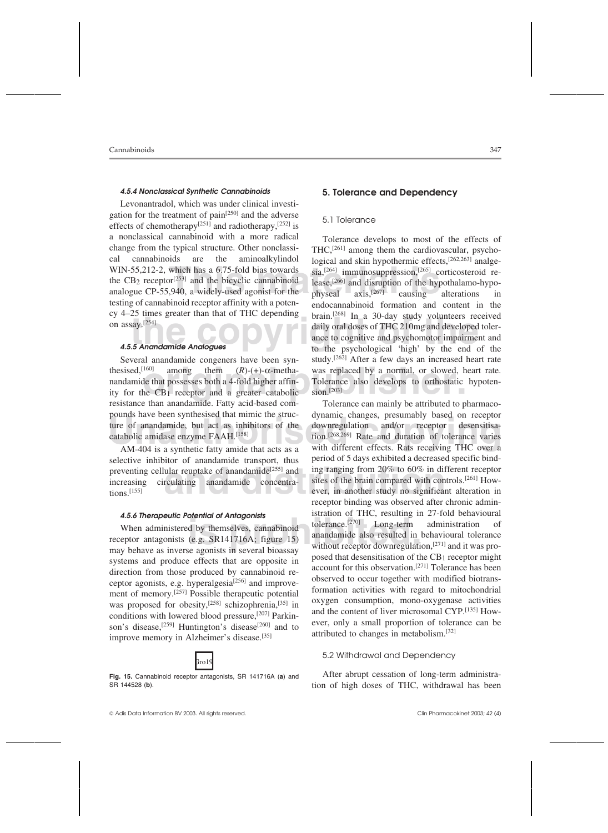# *4.5.4 Nonclassical Synthetic Cannabinoids* **5. Tolerance and Dependency**

which has a 6.75-fold bias towards  $\sin^{[264]}$  immunosuppression,<sup>[265]</sup> contract or  $\sin^{[253]}$  and the bicyclic cannabinoid lease,<sup>[266]</sup> and disruption of the hyperpeter of the simple degree of the physeal axis,<sup>[267]</sup> c Levonantradol, which was under clinical investigation for the treatment of pain $[250]$  and the adverse gation for the treatment of pain  $\frac{252}{251}$  and the adverse 5.1 Tolerance effects of chemotherapy<sup>[251]</sup> and radiotherapy,<sup>[252]</sup> is a nonclassical cannabinoid with a more radical Tolerance develops to most of the effects of change from the typical structure. Other nonclassi-<br> $THC^{[261]}$  among them the cardiovascular psychochange from the typical structure. Other nonclassi-<br>calculated among them the cardiovascular, psycho-<br>calculated among the aminoalkylindol and standard properties of  $[262,263]$  analog cal cannabinoids are the aminoalkylindol logical and skin hypothermic effects,<sup>[262,263]</sup> analge-<br>WIN-55,212-2, which has a 6.75-fold bias towards  $\frac{1264}{}$  immunosuppression<sup>[265]</sup> corticosteroid re-WIN-55,212-2, which has a 6.75-fold bias towards sia,<sup>[264]</sup> immunosuppression,<sup>[265]</sup> corticosteroid re-<br>the CB<sub>2</sub> receptor<sup>[253]</sup> and the bicyclic cannabinoid lease <sup>[266]</sup> and disruption of the hypothalamo-hypothe CB<sub>2</sub> receptor<sup>[253]</sup> and the bicyclic cannabinoid lease,<sup>[266]</sup> and disruption of the hypothalamo-hypoanalogue CP-55,940, a widely-used agonist for the physeal  $\alpha$  axis,<sup>[267]</sup> causing alterations in testing of cannabinoid receptor affinity with a poten-<br>cy 4–25 times greater than that of THC depending  $\frac{1}{268}$  In a 30-day study volunteers received cy 4–25 times greater than that of THC depending  $\frac{\text{brain}}{\text{chain}}$  in a 30-day study volunteers received<br>on assay.<sup>[254]</sup>

thesised,<sup>[160]</sup> among them  $(R)$ - $(+)$ - $\alpha$ -metha- was replaced by a normal, or slowed, h nandamide that possesses both a 4-fold higher affin-<br>ity for the CB<sub>1</sub> receptor and a greater catabolic sion.<sup>[203]</sup> thesised,<sup> $[160]$ </sup> among them  $(R)-(+)$ - $\alpha$ -metha- was replaced by a normal, or slowed, heart rate.<br>nandamide that possesses both a 4-fold higher affin- Tolerance also develops to orthostatic hypotenresistance than anandamide. Fatty acid-based com- Tolerance can mainly be attributed to pharmacopounds have been synthesised that mimic the struc- dynamic changes, presumably based on receptor ture of anandamide, but act as inhibitors of the downregulation and/or receptor desensitisa-<br>catabolic amidase enzyme FAAH.<sup>[158]</sup> (158] and the and duration of tolerance varies catabolic amidase enzyme FAAH.<sup>[158]</sup> (158] tion.<sup>[268,269]</sup> Rate and duration of tolerance varies

son's disease,<sup>[259]</sup> Huntington's disease<sup>[260]</sup> and to improve memory in Alzheimer's disease.<sup>[35]</sup>



**Fig. 15.** Cannabinoid receptor antagonists, SR 141716A (**a**) and SR 144528 (**b**).

assay.<sup>[254]</sup><br> **the copyright of the copyright of the copyright of the psychological 'high'** by the end of the<br> **4.5.5 Anandamide Analogues** daily oral doses of THC 210mg and developed tolerance to cognitive and psychomotor impairment and Several anandamide congeners have been syn-<br>study.<sup>[262]</sup> After a few days an increased heart rate Tolerance also develops to orthostatic hypoten-

bounds have been symmesised that infinite the studenture of an<br>andamide, but act as inhibitors of the downregulation and/or receptor desensitisa-<br>catabolic amidase enzyme FAAH.<sup>[158]</sup><br>AM-404 is a synthetic fatty amide that preventing cellular reuptake of anandamide<sup>[255]</sup> and ing ranging from 20% to 60% in different receptor increasing circulating anandamide concentrations.<sup>[155]</sup> However, in another study no significant alteration in recept **is protected.**<br>
d by themselves, cannabinoid<br>
(e.g. SR141716A; figure 15) anandamide also resulted in language agonists in several bioassay AM-404 is a synthetic fatty amide that acts as a with different effects. Rats receiving THC over a period of 5 days exhibited a decreased specific bindselective inhibitor of anandamide transport, thus period of 5 days exhibited a decreased specific bind-<br>preventing cellular reuntake of anandamide<sup>[255]</sup> and ing ranging from 20% to 60% in different receptor increasing circulating anandamide concentra-<br>tions.<sup>[155]</sup> How-<br>ever, in another study no significant alteration in ever, in another study no significant alteration in receptor binding was observed after chronic administration of THC, resulting in 27-fold behavioural *4.5.6 Therapeutic Potential of Antagonists* When administered by themselves, cannabinoid tolerance.<sup>[270]</sup> Long-term administration of analysis cannabinoid analysis analysis analysis analysis analysis analysis analysis analysis analysis analysis analysis analysis a receptor antagonists (e.g. SR141716A; figure 15)<br>
may behave as inverse agonists in several bioassay<br>
systems and produce effects that are opposite in<br>
direction from those produced by cannabinoid re-<br>
ceptor agonists, e. conditions with lowered blood pressure,<sup>[207]</sup> Parkin-<br>conditions with lowered blood pressure,<sup>[207]</sup> Parkin-<br>ever, only a small proportion of tolerance can be attributed to changes in metabolism.[32]

# 5.2 Withdrawal and Dependency

After abrupt cessation of long-term administration of high doses of THC, withdrawal has been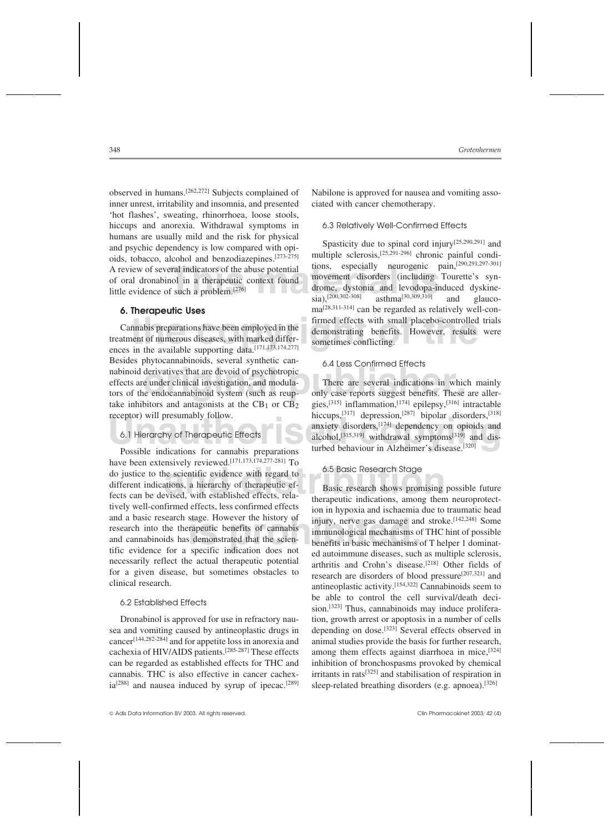observed in humans.<sup>[262,272]</sup> Subjects complained of Nabilone is approved for nausea and vomiting assoinner unrest, irritability and insomnia, and presented ciated with cancer chemotherapy. 'hot flashes', sweating, rhinorrhoea, loose stools, hiccups and anorexia. Withdrawal symptoms in 6.3 Relatively Well-Confirmed Effects humans are usually mild and the risk for physical<br>and psychic dependency is low compared with opi-<br>oids, tobacco, alcohol and benzodiazepines.<sup>[273-275]</sup> multiple sclerosis,<sup>[25,291-296]</sup> chronic painful condi-

Besides phytocannabinoids, several synthetic can-<br>
nabinoid derivatives that are devoid of psychotropic<br>
effects are under clinical investigation, and modula-<br>
tors of the endocannabinoid system (such as reup-<br>
only case r ences in the available supporting data.<sup>[171,173,174,277]</sup> Besides phytocannabinoids, several synthetic cannabinoid derivatives that are devoid of psychotropic effects are under clinical investigation, and modulators of the endocannabinoid system (such as reup-

do justice to the scientific evidence with regard to<br>different indications, a hierarchy of therapeutic ef-<br>fects can be devised, with established effects, rela-<br>therapeutic indications, among them neuroprotectstage. However the history of injury, nerve gas damage and<br>rapeutic benefits of cannabis<br>immunological mechanisms of<br>secretic indication does not Possible indications for cannabis preparations have been extensively reviewed.<sup>[171,173,174,277-281]</sup> To 6.5 Basic Research Stage do justice to the scientific evidence with regard to different indications, a hierarchy of therapeutic ef-<br>fects can be devised, with established effects, rela-<br>tively well-confirmed effects, less confirmed effects<br>and a basic research stage. However the history of<br>in in hyp research into the therapeutic benefits of cannabis<br>and cannabinoids has demonstrated that the scien-<br>tific evidence for a specific indication does not<br>necessarily reflect the actual therapeutic potential<br>for a given diseas for a given disease, but sometimes obstacles to research are disorders of blood pressure<sup>[207,321]</sup> and clinical research.

ia<sup>[288]</sup> and nausea induced by syrup of ipecac.<sup>[289]</sup> sleep-related breathing disorders (e.g. apnoea).<sup>[326]</sup>

A review of several indicators of the abuse potential<br>of oral dronabinol in a therapeutic context found<br>little evidence of such a problem,  $[276]$ <br>little evidence of such a problem,  $[276]$ <br>little evidence of such a probl **6. The rapeutic Uses** ma<sup>[28,311-314]</sup> can be regarded as relatively well-con-<br>Cannabis preparations have been employed in the treatment of numerous diseases, with marked differ-<br>treatment of numerous diseases, with marke tions, especially neurogenic pain,[290,291,297-301]  $sia$ ,  $^{[200,302-308]}$  asthma<sup>[30,309,310]</sup> and glaucoma<sup>[28,311-314]</sup> can be regarded as relatively well-con-

Ecceptor) will presumably follow.<br>
6.1 Hierarchy of Therapeutic Effects<br>
Bossible indications for cannobis preparations<br>
Possible indications for cannobis preparations<br>
Under the behaviour in Alzheimer's disease.<sup>[320]</sup> gies,<sup>[315]</sup> inflammation,<sup>[174]</sup> epilepsy,<sup>[316]</sup> intractable receptor) will presumably follow. hiccups,<sup>[317]</sup> depression,<sup>[287]</sup> bipolar disorders,<sup>[318]</sup> anxiety disorders,[174] dependency on opioids and 6.1 Hierarchy of Therapeutic Effects alcohol,<sup>[315,319]</sup> withdrawal symptoms<sup>[319]</sup> and disturbed behaviour in Alzheimer's disease.[320]

antineoplastic activity.<sup>[154,322]</sup> Cannabinoids seem to be able to control the cell survival/death deci- 6.2 Established Effects sion.[323] Thus, cannabinoids may induce prolifera-Dronabinol is approved for use in refractory nau- tion, growth arrest or apoptosis in a number of cells sea and vomiting caused by antineoplastic drugs in depending on dose.[323] Several effects observed in cancer<sup>[144,282-284]</sup> and for appetite loss in anorexia and animal studies provide the basis for further research, cachexia of HIV/AIDS patients.<sup>[285-287]</sup> These effects among them effects against diarrhoea in mice,<sup>[324]</sup> can be regarded as established effects for THC and inhibition of bronchospasms provoked by chemical cannabis. THC is also effective in cancer cachex- irritants in rats[325] and stabilisation of respiration in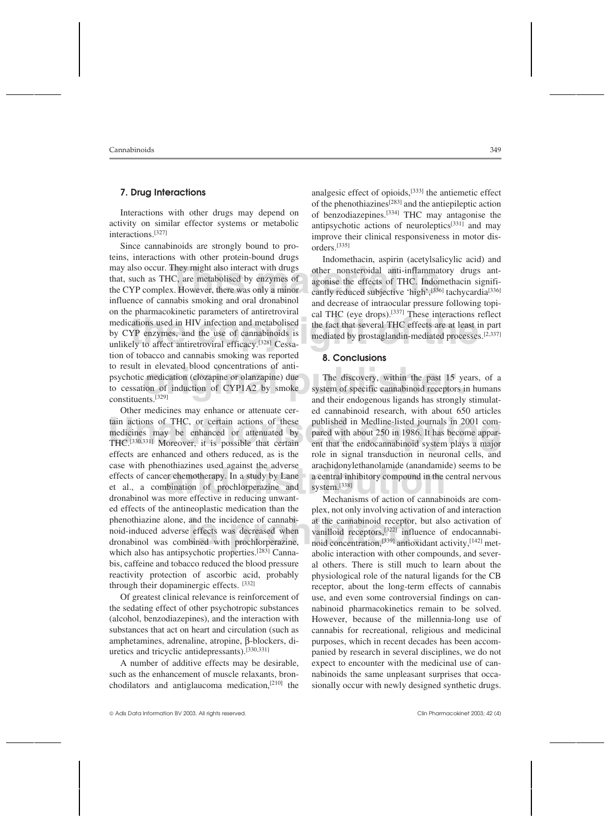may also occur. They might also interact with drugs<br>that, such as THC, are metabolised by enzymes of<br>the CYP complex. However, there was only a minor<br>influence of cannabis smoking and oral dronabinol on the pharmacokinetic parameters of antiretroviral<br>medications used in HIV infection and metabolised<br>by CYP enzymes, and the use of cannabinoids is in elevated blood concentrations of anti-<br>
in elevated blood concentrations of anti-<br>
ints.<sup>[329]</sup><br>
ints.<sup>[329]</sup><br>
ints.<sup>[329]</sup> Since cannabinoids are strongly bound to pro-<br>teins, interactions with other protein-bound drugs<br>Indome unlikely to affect antiretroviral efficacy.[328] Cessation of tobacco and cannabis smoking was reported **8. Conclusions** to result in elevated blood concentrations of antipsychotic medication (clozapine or olanzapine) due The discovery, within the past 15 years, of a to cessation of induction of CYP1A2 by smoke system of specific cannabinoid receptors in humans

tain actions of THC, or certain actions of these published in Medline-listed journals in 2001 com-<br>medicines may be enhanced or attenuated by pared with about 250 in 1986. It has become appar-<br>THC.<sup>[330,331]</sup> Moreover, it Fraction of the adverse and a central inhibitory compound in the abination of prochlorperazine and system.<sup>[338]</sup><br>a more effective in reducing unwant-<br>Mechanisms of action of cannabi and the incidence of cannabi-<br> **i** the cannabinoid receptor, the effects was decreased when<br> **i** vanilloid receptors,  $[322]$  influe<br>
bined with prochlorperazine,<br>  $[333]$  Cannabinoid concentration,  $[339]$  antioxi tain actions of THC, or certain actions of these published in Medline-listed journals in 2001 commedicines may be enhanced or attenuated by pared with about 250 in 1986. It has become appareffects are enhanced and others reduced, as is the role in signal transduction in neuronal cells, and case with phenothiazines used against the adverse arachidonylethanolamide (anandamide) seems to be effects of cancer chemotherapy. In a study by Lane  $\overline{a}$  a central inhibitory compound in the central nervous et al., a combination of prochlorperazine and system.<sup>[338]</sup> et al., a combination of prochlorperazine and system.<sup>[338]</sup> dronabinol was more effective in reducing unwant-<br>
Mechanisms of action of cannabinoids are com-<br>
ed effects of the antineoplastic medication than the<br>
plex, not only involving activation of and interaction ed effects of the antineoplastic medication than the plex, not only involving activation of and interaction phenothiazine alone, and the incidence of cannabi-<br>at the cannabinoid receptor, but also activation of phenothiazine alone, and the incidence of cannabi- at the cannabinoid receptor, but also activation of noid-induced adverse effects was decreased when vanilloid receptors  $^{[322]}$  influence of endocannabinoid-induced adverse effects was decreased when vanilloid receptors,<sup>[322]</sup> influence of endocannabidronabinol was combined with prochlorperazine, noid concentration,<sup>[339]</sup> antioxidant activity,<sup>[142]</sup> met-<br>which also has antipsychotic properties.<sup>[283]</sup> Canna-<br>abolic interaction with other compounds, and severwhich also has antipsychotic properties.<sup>[283]</sup> Canna-<br>bis, caffeine and tobacco reduced the blood pressure all others. There is still much to learn about the bis, caffeine and tobacco reduced the blood pressure al others. There is still much to learn about the reactivity protection of ascorbic acid, probably physiological role of the natural ligands for the CB reactivity protection of ascorbic acid, probably physiological role of the natural ligands for the CB through their dopaminergic effects. [332]

the sedating effect of other psychotropic substances nabinoid pharmacokinetics remain to be solved. (alcohol, benzodiazepines), and the interaction with However, because of the millennia-long use of substances that act on heart and circulation (such as cannabis for recreational, religious and medicinal

chodilators and antiglaucoma medication, $[210]$  the sionally occur with newly designed synthetic drugs.

**7. Drug Interactions** analgesic effect of opioids,<sup>[333]</sup> the antiemetic effect of the phenothiazines[283] and the antiepileptic action Interactions with other drugs may depend on of benzodiazepines.<sup>[334]</sup> THC may antagonise the activity on similar effector systems or metabolic antipsychotic actions of neuroleptics<sup>[331]</sup> and may improve their clinical responsiveness in motor disimprove their clinical responsiveness in motor dis-

> Indomethacin, aspirin (acetylsalicylic acid) and other nonsteroidal anti-inflammatory drugs antagonise the effects of THC. Indomethacin significantly reduced subjective 'high',<sup>[336]</sup> tachycardia<sup>[336]</sup> and decrease of intraocular pressure following topical THC (eye drops).<sup>[337]</sup> These interactions reflect the fact that several THC effects are at least in part mediated by prostaglandin-mediated processes.<sup>[2,337]</sup>

constituents.<sup>[329]</sup> and their endogenous ligands has strongly stimulat-Other medicines may enhance or attenuate cer- ed cannabinoid research, with about 650 articles

receptor, about the long-term effects of cannabis Of greatest clinical relevance is reinforcement of use, and even some controversial findings on canamphetamines, adrenaline, atropine, β-blockers, di-<br>urefices, which in recent decades has been accom-<br>uretics and tricyclic antidepressants).<sup>[330,331]</sup> panied by research in several disciplines, we do not panied by research in several disciplines, we do not A number of additive effects may be desirable, expect to encounter with the medicinal use of cansuch as the enhancement of muscle relaxants, bron-<br>nabinoids the same unpleasant surprises that occa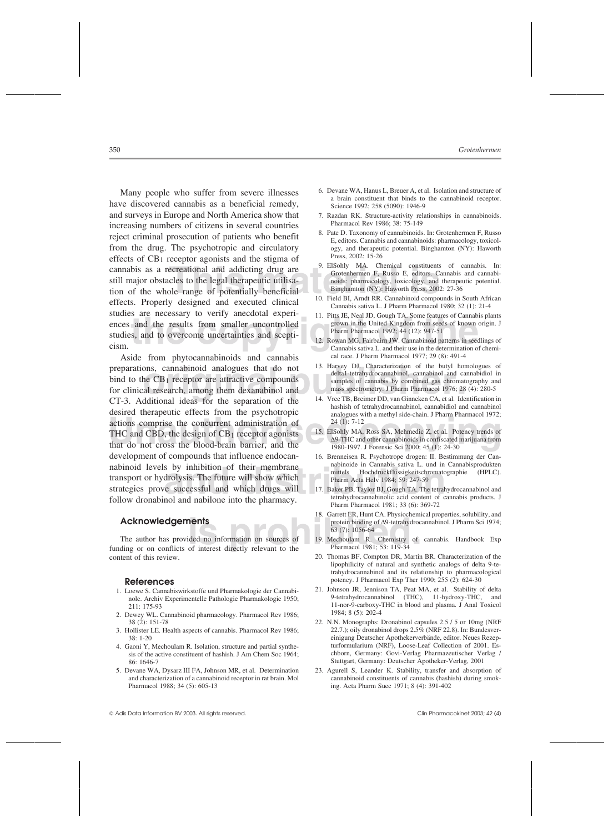**The Control of the Solution of the vielage of potential and addicting drug are** and an addicting drug are still major obstacles to the legal therapeutic utilisation of the whole range of potentially beneficial effects. Pr have discovered cannabis as a beneficial remedy, Science 1992; 258 (5090): 1946-9 and surveys in Europe and North America show that 7. Razdan RK. Structure-activity relationships in cannabinoids. increasing numbers of citizens in several countries<br>reject criminal prosecution of patients who benefit<br>from the drug. The psychotropic and circulatory<br>from the drug. The psychotropic and circulatory<br>from the drug. The psy from the drug. The psychotropic and circulatory ogy, and therapeut of GBz measures consists and the stigme of Press, 2002; 15-26 effects of CB1 receptor agonists and the stigma of tion of the whole range of potentially beneficial studies are necessary to verify anecdotal experiences and the results from smaller uncontrolled studies, and to overcome uncertainties and scepti-<br>cism.

preparations, cannabinoid analogues that do not<br>bind to the CB<sub>1</sub> receptor are attractive compounds<br>for clinical research, among them dexanabinol and<br>for clinical research, among them dexanabinol and<br> $\begin{array}{r} 13. \text{ Harvey DJ. Characterization of$ actions comprise the concurrent administration of<br>THC and CBD, the design of CB<sub>1</sub> receptor agonists<br>that do not cross the blood-brain barrier, and the<br>that do not cross the blood-brain barrier, and the<br>1980-1997. J Forens mabinoid levels by inhibition of their membrane<br>transport or hydrolysis. The future will show which<br>strategies prove successful and which drugs will<br>follow dronabinol and nabilone into the pharmacy.<br>Frame Pharmacol 1981; 3 Aside from phytocannabinoids and cannabis cal race. J Pharm Pharmacol 1977; 29 (8): 491-4<br> **Aside from phytocannabinoid analogues that relo** not 13. Harvey DJ Characterization of the butyl homologues of for clinical research, among them dexanabinol and mass spectrometry. J Pharm Pharmacol 1976; 28 (4): 280-5 **for** clinical research, and clinical research, and clinical research, and clinical research, et al. Identification CT-3. Additional ideas for the separation of the<br>desired therapeutic effects from the psychotropic<br>actions comprise the concurrent administration of  $24(1)$ : 7-12 actions comprise the concurrent administration of  $^{24 (1): 7-12}$ <br>THC and CBD, the design of CB1 recentor agonists (15. EISohly MA, Ross SA, Mehmedic Z, et al. Potency trends of development of compounds that influence endocan- 16. Brenneisen R. Psychotrope drogen: II. Bestimmung der Cannabinoid levels by inhibition of their membrane<br>mittels Hochdruckflüssigkeitschromatographie (HPLC). strategies prove successful and which drugs will follow dronabinol and nabilone into the pharmacy.

**is contract the contract of the protein binding of A9-tetrahydroc**<br>
for the protein binding of A9-tetrahydroc<br>
ided no information on sources of<br>
19. Mechoulam R. Chemistry of<br>
Pharmacol 1981; 53: 119-34 funding or on conflicts of interest directly relevant to the content of this review. 20. Thomas BF, Compton DR, Martin BR. Characterization of the

- 
- 2. Dewey WL. Cannabinoid pharmacology. Pharmacol Rev 1986; 38 (2): 151-78
- 3. Hollister LE. Health aspects of cannabis. Pharmacol Rev 1986;
- sis of the active constituent of hashish. J Am Chem Soc 1964; 86: 1646-7<br>86: 1646-7 Stuttgart, Germany: Deutscher Apotheker-Verlag, 2001<br>86: 1646-7 Stuttgart, Germany: Deutscher Apotheker-Verlag, 2001<br>5. Devane WA. Dysarz III FA. Johnson MR. et al. Determination 23. Agurell S. Leande
- and characterization of a cannabinoid receptor in rat brain. Mol<br>Pharmacol 1988; 34 (5): 605-13
- Many people who suffer from severe illnesses 6. Devane WA, Hanus L, Breuer A, et al. Isolation and structure of a brain constituent that binds to the cannabinoid receptor.
	-
	-
	- noids: pharmacology, toxicology, and therapeutic potential.
	-
	- 11. Pitts JE, Neal JD, Gough TA. Some features of Cannabis plants<br>grown in the United Kingdom from seeds of known origin. J<br>Pharm Pharmacol 1992; 44 (12): 947-51<br>12. Rowan MG, Fairbairn JW. Cannabioid patterns in seedlings
	-
	-
	-
	-
	-
	-
- 18. Garrett ER, Hunt CA. Physiochemical properties, solubility, and **Acknowledgements** protein binding of ∆9-tetrahydrocannabinol. J Pharm Sci 1974; 63 (7): 1056-64
- The author has provided no information on sources of 19. Mechoulam R. Chemistry of cannabis. Handbook Exp
- lipophilicity of natural and synthetic analogs of delta 9-tetrahydrocannabinol and its relationship to pharmacological **References** potency. J Pharmacol Exp Ther 1990; 255 (2): 624-30<br>1. Loewe S. Cannabiswirkstoffe und Pharmakologie der Cannabi-<br>21. Johnson JR, Jennison TA, Peat MA, et al. Stability of
- 1. Loewe S. Cannabiswirkstoffe und Pharmakologie der Cannabi- 21. Johnson JR, Jennison TA, Peat MA, et al. Stability of delta nole. Archiv Experimentelle Pathologie Pharmakologie 1950; 9-tetrahydrocannabinol (THC), 11-hydroxy-THC, and nole. Archiv Experimentelle Pathologie Pharmakologie 1950;<br>
211: 175-93 11-nor-9-carboxy-THC in blood and plasma. J Anal Toxicol<br>
21wev WL. Cannabinoid pharmacology. Pharmacol Rev 1986: <sup>1984;</sup> 8 (5): 202-4
- 22. N.N. Monographs: Dronabinol capsules  $2.5 / 5$  or  $10$ mg (NRF  $22.7$ .); oily dronabinol drops  $2.5%$  (NRF  $22.8$ ). In: Bundesver-38: 1-20 einigung Deutscher Apothekerverbande, editor. Neues Rezep- ¨ 4. Gaoni Y, Mechoulam R. Isolation, structure and partial synthe-<br>sis of the active constituent of hashish. J Am Chem Soc 1964;<br>chborn, Germany: Govi-Verlag Pharmazeutischer Verlag /
	- 23. Agurell S, Leander K. Stability, transfer and absorption of cannabinoid constituents of cannabis (hashish) during smoking. Acta Pharm Suec 1971; 8 (4): 391-402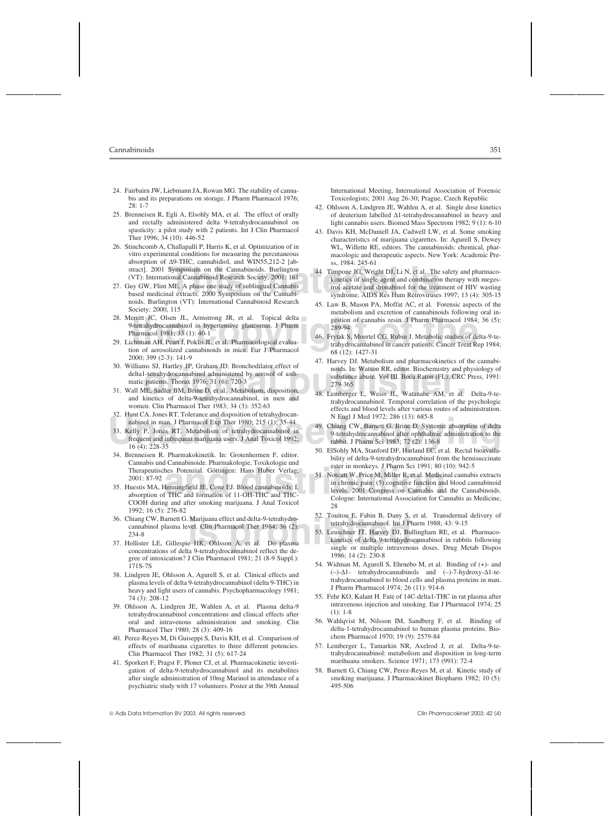- 24. Fairbairn JW, Liebmann JA, Rowan MG. The stability of canna-<br>bis and its preparations on storage. J Pharm Pharmacol 1976; Toxicologists: 2001 Aug 26-30; Prague, Czech Republic bis and its preparations on storage. J Pharm Pharmacol 1976;
- 25. Brenneisen R, Egli A, Elsohly MA, et al. The effect of orally and rectally administered delta 9-tetrahydrocannabinol on and rectally administered delta 9-tetrahydrocannabinol on light cannabis users. Biomed Mass Spectrom 1982; 9 (1): 6-10 spasticity: a pilot study with 2 patients. Int J Clin Pharmacol 43. Davis KH. McDaniell JA. Cadwell LW,
- 26. Stinchcomb A, Challapalli P, Harris K, et al. Optimization of in vitro experimental conditions for measuring the percutaneous absorption of Δ9-THC, cannabidiol, and WIN55,212-2 [ab-
- based medicinal extracts. 2000 Symposium on the Cannabinoids. Burlington (VT): International Cannabinoid Research 45. Law B, Mason PA, Moffat AC, et al. Forensic aspects of the Society: 2000, 115
- 
- 
- 
- 
- 
- 
- 32. Hunt CA. Jones RT. Tolerance and disposition of tetrahydrocan-<br>
mabinol in man. J Pharmacol Exp Ther 1980; 215 (1): 35-44<br>
33. Kelly P, Jones RT. Metabolism of tetrahydrocannabinol in<br>
frequent and infrequent marijuana
- 
- 
- 
- gree of intoxication? J Clin Pharmacol 1981; 21 (8-9 Suppl.):<br>171S-7S<br>1986; 14 (2): 230-8<br>171S-7S<br>1986; 14 (2): 230-8<br>1986; 14 (2): 230-8<br>1986; 14 (2): 230-8<br>1986; 14 (2): 230-8<br>1986; 14 (2): 230-8<br>1986; Ehrnebo M, et al.
- 38. Lindgren JE, Ohlsson A, Agurell S, et al. Clinical effects and  $(-)$ - $\Delta 1$  tetrahydrocannabinols and  $(-)$ -7-hydroxy- $\Delta 1$ -te-<br>plasma levels of delta 9-tetrahydrocannabinol (delta 9-THC) in the trahydrocannabinol to
- 39. Ohlsson A, Lindgren JE, Wahlen A, et al. Plasma delta-9 intraven<br>tetrahydrocannabinol concentrations and clinical effects after  $(1)$ : 1-8 oral and intravenous administration and smoking. Clin 56. Wahlqvist M, Nilsson IM, Sandberg F, et al. Binding of tharmacol Ther 1980; 28 (3): 409-16 delta-1-tetrahydrocannabinol to human plasma proteins. Bio-
- 40. Perez-Reyes M, Di Guiseppi S, Davis KH, et al. Comparison of chem Pharmacol 1970; 19 (9): 2579-84 effects of marihuana cigarettes to three different potencies. 57. Lemberger L, Tamarkin NR, Axelrod J, et al. Delta-9-te effects of marihuana cigarettes to three different potencies.<br>Clin Pharmacol Ther 1982; 31. (5): 617-24
- 41. Sporkert F, Pragst F, Ploner CJ, et al. Pharmacokinetic investiextion of delta-9-tetrahydrocannabinol and its metabolites 58. Barnett G, Chiang CW, Perez-Reyes M, et al. Kinetic study of after single administration of 10mg Marinol in attendance of a smoking marijuana. J Pharmacokinet psychiatric study with 17 volunteers. Poster at the 39th Annual

- 28: 1-7 42. Ohlsson A, Lindgren JE, Wahlen A, et al. Single dose kinetics<br>28: 1-7 42. Ohlsson A, Lindgren JE, Wahlen A, et al. Single dose kinetics of deuterium labelled  $\Delta$ 1-tetrahydrocannabinol in heavy and
- spasticity: a pilot study with 2 patients. Int J Clin Pharmacol 43. Davis KH, McDaniell JA, Cadwell LW, et al. Some smoking<br>Ther 1996; 34 (10): 446-52 characteristics of marijuana cigarettes. In: Agurell S, Dewey<br>tinchcomb macologic and therapeutic aspects. New York: Academic Pre-
- absorption of  $\Delta 9$ -THC, cannabidiol, and WIN55,212-2 [absorption spin and the Cannabinoids. Burlington spin and the Cannabinoids. Burlington (VT): International Cannabinoid Research Society, 2001: 161<br>27. Guy GW, Flint M Timpone JG, Wright DJ, Li N, et al. The safety and pharmacotrol acetate and dronabinol for the treatment of HIV wasting
- Society: 2000, 113<br>
28. Merritt JC, Olsen JL, Armstrong JR, et al. Topical delta<br>
<sup>9</sup>-tetrahydrocannabinol in hypertensive glaucomas. J Pharm<br>
<sup>9</sup>-tetrahydrocannabinol in hypertensive glaucomas. J Pharm<br>
<sup>9</sup>-tetrahydrocann
	-
- **30.** Williams SJ, Hartley JP, Graham JD. Bronchodilator effect of<br>
delta1-tetrahydrocannabinol administered by aerosol of ash-<br>
matic patients. Thorax 1976; 31 (6): 720-3<br>
matic patients. Thorax 1976; 31 (6): 720-3<br>
matic Pharmacol 1981; 33 (1): 40-1<br>
29. Lichtman AH, Peart J, Poklis JL, et al. Pharmacological evalua-<br>
29. Lichtman AH, Peart J, Poklis JL, et al. Pharmacological evalua-<br>
2000; 399 (2-3): 141-9<br>
2000; 399 (2-3): 141-9<br>
2000;
	- Lemberger L, Weiss JL, Watanabe AM, et al. Delta-9-te-<br>trahydrocannabinol. Temporal correlation of the psychologic<br>effects and blood levels after various routes of administration.
	-
	-
- Cannabis und Cannabinoide. Pharmakologie, Toxikologie und<br>
Therapeutisches Potenzial. Göttingen: Hans Huber Verlag,<br>
2001: 87-92<br> **and State State 1991:** Solution School (11-OH-THC and THC-<br>
absorption of THC and formation 32. Hunt CA. Jones RT. Tolerance and disposition of tetrahydrocann-<br>
23. Kelly P, Jones RT. Metabolism of tetrahydrocannabinol in the Summack Depart of the May 212 (13): 685-8<br>
33. Kelly P, Jones RT. Metabolism of tetrahy
	-
- 1992; 10 (3): 276-62<br>
36. Chiang CW, Barnett G. Marijuana effect and delta-9-tetrahydro-<br>
234-8<br>
234-8<br>
234-8<br>
234-8<br>
234-8<br>
236 (2):<br>
234-8<br>
234-8<br>
234-8<br>
236: Leuschner JT, Harvey DJ, Bullingham RE, et al. Pharmaco-<br>
234
	-
	- $74 (3): 208-12$ <br>27 (3): 208-12 55. Fehr KO, Kalant H. Fate of 14C-delta1-THC in rat plasma after<br>27 (3): 208-12 blueson A Linderen IE Wahlen A et al. Plasma delta-9 intravenous injection and smoking. Eur J Pharmacol 1974;
		- delta-1-tetrahydrocannabinol to human plasma proteins. Bio-<br>chem Pharmacol 1970; 19 (9): 2579-84
		- trahydrocannabinol: metabolism and disposition in long-term<br>marihuana smokers. Science 1971; 173 (991): 72-4
		- smoking marijuana. J Pharmacokinet Biopharm 1982; 10 (5): 495-506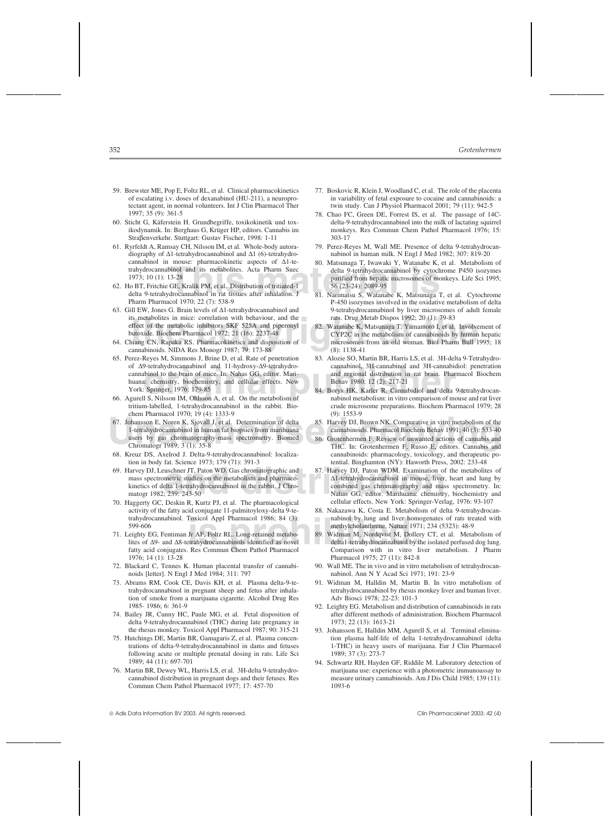- tectant agent, in normal volunteers. Int J Clin Pharmacol Ther twin study. Can J Physiol Pharmacol 2001; 79 (11): 942-5<br>1997: 35 (9): 361-5<br>1997: 35 (9): 361-5
- 60. Sticht G, Käferstein H. Grundbegriffe, toxikokinetik und tox-ikodynamik. In: Berghaus G, Krüger HP, editors. Cannabis im Straβenverkehr. Stuttgart: Gustav Fischer, 1998: 1-11
- 61. Ryrfeldt A, Ramsay CH, Nilsson IM, et al. Whole-body autora- 79. Perez-Reyes M, Wall ME. Presence of delta 9-tetrahydrocandiography of ∆1-tetrahydrocannabinol and ∆1 (6)-tetrahydro-
- 62. Ho BT, Fritchie GE, Kralik PM, et al. Distribution of tritiated-1 delta 9-tetrahydrocannabinol in rat tissues after inhalation. J delta 9-tetrahydrocannabinol in rat tissues after inhalation. J 81. Narimatsu S, Watanabe K, Matsunaga T, et al. Cytochrome Pharm Pharmacol 1970; 22 (7): 538-9 P-450 isozymes involved in the oxidative metabolism of delta
- 63. Gill EW, Jones G. Brain levels of ∆1-tetrahydrocannabinol and effect of the metabolic inhibitors SKF 525A and piperonyl 82. Watanabe K, Matsunaga T, Yamamoto I, et al. Involvement of butoxide. Biochem Pharmacol 1972; 21 (16): 2237-48 CYP2C in the metabolism of cannabinoids by human h
- 64. Chiang CN, Rapaka RS. Pharmacokinetics and disposition of microsomes cannabinoids. NIDA Res Monogr 1987; 79: 173-88 (8): 1138-41 cannabinoids. NIDA Res Monogr 1987; 79: 173-88
- or 20-tetrahydrocannabinol and 11-hydroxy-29-tetrahydrocannabinol to the brain of mice. In: Nahas GG, editor. Mari-<br>cannabinol to the brain of mice. In: Nahas GG, editor. Mari-<br>huana: chemistry, biochemistry, and cellular 65. Perez-Reyes M, Simmons J, Brine D, et al. Rate of penetration 83. Alozie SO, Martin BR, Harris LS, et al. 3H-delta 9-Tetrahydrohuana: chemistry, biochemistry, and cellular effects. New Behav 1980; 12 (2): 217-21<br>York: Springer, 1976: 179-85
- 
- **Unauthorised Constrained Chromatography-mass** spectrometry. Biomed<br>
The L-tetrahydrocannabinol in human fat biopsies from marihuana<br>
Unauthorised Captabolism of the L-tetrahydrocannabinol in human fat biopsies from marihu 67. Johansson E, Noren K, Sjovall J, et al. Determination of delta 1-tetrahydrocannabinol in human fat biopsies from marihuana
- 68. Kreuz DS, Axelrod J. Delta-9-tetrahydrocannabinol: localization in body fat. Science 1973; 179 (71): 391-3 tential. Binghamton (NY): Haworth Press, 2002: 233-48
- 69. Harvey DJ, Leuschner JT, Paton WD. Gas chromatographic and 87. Harvey DJ, Paton WDM. Examination of the metabolites of
- 70. Haggerty GC, Deskin R, Kurtz PJ, et al. The pharmacological cellular effects. New York: Springer-Verlag, 1976: 93-107 activity of the fatty acid conjugate 11-palmitoyloxy-delta 9-te-<br>trahydrocannabinol. Toxicol Appl Pharmacol 1986; 84 (3): 599-606 methylcholanthrene. Nature 1971; 234 (5323): 48-9
- Foxicol Appl Pharmacol 1986; 84 (3):<br> **is abinol by lung and liver homometrylcholanthrene**. Nature 1971<br> **Ir AF, Foltz RL. Long-retained metabo-**<br> **is propertylcholanthrene**. Nature 1971<br> **is the substanting of the strange** 71. Leighty EG, Fentiman Jr AF, Foltz RL. Long-retained metabo- 89. Widman M, Nordqvist M, Dollery CT, et al. Metabolism of
- 72. Blackard C, Tennes K. Human placental transfer of cannabi- 90. Wall ME. The in vivo and in vitro metabolism of tetrahydrocan-
- tion of smoke from a marijuana cigarette. Alcohol Drug Res Adv Biosci 1978; 22-23: 101-3
- 74. Bailey JR, Cunny HC, Paule MG, et al. Fetal disposition of after different methods delta 9-tetrahydrocannabinol (THC) during late pregnancy in 1973; 22 (13): 1613-21 delta 9-tetrahydrocannabinol (THC) during late pregnancy in the rhesus monkey. Toxicol Appl Pharmacol 1987; 90: 315-21
- 75. Hutchings DE, Martin BR, Gamagaris Z, et al. Plasma concentrations of delta-9-tetrahydrocannabinol in dams and fetuses following acute or multiple prenatal dosing in rats. Life Sci
- Commun Chem Pathol Pharmacol 1977; 17: 457-70 1093-6

- 59. Brewster ME, Pop E, Foltz RL, et al. Clinical pharmacokinetics 77. Boskovic R, Klein J, Woodland C, et al. The role of the placenta of escalating i.v. doses of dexanabinol (HU-211), a neuropro- in variability of fetal exposure to cocaine and cannabinoids: a
	- 78. Chao FC, Green DE, Forrest IS, et al. The passage of 14C-delta-9-tetrahydrocannabinol into the milk of lactating squirrel monkeys. Res Commun Chem Pathol Pharmacol 1976; 15: 303-17
	-
	- **The transference of the material is metabolites.** Acta Pharm Suec delta 9-tetrahydrocannabinol by cytochrome P450 isozymes<br>
	1973; 10 (1): 13-28 purified from hepatic microsomes of monkeys. Life Sci 1995;<br>
	1981; Secondabin 80. Matsunaga T, Iwawaki Y, Watanabe K, et al. Metabolism of 1973; 10 (1): 13-28<br>Io BT, Fritchie GE, Kralik PM, et al. Distribution of tritiated-1<br>56 (23-24): 2089-95<br>56 (23-24): 2089-95
		- P-450 isozymes involved in the oxidative metabolism of delta<br>9-tetrahydrocannabinol by liver microsomes of adult female
	- the comparison of the metabolites in mice: correlation with behaviour, and the rats. Drug Metab Dispos 1992; 20 (1): 79-83<br>
	effect of the metabolic inhibitors SKF 525A and piperonyl<br>
	butoxide. Biochem Pharmacol 1972; 21 (1 CYP2C in the metabolism of cannabinoids by human hepatic microsomes from an old woman. Biol Pharm Bull 1995; 18
	- of ∆9-tetrahydrocannabinol and 11-hydroxy-∆9-tetrahydro- cannabinol, 3H-cannabinol and 3H-cannabidiol: penetration
- 84. Borys HK, Karler R. Cannabidiol and delta 9-tetrahydrocan-66. Agurell S, Nilsson IM, Ohlsson A, et al. On the metabolism of nabinol metabolism: in vitro comparison of mouse and rat liver crude microsome preparations. Biochem Pharmacol 1979; 28<br>(9): 1553-9 chem Pharmacol 1970; 19 (4): 1333-9<br>
chansson E, Noren K, Sjovall J, et al. Determination of delta 85. Harvey DJ, Brown NK. Comparative in vitro metabolism of the
	-
	- $\alpha$  cannabinoids. Pharmacol Biochem Behav 1991; 40 (3): 533-40<br>Grotenhermen F. Review of unwanted actions of cannabis and users by gas chromatography-mass spectrometry. Biomed 86. Grotenhermen F. Review of unwanted actions of cannabis and Chromatogr 1989; 3 (1): 35-8 THC. In: Grotenhermen F, Russo E, editors. Cannabis and
	- uschner JT, Paton WD. Gas chromatographic and<br>
	metric studies on the metabolism and pharmaeo-<br>
	11-tetrahydrocannabinol in mouse, liver,<br>
	1239: 243-50<br>
	249: 245-1259<br>
	249: 245-1259<br>
	249: 245-1259<br>
	249: 245-1259<br>
	249: 245-12 mass spectrometric studies on the metabolism and pharmaco-  $\triangle 1$ -tetrahydrocannabinol in mouse, liver, heart and lung by kinetics of delta 1-tetrahydrocannabinol in the rabbit. J Chro-<br>matography and mass spectrometry. In:<br>matogr 1982; 239: 243-50<br>Mahas GG, editor. Marihuana: chemistry, biochemistry and Nahas GG, editor. Marihuana: chemistry, biochemistry and cellular effects. New York: Springer-Verlag, 1976: 93-107
		- nabinol by lung and liver homogenates of rats treated with
	- lites of Δ9- and Δ8-tetrahydrocannabinols identified as novel delta1-tetrahydrocannabinol by the isolated perfused dog lung.<br>
	fatty acid conjugates. Res Commun Chem Pathol Pharmacol Comparison with in vitro liver metabol fatty acid conjugates. Res Commun Chem Pathol Pharmacol Comparison with in vitro liver metabolism. J Pharm Pharmacol 1975; 27 (11): 842-8
		- nabinol. Ann N Y Acad Sci 1971; 191: 23-9
- 73. Abrams RM, Cook CE, Davis KH, et al. Plasma delta-9-te- 91. Widman M, Halldin M, Martin B. In vitro metabolism of tetrahydrocannabinol by rhesus monkey liver and human liver.
	- 1985- 1986; 6: 361-9<br>
	1985- 1986; 6: 361-9<br>
	1985- 1986; 6: 361-9 92. Leighty EG. Metabolism and distribution of cannabinoids in rats<br>
	1985- 1986; 6: 361-9 and Eq. et al. Fetal disposition of after different methods of admi
		- 93. Johansson E, Halldin MM, Agurell S, et al. Terminal elimina-<br>tion plasma half-life of delta 1-tetrahydrocannabinol (delta 1-THC) in heavy users of marijuana. Eur J Clin Pharmacol 1989-37 (3):  $273-7$
- 1989; 44 (11): 697-701 94. Schwartz RH, Hayden GF, Riddile M. Laboratory detection of 76. Martin BR, Dewey WL, Harris LS, et al. 3H-delta 9-tetrahydro- marijuana use: experience with a photometric immunoassay to cannabinol distribution in pregnant dogs and their fetuses. Res measure urinary cannabinoids. Am J Dis Child 1985; 139 (11):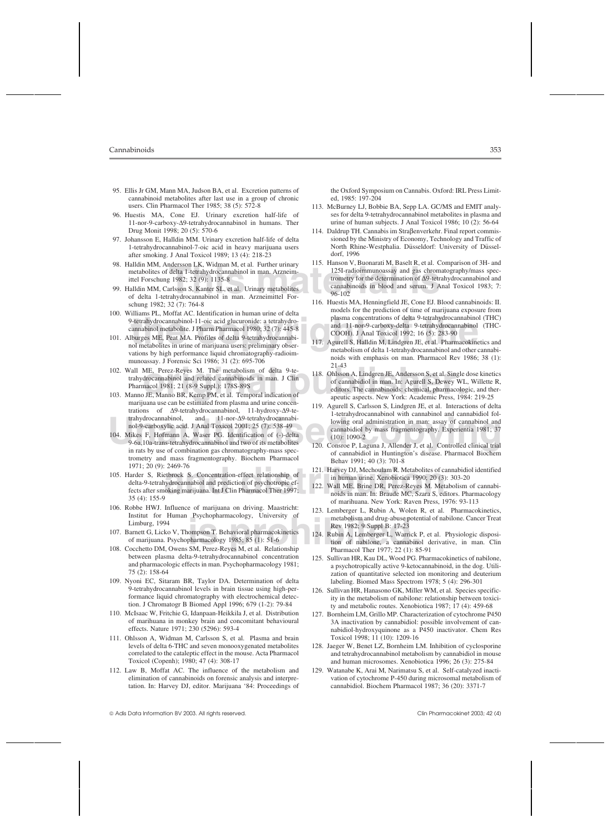- 95. Ellis Jr GM, Mann MA, Judson BA, et al. Excretion patterns of the Oxford Symposium on Cannabis. Oxford: IRL Press Limitcannabinoid metabolites after last use in a group of chronic ed, 1985: 197-204 users. Clin Pharmacol Ther 1985: 38 (5): 572-8 113 McBurney LJ Bobl
- 11-nor-9-carboxy-∆9-tetrahydrocannabinol in humans. Ther Drug Monit 1998; 20 (5): 570-6
- 1-tetrahydrocannabinol-7-oic acid in heavy marijuana users North Rhine-<br>of D constant D in the Constant Constant Constant Constant Constant Constant Constant Constant Constant Constant Constant Constant Constant Constant C after smoking. J Anal Toxicol 1989; 13 (4): 218-23
- 98. Halldin MM, Andersson LK, Widman M, et al. Further urinary metabolites of delta 1-tetrahydrocannabinol in man. Arzneim-
- 
- 
- 
- 
- 
- 
- 1971; 20 (9): 2469-76<br>
105. Harder S, Rietbrock S. Concentration-effect relationship of<br>
121. Harvey DJ, Nechould R. Metabolites of cannabidiol identified<br>
122. Wall ME, Brine DR, Perez-Reyes M. Metabolism of cannabi-<br>
122 9-6a,10a-trans-tetrahydrocannabinol and two of its metabolites<br>
in rats by use of combination gas chromatography-mass spec-<br>
tronetry and mass fragmentography. Biochem Pharmacol<br>
1971; 20 (9): 2469-76<br>
1971; 20 (9): 2469-7
- 106. Robbe HWJ. Influence of marijuana on driving. Maastricht: 123. Lemberger L, Rubin A, Wolen R, et al. Pharmacokinetics, Institut for Human Psychopharmacology, University of Limburg, 1994 Lemberger L, Rubin A, Wolen R,
- 
- 108. Cocchetto DM, Owens SM, Perez-Reyes M, et al. Relationship between plasma delta-9-tetrahydrocannabinol concentration between plasma delta-9-tetrahydrocannabinol concentration 125. Sullivan HR, Kau DL, Wood PG. Pharmacokinetics of nabilone, and pharmacologic effects in man. Psychopharmacology 1981;<br>a psychotropically active 9-ketocannabin
- 1990 Vyoni EC, Sitaram BR, Taylor DA. Determination of delta labeling. Biomed Mass Spectrom 1978; 5 (4): 296-301<br>19-tetrahydrocannabinol levels in brain tissue using high-per-<br>126. Sullivan HR. Hanasono GK. Miller WM. et a 9-tetrahydrocannabinol levels in brain tissue using high-per-<br>formane liquid chromatography with electrochemical detec-<br>ity in the metabolism of nabilone: relationship between toxici-<br>ity in the metabolism of nabilone: rel
- 110. McIsaac W, Fritchie G, Idanpaan-Heikkila J, et al. Distribution of marihuana in monkey brain and concomitant behavioural
- 111. Ohlsson A, Widman M, Carlsson S, et al. Plasma and brain levels of delta 6-THC and seven monooxygenated metabolites levels of delta 6-THC and seven monooxygenated metabolites 128. Jaeger W, Benet LZ, Bornheim LM. Inhibition of cyclosporine
- tation. In: Harvey DJ, editor. Marijuana '84: Proceedings of

- 113. McBurney LJ, Bobbie BA, Sepp LA. GC/MS and EMIT analy-<br>ses for delta 9-tetrahydrocannabinol metabolites in plasma and 96. Huestis MA, Cone EJ. Urinary excretion half-life of ses for delta 9-tetrahydrocannabinol metabolites in plasma and<br>11-nor-9-carboxy- $\Delta$ 9-tetrahydrocannabinol in humans. Ther urine of human subjects. J Anal Toxicol 198
- 114. Daldrup TH. Cannabis im Straβenverkehr. Final report commis-97. Johansson E, Halldin MM. Urinary excretion half-life of delta sioned by the Ministry of Economy, Technology and Traffic of 1-tetrahydrocannabinol-7-oic acid in heavy marijuana users North Rhine-Westphalia. Düsseldorf:
	- Halldin MM, Andersson LK, Widman M, et al. Further urinary 115. Hanson V, Buonarati M, Baselt R, et al. Comparison of 3H- and metabolites of delta 1-tetrahydrocannabinol in man. Arzneim-<br>
	Italian MM, Carlsson S, Kanter SL trometry for the determination of ∆9-tetrahydrocannabinol and
- 100. Williams PL, Moffat AC. Identification in human urine of delta<br>
9-tetrahydrocannabinol-11-oic acid glucuronide: a tetrahydrocannabinol-11-oic acid glucuronide: a tetrahydrocannabinol<br>
101. Alburges ME, Peat MA. Profil 99. Halldin MM, Carlsson S, Kanter SL, et al. Urinary metabolites<br>
of delta 1-tetrahydrocannabinol in man. Arzneimittel For-<br>
schung 1982; 32 (7): 764-8<br>
116. Hustis MA, Henningfield JE, Cone EJ. Blood cannabinoids: II.<br>
	-
- Franchischer Schwarz (1980, 31 (2). 093-700<br>
102. Wall ME, Perez-Reyes M. The metabolism of delta 9-te-<br>
transforoannabinoid and related cannabinoids in man. J Clin<br>
118. Ohlsson A, Lindgren JE, Andersson S, et al. Single
- trahydrocannabinol, and 11-nor- $\Delta$ 9-tetrahydrocannabi-<br>
nol-9-carboxylic acid. J Anal Toxicol 2001; 25 (7): 538-49<br>
104. Mikes F, Hofmann A, Waser PG. Identification of (-)-delta<br>
9-6a,10a-trans-tetrahydrocannabinol and t 102. Wall ME, Perez-Reyes M. The metabolism of delta 9-te-<br>
trahydrocannabinol and related cannabinoids in man. J Clin<br>
118. Ohlsson A, Lindgren JE, Andersson S, et al. Single dose kinetics<br>
118. Ohlsson A, Lindgren JE, An
	-
	-
	-
	-
- Fychopharmacology, University of metabolism and drug-abuse poten<br>
ompson T. Behavioral pharmacokinetics<br>
pharmacology 1985; 85 (1): 51-6<br>
SM, Perez-Reyes M, et al. Relationship<br>
Pharmacol Ther 1977: 22 (1): 85 107. Barnett G, Licko V, Thompson T. Behavioral pharmacokinetics<br>of marijuana. Psychopharmacology 1985; 85 (1): 51-6<br>108. Cocchetto DM, Owens SM, Perez-Reyes M, et al. Relationship<br>Pharmacol Ther 1977; 22 (1): 85-91<br>Pharma
- and pharmacologic effects in man. Psychopharmacology 1981;<br>
75 (2): 158-64 zation of quantitative selected ion monitoring and deuterium<br>
109. Nyoni EC. Sitaram BR. Taylor DA. Determination of delta labeling Biomed Mass Spe
	- formance liquid chromatography with electrochemical detec-<br>tion. J Chromatogr B Biomed Appl 1996; 679 (1-2): 79-84<br>ty and metabolic routes. Xenobiotica 1987: 17 (4): 459-68 ty and metabolic routes. Xenobiotica 1987; 17 (4): 459-68<br>127. Bornheim LM, Grillo MP. Characterization of cytochrome P450
	- of marihuana in monkey brain and concomitant behavioural 3A inactivation by cannabidiol: possible involvement of can-<br>
	anabidiol-hydroxyquinone as a P450 inactivator. Chem Res nabidiol-hydroxyquinone as a  $\hat{P}450$  inactivator. Chem Res Toxicol 1998; 11 (10): 1209-16
- correlated to the cataleptic effect in the mouse. Acta Pharmacol and tetrahydrocannabinol metabolism by cannabidiol in mouse<br>Toxicol (Copenh); 1980; 47 (4): 308-17 and human microsomes. Xenobiotica 1996; 26 (3): 275-84 Toxicol (Copenh); 1980; 47 (4): 308-17<br>and human microsomes. Xenobiotica 1996; 26 (3): 275-84<br>112. Law B. Moffat AC. The influence of the metabolism and 129. Watanabe K. Arai M. Narimatsu S. et al. Self-catalyzed inac
	- 129. Watanabe K, Arai M, Narimatsu S, et al. Self-catalyzed inactielimination of cannabinoids on forensic analysis and interpre-<br>
	vation of cytochrome P-450 during microsomal metabolism of<br>
	tation. In: Harvey DJ, editor. Marijuana '84: Proceedings of cannabidiol. Biochem Pharmacol 1987;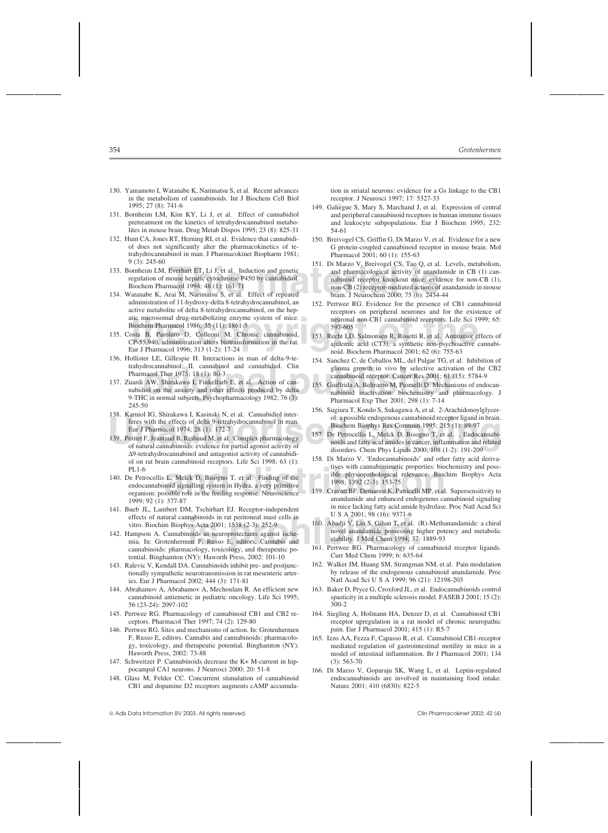- 130. Yamamoto I, Watanabe K, Narimatsu S, et al. Recent advances tion in striatal neurons: evidence for a Gs linkage to the CB1 in the metabolism of cannabinoids. Int J Biochem Cell Biol recentor. J Neurosci 1997: 17: 5327 in the metabolism of cannabinoids. Int J Biochem Cell Biol
- lites in mouse brain. Drug Metab Dispos 1995; 23 (8): 825-31
- 132. Hunt CA, Jones RT, Herning RI, et al. Evidence that cannabidi-<br>ol does not significantly alter the pharmacokinetics of te-<br>G protein-coupled cannabinoid receptor in mouse brain. Mol trahydrocannabinol in man. J Pharmacokinet Biopharm 1981; 9 (3): 245-60
- 133. Bornheim LM, Everhart ET, Li J, et al. Induction and genetic and pharmacological activity of anandaming regulation of mouse hepatic cytochrome P450 by cannabidiol.<br>
Biochem Pharmacol 1994; 48 (1): 161-71<br>
134. Watanab
- 134. Watanabe K, Arai M, Narimatsu S, et al. Effect of repeated administration of 11-hydroxy-delta 8-tetrahydrocannabinol, an 152. Pertwee RG. Evidence for the presence of CB1 cannabinoid active metabolite of delta 8-tetrahydrocannabinol, on the hep-<br>ceeptors on peripheral neurones and atic microsomal drug-metabolizing enzyme system of mice. neuronal non-CB1 cannot metaportup receptors. Life September 2001 cannot receptor of mice space September 2001 cannot space September 2001 cannot space September 200 Biochem Pharmacol 1986; 35 (11): 1861-5
- tic microsomal drug-metabolizing enzyme system of mice.<br>
3iochem Pharmacol 1986; 35 (11): 1861-5<br>
1597-605<br>
153. Recht LD, Salmonsen R, Rosetti R, et al. Antitumor et<br>
1797-55, 940, administration alters biotransformation 135. Costa B, Parolaro D, Colleoni M. Chronic cannabinoid, 153. Recht LD, Salmonsen R, Rosetti R, et al. Antitumor effects of Costa B, Parolaro D, Colleoni M. Chronic cannabinoid,<br>CP-55,940, administration alters biotransformation in the rat.<br>Eur J Pharmacol 1996; 313 (1-2): 17-24 noid. Biochem Pharmacol 2001; 62 (6): 755-63<br>136. Hollister LE, Gi
- 
- trahydrocannabinol: II. cannabinol and cannabidiol. Clin<br>
Pharmacol Ther 1975; 18 (1): 80-3<br>
137. Zuardi AW, Shirakawa I, Finkelfarb E, et al. Action of can-<br>
137. Zuardi AW, Shirakawa I, Finkelfarb E, et al. Action of can
- 
- 136. Hollister LE, Gillespie H. Interactions in man of delta-9-te-<br>
transhinoid managram in and cannabidiol. Clin<br>
Thamband annualidation of<br>
transhinoid and cannabidiol. Clin<br>
Thamacol The CB2<br>
247. Zuardi AW, Shirakawa
- Fil-6<br>
PL1-6<br>
PL1-6<br>
and distribution of the endocannabinoid signalling system in Hydra, a very primitive<br>
endocannabinoid signalling system in Hydra, a very primitive<br>
endocannabinoid signalling system in Hydra, a very pr 140. De Petrocellis L, Melck D, Bisogno T, et al. Finding of the<br>
endocannabinoid signalling system in Hydra, a very primitive<br>
organism: possible role in the feeding response. Neuroscience<br>
1999; 92 (1): 377-87<br>
141. Bueb
- 
- Figure 1. Bueb 3r, Lambert DM, Ischmitat EJ. Receptor-Inteperation<br>effects of natural cannabinoids in rat peritoneal mast cells in<br>trico. Biochim Biophys Acta 2001; 1538 (2-3): 252-9<br>160. Abadji V, Lin S, Gihan T, et al. ( mia. In: Grotenhermen F, Russo E, editors. Cannabis and cannabinoids: pharmacology, toxicology, and therapeutic po-
- tential. Binghamton (NY): Haworth Press, 2002: 101-10 Curr Med Chem 1999; 6: 635-64<br>Nalevic V, Kendall DA. Cannabinoids inhibit pre- and postiunc- 162. Walker JM, Huang SM, Strangman NM, et al. Pain modulation 143. Ralevic V, Kendall DA. Cannabinoids inhibit pre- and postjunc-<br>tionally sympathetic neurotransmission in rat mesenteric arter-<br>by release of the endogenous cannabinoid anandamide. Proc tionally sympathetic neurotransmission in rat mesenteric arteries. Eur J Pharmacol 2002; 444 (3): 171-81 Natl Acad Sci U S A 1999; 96 (21): 12198-203
- 144. Abrahamov A, Abrahamov A, Mechoulam R. An efficient new 163. Baker D, Pryce G, Croxford JL, et al. Endocannabinoids control cannabinoid antiemetic in pediatric oncology. Life Sci 1995; 56 (23-24): 2097-102<br>
Pertwee RG. Pharmacology of cannabinoid CB1 and CB2 re-<br>
164. Siegling A, Hofmann HA, Denzer D, et al. Cannabinoid CB1
- 145. Pertwee RG. Pharmacology of cannabinoid CB1 and CB2 receptors. Pharmacol Ther 1997; 74 (2): 129-80
- 146. Pertwee RG. Sites and mechanisms of action. In: Grotenhermen F, Russo E, editors. Cannabis and cannabinoids: pharmacolo-
- 147. Schweitzer P. Cannabinoids decrease the K+ M-current in hip-<br>pocampal CA1 neurons. J Neurosci 2000; 20: 51-8 166. Di Marzo V
- CB1 and dopamine D2 receptors augments cAMP accumula-

- 1995; 27 (8): 741-6 131. Bornheim LM, Kim KY, Li J, et al. Effect of cannabidiol and peripheral cannabinoid receptors in human immune tissues 131. Bornheim LM, Kim KY, Li J, et al. Effect of cannabidiol and peripheral cannabinoid receptors in human immune tissue<br>1395; pretreatment on the kinetics of tetrahydrocannabinol metabo-<br>1995; 232 and leukocyte subpopulations. Eur J Biochem 1995; 232: 54-61
	- G protein-coupled cannabinoid receptor in mouse brain. Mol<br>Pharmacol 2001; 60 (1): 155-63
	- 151. Di Marzo V, Breivogel CS, Tao Q, et al. Levels, metabolism, and pharmacological activity of anandamide in CB (1) cannabinoid receptor knockout mice: evidence for non-CB (1), non-CB (2) receptor-mediated actions of anandamide in mouse
	- receptors on peripheral neurones and for the existence of neuronal non-CB1 cannabinoid receptors. Life Sci 1999; 65:
	-
	-
	-
	-
- 138. Karniol IG, Shirakawa I, Kasinski N, et al. Cannabidiol inter-<br>
feres with the effects of delta 9-tetrahydrocannabinol in man.<br>
Eur J Pharmacol 1974; 28 (1): 172-7<br>
139. Petitete F, Leantaud B, Reisbaud M, et al. Com
	-
	-
	-
	-
	-
	- spasticity in a multiple sclerosis model. FASEB J 2001; 15 (2): 300-2
	- receptor upregulation in a rat model of chronic neuropathic pain. Eur J Pharmacol 2001; 415 (1): R5-7
	- 165. Izzo AA, Fezza F, Capasso R, et al. Cannabinoid CB1-receptor mediated regulation of gastrointestinal motility in mice in a gy, toxicology, and therapeutic potential. Binghamton (NY):<br>Haworth Press, 2002: 73-88 model of intestinal inflammation. Br J Pharmacol 2001; 134
- pocampal CA1 neurons. J Neurosci 2000; 20: 51-8 166. Di Marzo V, Goparaju SK, Wang L, et al. Leptin-regulated<br>148. Glass M, Felder CC. Concurrent stimulation of cannabinoid endocannabinoids are involved in maintaining food endocannabinoids are involved in maintaining food intake.<br>Nature 2001; 410 (6830): 822-5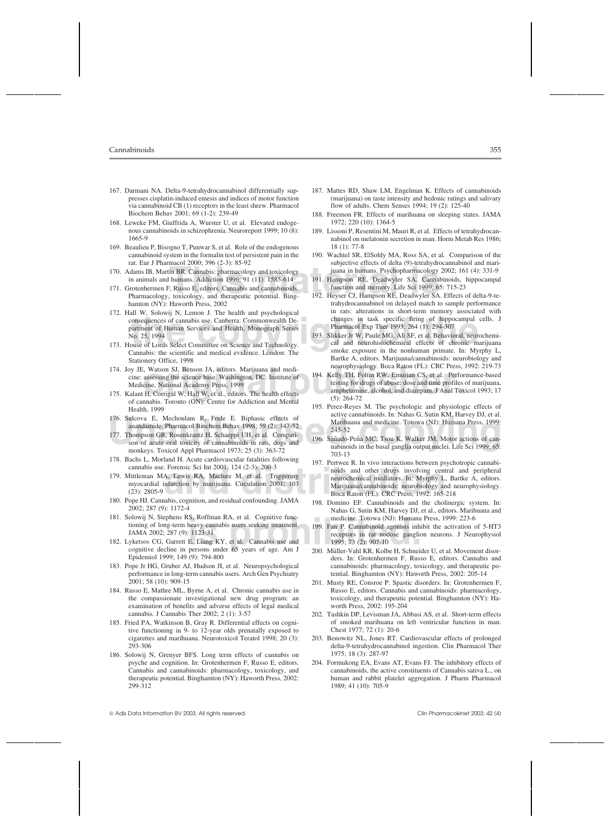- 167. Darmani NA. Delta-9-tetrahydrocannabinol differentially sup-<br>presses cisplatin-induced emesis and indices of motor function (marijuana) on taste intensity and hedonic ratings and salivary via cannabinoid CB (1) receptors in the least shrew. Pharmacol Biochem Behav  $2001$ :  $69$  (1-2): 239-49
- 168. Leweke FM, Giuffrida A, Wurster U, et al. Elevated endogenous cannabinoids in schizophrenia. Neuroreport 1999; 10 (8):
- 169. Beaulieu P, Bisogno T, Punwar S, et al. Role of the endogenous<br>cannabinoid system in the formalin test of persistent pain in the 190.
- 170. Adams IB, Martin BR. Cannabis: pharmacology and toxicology in animals and humans. Addiction 1996; 91 (11): 1585-614
- material in BR. Cannabis: pharmacology and toxicology<br> **The material in SR. Cannabis:** pharmacology and toxicology<br>
<sup>T</sup>humans. Addiction 1996; 91 (11): 1585-614<br>
<sup>191</sup>. Hampson RE, Deadwyler SA. Cannabis,<br>
<sup>1</sup>, Russo E, ed 171. Grotenhermen F, Russo E, editors. Cannabis and cannabinoids<br>Pharmacology, toxicology, and therapeutic potential. Bing
- **the consequences of cannabis use. Canberra: Commonwealth De-**<br>
Partment of Human Services and Health, Monograph Series<br>
No. 25, 1994<br>
No. 25, 1994<br>
IOUSE of Lords Select Committee on Science and Technology.<br>
2013<br>
2014<br>
2 172. Hall W, Solowij N, Lemon J. The health and psychological in rats: alterations in short-term memory associated with consequences of cannabis use. Canberra: Commonwealth De-<br>Changes in task specific firing of hippocampa partment of Human Services and Health, Monograph Series Pharmacol Exp Ther 1993; 264 (1): 294-307<br>No. 25, 1994<br>193. Slikker Jr W, Paule MG, Ali SF, et al. Behavio
- 
- Stationery Office, 1998<br>
174. Joy JE, Watson SJ, Benson JA, editors. Marijuana and medi-<br>
cine: assessing the science base. Washington, DC: Institute of<br>
Medicine, National Academy Press, 1999<br>
194. Kelly TH, Foltin RW, Em
- of cannabis. Toronto (ON): Centre for Addiction and Mental<br>Health, 1999<br>195. Perez-Reyes M. The psychologic and physiologic effects of
- Sulcova E, Mechoulam R, Fride E. Biphasic effects of
- 
- 
- 
- 
- 
- 
- 182. Lyketsos CG, Garrett E, Liang KY, et al. Cannabis use and
- 183. Pope Jr HG, Gruber AJ, Hudson JI, et al. Neuropsychological cannabinoids: pharmacology, toxicology, and therapeutic performance in long-term cannabis users. Arch Gen Psychiatry tential. Binghamton (NY): Haworth Press, performance in long-term cannabis users. Arch Gen Psychiatry 2001; 58 (10): 909-15
- 184. Russo E, Mathre ML, Byrne A, et al. Chronic cannabis use in examination of benefits and adverse effects of legal medical cannabis. J Cannabis Ther  $2002$ :  $2(1)$ :  $3-57$
- tive functioning in 9- to 12-year olds prenatally exposed to cigarettes and marihuana. Neurotoxicol Teratol 1998; 20 (3): cigarettes and marihuana. Neurotoxicol Teratol 1998; 20 (3): 203. Benowitz NL, Jones RT. Cardiovascular effects of prolonged
- 186. Solowij N, Grenyer BFS. Long term effects of cannabis on psyche and cognition. In: Grotenhermen F, Russo E, editors. 299-312 1989; 41 (10): 705-9
- (marijuana) on taste intensity and hedonic ratings and salivary flow of adults. Chem Senses  $1994$ ;  $19$  (2):  $125-40$
- 188. Freemon FR. Effects of marihuana on sleeping states. JAMA 1972; 220 (10): 1364-5
- nous cannabinoids in schizophrenia. Neuroreport 1999; 10 (8): 189. Lissoni P, Resentini M, Mauri R, et al. Effects of tetrahydrocan-<br>1665-9 nabinol on melatonin secretion in man. Horm Metab Res 1986: nabinol on melatonin secretion in man. Horm Metab Res 1986; 18 $(1): 77-8$
- cannabinoid system in the formalin test of persistent pain in the 190. Wachtel SR, ElSohly MA, Ross SA, et al. Comparison of the rat. Eur J Pharmacol 2000; 396 (2-3): 85-92 subjective effects of delta (9)-tetrahydrocannabinol and mari-<br>juana in humans. Psychopharmacology 2002; 161 (4): 331-9
- in animals and humans. Addiction 1996; 91 (11): 1585-614 191. Hampson RE, Deadwyler SA. Cannabinoids, hippocampal
- Pharmacology, toxicology, and therapeutic potential. Bing-<br>hampson RE, Deadwyler SA. Effects of delta-9-te-<br>trahydrocannabinol on delayed match to sample performance trahydrocannabinol on delayed match to sample performance in rats: alterations in short-term memory associated with
- 193. Slikker Jr W, Paule MG, Ali SF, et al. Behavioral, neurochemi-<br>cal and neurohistochemical effects of chronic marijuana 173. House of Lords Select Committee on Science and Technology. Cal and neurohistochemical effects of chronic marijuana<br>Cannabis: the scientific and medical evidence. London: The smoke exposure in the nonhuman primate. In: Cannabis: the scientific and medical evidence. London: The smoke exposure in the nonhuman primate. In: Myrphy L, Stationery Office 1998
- 174. Joy JE, Watson SJ, Benson JA, editors. Marijuana and medi-<br>
cine: assessing the science base. Washington, DC: Institute of<br>
Medicine, National Academy Press, 1999<br>
175. Kalant H, Corrigal W, Hall W, et al., editors. T testing for drugs of abuse: dose and time profiles of marijuana, amphetamine, alcohol, and diazepam. J Anal Toxicol 1993; 17
- **176.** Sulcova E, Mechoulam R, Fride E. Biphasic effects of<br>anandamide. Pharmacol Biochem Behav 1998; 59 (2): 347-52<br>177. Thompson GR, Rosenkrantz H, Schaeppi UH, et al. Compari-<br>Son of acute oral toxicity of cannabinoids
- 177. Inompson GR, Rosenkrantz H, Schaeppi UH, et al. Compari-<br>
son of acute oral toxicity of cannabinoids in rats, dogs and<br>
monkeys. Toxicol Appl Pharmacol 1973; 25 (3): 363-72<br>
178. Bachs L, Morland H. Acute cardiovascul
- From and Statis L, Moriality H. Actue can abuvascular lataties bilowing<br>
cannabi-<br>
can abuvas RA, Maclure M, et al. Triggering<br>
myocardial infarction by marijuana. Circulation 2001; 103<br>
(23): 2805-9<br>
180. Pope HJ. Cannabi neurochemical mediators. In: Myrphy L, Bartke A, editors.
	- 198. Domino EF. Cannabinoids and the cholinergic system. In: Nahas G, Sutin KM, Harvey DJ, et al., editors. Marihuana and<br>2002; 287 (9): 1172-4 Nahas G, Sutin KM, Harvey DJ, et al., editors. Marihuana and medicine. Totowa (NJ): Humana Press, 1999: 223-6
- 181. Solowij N, Stephens RS, Roffman RA, et al. Cognitive functioning of long-term heavy cannabis users seeking treatment.<br> **is produced.** Totowa (NJ): Humana Press, 1999: 223-6<br>
JAMA 2002: 287 (9): 1123-31<br>
182. Lyketsos 199. Fan P. Cannabinoid agonists inhibit the activation of 5-HT3
	- cognitive decline in persons under 65 years of age. Am J 200. Müller-Vahl KR, Kolbe H, Schneider U, et al. Movement disor-<br>
	<sup>200.</sup> Müller-Vahl KR, Kolbe H, Schneider U, et al. Movement disor-<br>
	<sup>200</sup>e Jr HG, Gruber AJ, Huds
	- 201. Musty RE, Consroe P. Spastic disorders. In: Grotenhermen F, Russo E, editors. Cannabis and cannabinoids: pharmacology, the compassionate investigational new drug program: an toxicology, and therapeutic potential. Binghamton (NY): Ha-<br>examination of benefits and adverse effects of legal medical worth Press. 2002: 195-204
- 202. Tashkin DP, Levisman JA, Abbasi AS, et al. Short-term effects 185. Fried PA, Watkinson B, Gray R. Differential effects on cogni-<br>tive functioning in 9- to 12-year olds prenatally exposed to Chest 1977; 72 (1): 20-6
	- delta-9-tetrahydrocannabinol ingestion. Clin Pharmacol Ther<br>1975: 18 (3): 287-97
	- 204. Formukong EA, Evans AT, Evans FJ. The inhibitory effects of Cannabis and cannabinoids: pharmacology, toxicology, and cannabinoids, the active constituents of Cannabis sativa L., on therapeutic potential. Binghamton (NY): Haworth Press, 2002: human and rabbit platelet aggregation. J therapeutic potential. Binghamton (NY): Haworth Press, 2002: human and rabbit platelet aggregation. J Pharm Pharmacol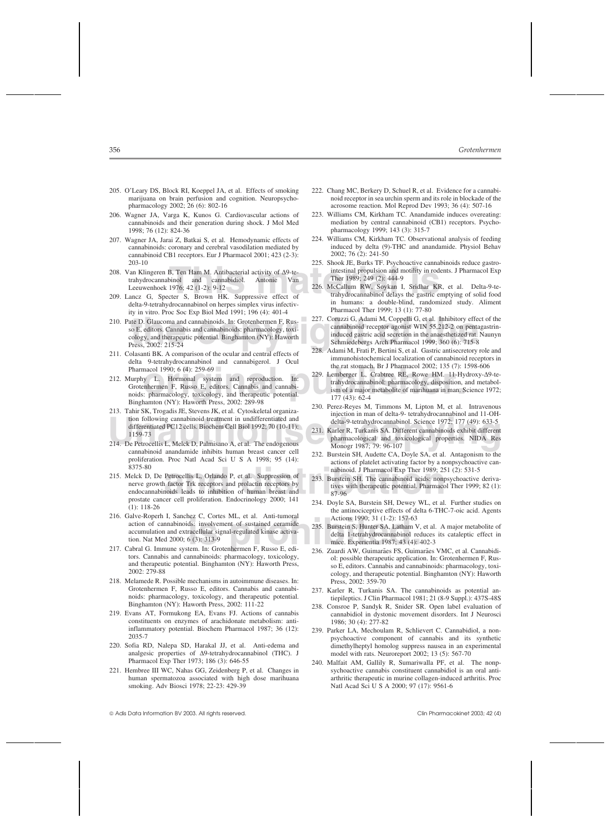- 205. O'Leary DS, Block RI, Koeppel JA, et al. Effects of smoking 222. Chang MC, Berkery D, Schuel R, et al. Evidence for a cannabi-
- cannabinoids and their generation during shock. J Mol Med 1998; 76 (12):  $824-36$
- 207. Wagner JA, Jarai Z, Batkai S, et al. Hemodynamic effects of 224. Williams CM, Kirkham TC. Observational analysis of feeding cannabinoids: coronary and cerebral vasodilation mediated by all induced by delta (9)-THC and cannabinoid CB1 receptors. Eur J Pharmacol 2001; 423 (2-3): 203-10
- This material is material is material is intestinal propulsion and motility in rodents. J Pharmacol Exp<br>trahydrocannabinol and cannabidiol. Antonie Van<br>Leeuwenhoek 1976; 42 (1-2): 9-12<br>209. Lancz G, Specter S, Brown HK. S trahydrocannabinol and cannabidiol. Antonie Van Ther 1989; 249 (2): 444-9<br>Leeuwenhoek 1976; 42 (1-2): 9-12 226. McCallum RW, Soykan I,
- 209. Lancz G, Specter S, Brown HK. Suppressive effect of trahydrocannabinol delays the gastric emptying of solid food delta-9-tetrahydrocannabinol on herpes simplex virus infective in humans: a double-blind, randomized stu
- 210. Pate D. Glaucoma and cannabinoids. In: Grotenhermen F, Rus-227. Coruzzi G, Adami M, Coppelli G, et al. Inhibitory effect of the<br>so E, editors. Cannabis and cannabinoids: pharmacology, toxi-<br>cology, and therapeutic pot
- 
- delta 9-tetrahydrocannabinol and cannabigerol. J Ocul<br>
Pharmacol 1990; 6 (4): 259-69<br>
212. Murphy L. Hormonal system and reproduction. In:<br>
Grotenhermen F, Russo E, editors. Cannabis and cannabi-<br>
original publication of a
- 213. Tahir SK, Trogadis JE, Stevens JK, et al. Cytoskeletal organization in man of delta-9- tetrahydrocannabinol and 11-OH-<br>
tion following cannabinoid treatment in undifferentiated and<br>
1159-73<br>
1159-73<br>
214. De Petrocell
- 211. Colasanti BK. A comparison of the ocular and central effects of  $228$ . Admini M, Frait P, Bertin S, et al. Gatsrica interactory role and the ocular of cannabinoid central effects of the and cannabigerol. J Ocul<br>
212.
- proliferation. Proc Natl Acad Sci U S A 1998; 95 (14):<br>
8375-80<br> **and Sci U S A 1998; 95 (14):**<br>
and Sci U S A 1998; 95 (14):<br>
and Sci Ball and Sci Ball and The 1989; 251 (2): 531-5<br>
215. Melck D, De Petrocellis L, Orlando
- prostate cancer cell proliferation. Endocrinology 2000; 141<br>
(1): 118-26<br>
216. Galve-Roperh I, Sanchez C, Cortes ML, et al. Anti-tumoral<br>
216. Galve-Roperh I, Sanchez C, Cortes ML, et al. Anti-tumoral<br>
216. Galve-Roperh I,
- 
- 218. Melamede R. Possible mechanisms in autoimmune diseases. In: Press, 2002: 359-70 Grotenhermen F, Russo E, editors. Cannabis and cannabi-<br>noids: pharmacology, toxicology, and therapeutic potential.<br>Binghamton (NY): Haworth Press, 2002: 111-22<br>238. Consroe P, Sandyk R, Snider SR, Open label evaluation of
- constituents on enzymes of arachidonate metabolism: anti-<br>inflammatory potential. Biochem Pharmacol 1987; 36 (12): inflammatory potential. Biochem Pharmacol 1987; 36 (12): 239. Parker LA, Mechoulam R, Schlievert C. Cannabidiol, a non-
- analgesic properties of  $Δ9$ -tetrahydrocannabinol (THC). J<br>Pharmacol Exp Ther 1973; 186 (3): 646-55
- 
- marijuana on brain perfusion and cognition. Neuropsycho-<br>
pharmacology 2002; 26 (6): 802-16<br>
acrosome reaction. Mol Reprod Dev 1993; 36 (4): 507-16 acrosome reaction. Mol Reprod Dev 1993; 36 (4): 507-16 223. Williams CM, Kirkham TC. Anandamide induces overeating:
- 206. Wagner JA, Varga K, Kunos G. Cardiovascular actions of 223. Williams CM, Kirkham TC. Anandamide induces overeating: pharmacology 1999; 143 (3): 315-7
	- induced by delta (9)-THC and anandamide. Physiol Behav  $2002: 76(2): 241-50$
	- 225. Shook JE, Burks TF. Psychoactive cannabinoids reduce gastro-
	- 226. McCallum RW, Soykan I, Sridhar KR, et al. Delta-9-te-<br>trahydrocannabinol delays the gastric emptying of solid food
	-
	-
	-
	-
	-
	-
	-
	-
	-
- 217. Cabral G. Immune system. In: Grotenhermen F, Russo E, edi-<br>tors. Cannabis and cannabinoids: pharmacology, toxicology,<br>and therapeutic potential. Binghamton (NY): Haworth Press,<br>2002: 279-88<br>2002: 279-88<br>2002: 279-88
	-
- 219. Evans AT, Formukong EA, Evans FJ. Actions of cannabis cannabidiol in dystonic movement disorders. Int J Neurosci constituents on enzymes of arachidonate metabolism: anti-<br>1986; 30 (4): 277-82
- 2035-7 psychoactive component of cannabis and its synthetic<br>220 Sofia RD. Nalena SD. Harakal JJ. et al. Anti-edema and dimethylhentyl homolog suppress nausea in an experimental dimethylheptyl homolog suppress nausea in an experimental model with rats. Neuroreport 2002; 13 (5): 567-70
- 240. Malfait AM, Gallily R, Sumariwalla PF, et al. The nonp-221. Hembree III WC, Nahas GG, Zeidenberg P, et al. Changes in sychoactive cannabis constituent cannabidiol is an oral antihuman spermatozoa associated with high dose marihuana arthritic therapeutic in murine collagen-induced arthritis. Proc<br>
Matl Acad Sci U S A 2000; 97 (17): 9561-6 Natl Acad Sci U S A 2000; 97 (17): 9561-6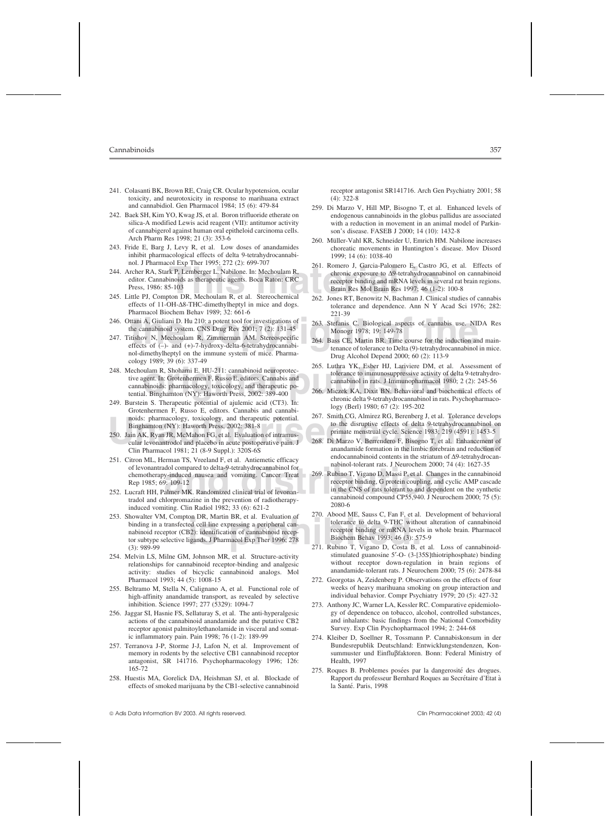- 241. Colasanti BK, Brown RE, Craig CR. Ocular hypotension, ocular receptor antagonist SR141716. Arch Gen Psychiatry 2001; 58 toxicity, and neurotoxicity in response to marihuana extract (4): 322-8 toxicity, and neurotoxicity in response to marihuana extract and cannabidiol. Gen Pharmacol 1984; 15 (6): 479-84
- of cannabigerol against human oral epitheloid carcinoma cells. Arch Pharm Res 1998; 21 (3): 353-6
- inhibit pharmacological effects of delta 9-tetrahydrocannabi-<br>nol. J Pharmacol Exp Ther 1995; 272 (2): 699-707
- 
- 245. Little PJ, Compton DR, Mechoulam R, et al. Stereochemical 262. Jones RT, Benowitz N, Bachman J. Clinical studies of cannabis effects of 11-OH- $\Delta$ 8-THC-dimethylheptyl in mice and dogs. tolerance and dependence. Ann N
- 246. Ottani A, Giuliani D. Hu 210: a potent tool for investigations of 263. Stefanis C. Biological aspects of cannabis use. NIDA Res
- Pharmacol Biochem Behav 1989; 32: 661-6<br>
246. Ottani A, Giuliani D. Hu 210: a potent tool for investigations of<br>
the cannabinoid system. CNS Drug Rev 2001; 7 (2): 131-45<br>
247. Titishov N, Mechoulam R, Zimmerman AM. Stereo
- Cology 1989, 39 (6). 337-44<br>
248. Mechoulam R, Shohami E. HU-211: cannabinoid neuroprotective agent. In: Grotenhermen F, Russo E, editors. Cannabis and<br>
cannabinoids: pharmacology, toxicology, and therapeutic po-<br>
annabino 247. Titishov N, Mechoulam R, Zimmerman AM. Stereospecific<br>
effects of (-)- and (+)-7-hydroxy-delta-6-tetrahydrocannabi-<br>
nol-dimentylheptyl on the immune system of mice. Pharma-<br>
cology 1989; 39 (6): 337-49<br>
248. Mechoula
- 
- noids: pharmacology, toxicology, and therapeutic potential.<br>
Binghamton (NY): Haworth Press, 2002: 381-8<br>
250. Jain AK, Ryan JR, McMahon FG, et al. Evaluation of intramus-<br>
268. Difference exponential cycle. Science 1983;
- 251. Citron ML, Herman TS, Vreeland F, et al. Antiemetic efficacy<br>of levonantradol compared to delta-9-tetrahydrocannabinol for<br>chemotherany induced nausea and vomiting Cancer Treat 269. Rubino T. Vigano D. Massi P, et al.
- 252. Lucraft HH, Palmer MK. Randomized clinical trial of levonan-<br>tradol and chlorpromazine in the prevention of radiotherapy-<br>induced vomiting. Clin Radiol 1982; 33 (6): 621-2<br>2080-6<br>270. Abood ME, Sauss C, Fan F, et al.
- 253. Showalter VM, Compton DR, Martin BR, et al. Evaluation of 270. Abood ME, Sauss C, Fan F, et al. Development of behavioral binding in a transfected cell line expressing a peripheral can-<br>nabinoid receptor (CB2): identi
- 254. Melvin LS, Milne GM, Johnson MR, et al. Structure-activity<br>relationships for cannabinoid receptor-binding and analgesic<br>activity: studies of bicyclic cannabinoid analogs. Mol<br>Pharmacol 1993; 44 (5): 1008-15<br>272. Georg
- high-affinity anandamide transport, as revealed by selective inhibition. Science 1997; 277 (5329): 1094-7
- actions of the cannabinoid anandamide and the putative CB2 and inhalants: basic findings from the National Comorbid receptor agonist palmitoylethanolamide in visceral and somat-<br>Survey. Exp Clin Psychopharmacol 1994; 2: 24 receptor agonist palmitoylethanolamide in visceral and somat-<br>ic inflammatory pain. Pain 1998; 76 (1-2): 189-99
- memory in rodents by the selective CB1 cannabinoid receptor summuster untagonist. SR 141716. Psychopharmacology 1996: 126: Health, 1997 antagonist, SR 141716. Psychopharmacology 1996; 126: 165-72
- effects of smoked marijuana by the CB1-selective cannabinoid

- and cannabidiol. Gen Pharmacol 1984; 15 (6): 479-84 259. Di Marzo V, Hill MP, Bisogno T, et al. Enhanced levels of<br>242. Baek SH. Kim YO. Kwag JS. et al. Boron trifluoride etherate on endogenous cannabinoids in the globus p endogenous cannabinoids in the globus pallidus are associated silica-A modified Lewis acid reagent (VII): antitumor activity with a reduction in movement in an animal model of Parkin-<br>of cannabigerol against human oral epitheloid carcinoma cells. son's disease. FASEB J 2000; 14 (10):
- 260. Müller-Vahl KR, Schneider U, Emrich HM. Nabilone increases 243. Fride E, Barg J, Levy R, et al. Low doses of anandamides choreatic movements in Huntington's disease. Mov Disord inhibit pharmacological effects of delta 9-tetrahydrocannabi-<br>1999; 14 (6): 1038-40
- This material is the text of the text of the text of the text of the text of the text of the septemberger L. Nabilone. In: Mechoulam R, chronic exposure to ∆9-tetrahydrocannabinoid on cannabinoid and mRNA levels in sever 261. Romero J, Garcia-Palomero E, Castro JG, et al. Effects of editor. Cannabinoids as therapeutic agents. Boca Raton: CRC receptor binding and mRNA levels in several rat brain regions.<br>Press, 1986: 85-103 Reseptor binding and mRNA levels in several rat brain regions. Press, 1986: 85-103<br>245. Little PJ, Compton DR, Mechoulam R, et al. Stereochemical<br>262 Iones RT Benowitz N Bachman I Clinical studie
	- effects of 11-OH-∆8-THC-dimethylheptyl in mice and dogs.<br>
	pharmacol Biochem Behav 1989: 32: 661-6 221-30<br>
	221-30<br>
	221-30
		-
		-
		-
		-
	- Binghamton (NY): Haworth Press, 2002: 381-8 to the disruptive effects of delta 9-tetrahydrocannabinol on<br>Binghamton (NY): Haworth Press, 2002: 381-8<br>to the disruptive effects of delta 9-tetrahydrocannabinol on<br>the disrupti
	- cular levonantrodol and placebo in acute postoperative pain. J 268. Di Marzo V, Berrendero F, Bisogno T, et al. Enhancement of Clin Pharmacol 1981; 21 (8-9 Suppl.): 320S-6S anandamide formation in the limbic forebrain and
	- dol compared to delta-9-tetrahydrocannabinol for<br>
	269. Rubion T, Vigano D, Massi P, et al. Change<br>
	269. Rubion T, Vigano D, Massi P, et al. Change<br>
	almer MK. Randomized clinical trial of levonan-<br>
	almer MK. Randomized clin chemotherapy-induced nausea and vomiting. Cancer Treat 269. Rubino T, Vigano D, Massi P, et al. Changes in the cannabinoid<br>Rep 1985; 69: 109-12<br>Rubino T, Vigano D, Massi P, et al. Changes in the cannabinoid<br>receptor bindin receptor binding, G protein coupling, and cyclic AMP cascade in the CNS of rats tolerant to and dependent on the synthetic
		-
	- (3): 989-99 271. Rubino T, Vigano D, Costa B, et al. Loss of cannabinoid-
- 272. Georgotas A, Zeidenberg P. Observations on the effects of four weeks of heavy marihuana smoking on group interaction and 255. Beltramo M, Stella N, Calignano A, et al. Functional role of weeks of heavy marihuana smoking on group interaction and<br>high-affinity anandamide transport, as revealed by selective individual behavior. Compr Psychiatry
- 273. Anthony JC, Warner LA, Kessler RC. Comparative epidemiology of dependence on tobacco, alcohol, controlled substances, 256. Jaggar SI, Hasnie FS, Sellaturay S, et al. The anti-hyperalgesic gy of dependence on tobacco, alcohol, controlled substances, actions of the cannabinoid anandamide and the putative CB2 and inhalants: basic findings fr
- 274. Kleiber D, Soellner R, Tossmann P. Cannabiskonsum in der 257. Terranova J-P, Storme J-J, Lafon N, et al. Improvement of Bundesrepublik Deutschland: Entwicklungstendenzen, Kon-
- 275. Roques B. Problemes posées par la dangerosité des drogues. 258. Huestis MA, Gorelick DA, Heishman SJ, et al. Blockade of Rapport du professeur Bernhard Roques au Secrétaire d'Etat à effects of smoked marijuana by the CB1-selective cannabinoid la Santé. Paris, 1998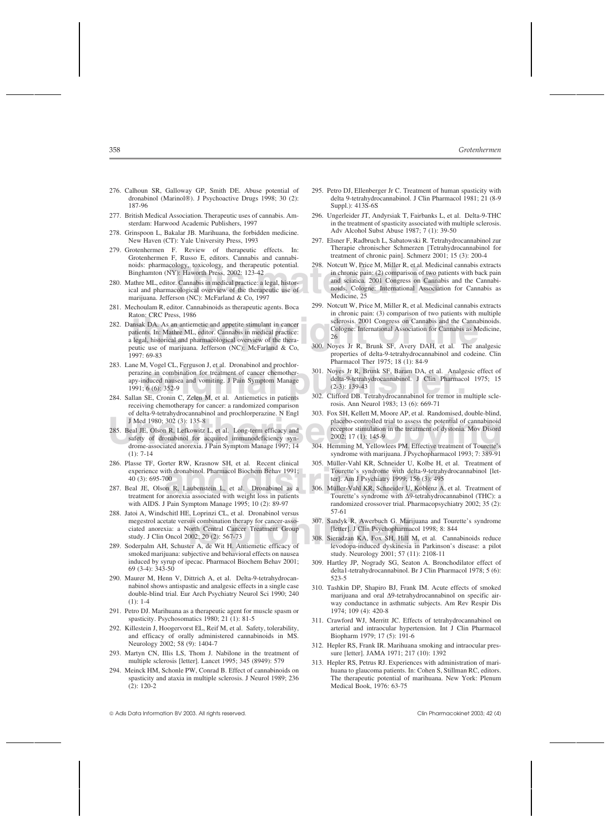- dronabinol (Marinol®). J Psychoactive Drugs 1998; 30 (2): 187-96 Suppl.): 413S-6S
- 
- 278. Grinspoon L, Bakalar JB. Marihuana, the forbidden medicine.<br>New Haven (CT): Yale University Press, 1993
- Grotenhermen F, Russo E, editors. Cannabis and cannabi-<br>noids: pharmacology, toxicology, and therapeutic potential.<br>Binghamton (NY): Haworth Press, 2002: 123-42
- 280. Mathre ML, editor. Cannabis in medical practice: a legal, historical and sciatica. 2001 Congress on Cannabis and the Cannabi-<br>
ical and pharmacological overview of the therapeutic use of matriuma. Jefferson (NC): McFa
- 281. Mechoulam R, editor. Cannabinoids as therapeutic agents. Boca  $299$ .
- Example the Sales and the Campabis and the Campabis and the Campabis and the Campabis and the Campabis and the Campabis and the Campabis and the Campabis and the Campabis and the Campabis and the Campabis and the Campabis
- 283. Lane M, Vogel CL, Ferguson J, et al. Dronabinol and prochlor-<br>
perazine in combination for treatment of cancer chemother-<br>
age and vomiting. J Pain Symptom Manage<br>
1991; 6 (6): 352-9<br>
284. Sallan SE, Cronin C, Zelen M
- 284. Sallan SE, Cronin C, Zelen M, et al. Antiemetics in patients and prochlam abinol of the more in multiple scleenceiving chemotherapy for cancer: a randomized comparison of delta-9-tetrahydrocannabinol and prochlorperaz of delta-9-tetrahydrocannabinol and prochlorperazine. N Engl 303. Fox SH, Kellett M, Moore AP, et al. Randomised, double-blind, J Med 1980; 302 (3): 135-8
- 1 Med 1980; 302 (3): 135-8<br>
1 Med 1980; 302 (3): 135-8<br>
1 Med 1980; 302 (3): 135-8<br>
1 Med 1980; 302 (3): 135-8<br>
1 Med 1980; 302 (3): 135-8<br>
1 Med 1980; 302 (3): 135-8<br>
2002; 17 (1): 145-9<br>
1 The treatment of dystonia. Mov 285. Beal JE, Olson R, Lefkowitz L, et al. Long-term efficacy and a receptor stimulation in the treatment of dystonia. Mov Disord safety of dronabinol for acquired immunodeficiency syn-<br>2002; 17 (1): 145-9
- 286. Plasse TF, Gorter RW, Krasnow SH, et al. Recent clinical 305. Müller-Vahl KR, Schneider U, Kolbe H, et al. Treatment of experience with dronabinol. Pharmacol Biochem Behav 1991;<br>
Tourette's syndrome with delta-9-tetra 40 (3): 695-700 **ter].** Am J Psychiatry 1999; 156 (3): 495
- 
- Figure 307. Sandyk R, Awerbuch G. Marijual combination therapy for cancer-asso-<br>
1307. Sandyk R, Awerbuch G. Marijual combination therapy for cancer-asso-<br>
1308. Sieradzan KA, Fox SH, Hill M, Ievodopa-induced dyskinesia in 288. Jatoi A, Windschitl HE, Loprinzi CL, et al. Dronabinol versus 57-61 megestrol acetate versus combination therapy for cancer-asso- 307. Sandyk ciated anorexia: a North Central Cancer Treatment Group [letter]. J Clin Psychopharmacol 1998; 8: 844 ciated anorexia: a North Central Cancer Treatment Group<br>study. J Clin Oncol 2002; 20 (2): 567-73<br>289. Sieradzan KA, Fox SH, Hill M, et al. Cannabinoids reduce<br>289. Soderpalm AH, Schuster A, de Wit H. Antiemetic efficacy of
- smoked marijuana: subjective and behavioral effects on nausea study. Neurology 2001; 57 (11): 2108-11<br>induced by syrup of ipecac. Pharmacol Biochem Behav 2001; 309. Hartlev JP. Nogrady SG. Seaton A. Bron
- 290. Maurer M, Henn V, Dittrich A, et al. Delta-9-tetrahydrocan-<br>nabinol shows antispastic and analgesic effects in a single case 310. Tashkin nabinol shows antispastic and analgesic effects in a single case and D. Tashkin DP, Shapiro BJ, Frank IM. Acute effects of smoked<br>double-blind trial. Eur Arch Psychiatry Neurol Sci 1990; 240 marijuana and oral  $\Delta$ 9-tetrah
- 291. Petro DJ. Marihuana as a therapeutic agent for muscle spasm or spasticity. Psychosomatics 1980; 21 (1): 81-5
- and efficacy of orally administered cannabinoids in MS.<br>Neurology 2002; 58 (9): 1404-7
- 293. Martyn CN, Illis LS, Thom J. Nabilone in the treatment of multiple sclerosis [letter]. Lancet 1995; 345 (8949): 579
- 

- 276. Calhoun SR, Galloway GP, Smith DE. Abuse potential of 295. Petro DJ, Ellenberger Jr C. Treatment of human spasticity with dronabinol (Marinol®). J Psychoactive Drugs 1998: 30 (2): delta 9-tetrahydrocannabinol. J Clin
- 277. British Medical Association. Therapeutic uses of cannabis. Am- 296. Ungerleider JT, Andyrsiak T, Fairbanks L, et al. Delta-9-THC sterdam: Harwood Academic Publishers, 1997 in the treatment of spasticity associated with multiple sclerosis.<br>
Finspoon L. Bakalar JB. Marihuana. the forbidden medicine. Adv Alcohol Subst Abuse 1987; 7 (1): 39-50
- 297. Elsner F, Radbruch L, Sabatowski R. Tetrahydrocannabinol zur<br>Therapie chronischer Schmerzen [Tetrahydrocannabinol for 279. Grotenhermen F. Review of therapeutic effects. In: Therapie chronischer Schmerzen [Tetrahydrocannabinol for 2001; 15 (3): 200-4
	- mouths: pharmacology, toxicology, and therapeutic potential.<br>
	Binghamton (NY): Haworth Press, 2002: 123-42<br>
	in chronic pain: (2) comparison of two patients with back pain<br>
	father ML, editor. Cannabis and the Cannabis with 298. Notcutt W, Price M, Miller R, et al. Medicinal cannabis extracts
	- marijuana. Jefferson (NC): McFarland & Co, 1997<br>Medicine, 25<br>Mechoulam R. editor. Cannabinoids as theraneutic agents. Boca 299. Notcutt W, Price M, Miller R, et al. Medicinal cannabis extracts Raton: CRC Press, 1986<br>
	Pansak DA As an antiemetic and appetite stimulant in cancer<br>
	Pansak DA As an antiemetic and appetite stimulant in cancer<br>
	Selerosis. 2001 Congress on Cannabis and the Cannabinoids.
		-
		-
		-
		- placebo-controlled trial to assess the potential of cannabinoid<br>receptor stimulation in the treatment of dystonia. Mov Disord
	- drome-associated anorexia. J Pain Symptom Manage 1997; 14 304. Hemming M, Yellowlees PM. Effective treatment of Tourette's syndrome with marijuana. J Psychopharmacol 1993: 7: 389-91 syndrome with marijuana. J Psychopharmacol 1993; 7: 389-91
		-
- experience with dronabinol. Pharmacol Biochem Behav 1991;<br>
40 (3): 695-700<br>
eal JE, Olson R, Laubenstein L, et al. Dronabinol as a<br>
teatment for anorexia associated with weight loss in patients<br>
teatment for anorexia assoc 287. Beal JE, Olson R, Laubenstein L, et al. Dronabinol as a 306. Müller-Vahl KR, Schneider U, Koblenz A, et al. Treatment of treatment for anorexia associated with weight loss in patients Tourette's syndrome with  $\Delta$ 9-te Tourette's syndrome with ∆9-tetrahydrocannabinol (THC): a with AIDS. J Pain Symptom Manage 1995; 10 (2): 89-97 randomized crossover trial. Pharmacopsychiatry 2002; 35 (2):
	- 307. Sandyk R, Awerbuch G. Marijuana and Tourette's syndrome
	- levodopa-induced dyskinesia in Parkinson's disease: a pilot
	- induced by syrup of ipecac. Pharmacol Biochem Behav 2001; 309. Hartley JP, Nogrady SG, Seaton A. Bronchodilator effect of delta1-tetrahydrocannabinol. Br J Clin Pharmacol 1978; 5 (6):
		- way conductance in asthmatic subjects. Am Rev Respir Dis 1974; 109 (4): 420-8
- spasticity. Psychosomatics 1980; 21 (1): 81-5 311. Crawford WJ, Merritt JC. Effects of tetrahydrocannabinol on<br>292. Killestein J. Hoogervorst EL. Reif M. et al. Safety. tolerability. arterial and intraocular hypertension. arterial and intraocular hypertension. Int J Clin Pharmacol Biopharm 1979; 17 (5): 191-6
	- 312. Hepler RS, Frank IR. Marihuana smoking and intraocular pressure [letter]. JAMA 1971; 217 (10): 1392
- multiple sclerosis [letter]. Lancet 1995; 345 (8949): 579 313. Hepler RS, Petrus RJ. Experiences with administration of mari-<br>294. Meinck HM. Schonle PW. Conrad B. Effect of cannabinoids on huana to glaucoma patients. In: huana to glaucoma patients. In: Cohen S, Stillman RC, editors. spasticity and ataxia in multiple sclerosis. J Neurol 1989; 236 The therapeutic potential of marihuana. New York: Plenum (2): 120-2 Medical Book, 1976: 63-75